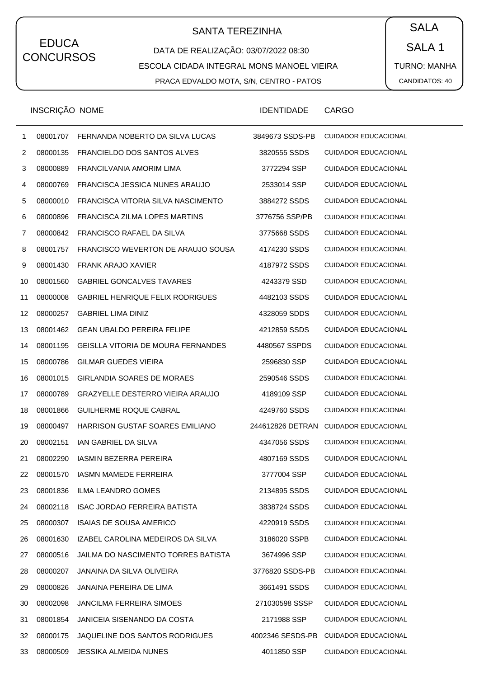# SANTA TEREZINHA  $\begin{pmatrix} \bullet & SALA \end{pmatrix}$

DATA DE REALIZAÇÃO: 03/07/2022 08:30 ESCOLA CIDADA INTEGRAL MONS MANOEL VIEIRA PRACA EDVALDO MOTA, S/N, CENTRO - PATOS

SALA 1 TURNO: MANHA CANDIDATOS: 40

|    | INSCRIÇÃO NOME |                                           | <b>IDENTIDADE</b> | <b>CARGO</b>                |
|----|----------------|-------------------------------------------|-------------------|-----------------------------|
| 1  | 08001707       | FERNANDA NOBERTO DA SILVA LUCAS           | 3849673 SSDS-PB   | <b>CUIDADOR EDUCACIONAL</b> |
| 2  | 08000135       | FRANCIELDO DOS SANTOS ALVES               | 3820555 SSDS      | <b>CUIDADOR EDUCACIONAL</b> |
| 3  | 08000889       | FRANCILVANIA AMORIM LIMA                  | 3772294 SSP       | <b>CUIDADOR EDUCACIONAL</b> |
| 4  | 08000769       | FRANCISCA JESSICA NUNES ARAUJO            | 2533014 SSP       | <b>CUIDADOR EDUCACIONAL</b> |
| 5  | 08000010       | FRANCISCA VITORIA SILVA NASCIMENTO        | 3884272 SSDS      | <b>CUIDADOR EDUCACIONAL</b> |
| 6  | 08000896       | FRANCISCA ZILMA LOPES MARTINS             | 3776756 SSP/PB    | <b>CUIDADOR EDUCACIONAL</b> |
| 7  | 08000842       | FRANCISCO RAFAEL DA SILVA                 | 3775668 SSDS      | <b>CUIDADOR EDUCACIONAL</b> |
| 8  | 08001757       | FRANCISCO WEVERTON DE ARAUJO SOUSA        | 4174230 SSDS      | <b>CUIDADOR EDUCACIONAL</b> |
| 9  | 08001430       | <b>FRANK ARAJO XAVIER</b>                 | 4187972 SSDS      | <b>CUIDADOR EDUCACIONAL</b> |
| 10 | 08001560       | <b>GABRIEL GONCALVES TAVARES</b>          | 4243379 SSD       | <b>CUIDADOR EDUCACIONAL</b> |
| 11 | 08000008       | <b>GABRIEL HENRIQUE FELIX RODRIGUES</b>   | 4482103 SSDS      | <b>CUIDADOR EDUCACIONAL</b> |
| 12 | 08000257       | <b>GABRIEL LIMA DINIZ</b>                 | 4328059 SDDS      | <b>CUIDADOR EDUCACIONAL</b> |
| 13 | 08001462       | <b>GEAN UBALDO PEREIRA FELIPE</b>         | 4212859 SSDS      | <b>CUIDADOR EDUCACIONAL</b> |
| 14 | 08001195       | <b>GEISLLA VITORIA DE MOURA FERNANDES</b> | 4480567 SSPDS     | <b>CUIDADOR EDUCACIONAL</b> |
| 15 | 08000786       | <b>GILMAR GUEDES VIEIRA</b>               | 2596830 SSP       | <b>CUIDADOR EDUCACIONAL</b> |
| 16 | 08001015       | <b>GIRLANDIA SOARES DE MORAES</b>         | 2590546 SSDS      | <b>CUIDADOR EDUCACIONAL</b> |
| 17 | 08000789       | <b>GRAZYELLE DESTERRO VIEIRA ARAUJO</b>   | 4189109 SSP       | <b>CUIDADOR EDUCACIONAL</b> |
| 18 | 08001866       | <b>GUILHERME ROQUE CABRAL</b>             | 4249760 SSDS      | <b>CUIDADOR EDUCACIONAL</b> |
| 19 | 08000497       | HARRISON GUSTAF SOARES EMILIANO           | 244612826 DETRAN  | <b>CUIDADOR EDUCACIONAL</b> |
| 20 | 08002151       | <b>IAN GABRIEL DA SILVA</b>               | 4347056 SSDS      | <b>CUIDADOR EDUCACIONAL</b> |
| 21 | 08002290       | <b>IASMIN BEZERRA PEREIRA</b>             | 4807169 SSDS      | <b>CUIDADOR EDUCACIONAL</b> |
| 22 | 08001570       | <b>IASMN MAMEDE FERREIRA</b>              | 3777004 SSP       | <b>CUIDADOR EDUCACIONAL</b> |
| 23 | 08001836       | <b>ILMA LEANDRO GOMES</b>                 | 2134895 SSDS      | <b>CUIDADOR EDUCACIONAL</b> |
| 24 | 08002118       | <b>ISAC JORDAO FERREIRA BATISTA</b>       | 3838724 SSDS      | <b>CUIDADOR EDUCACIONAL</b> |
| 25 | 08000307       | <b>ISAIAS DE SOUSA AMERICO</b>            | 4220919 SSDS      | <b>CUIDADOR EDUCACIONAL</b> |
| 26 | 08001630       | IZABEL CAROLINA MEDEIROS DA SILVA         | 3186020 SSPB      | <b>CUIDADOR EDUCACIONAL</b> |
| 27 | 08000516       | JAILMA DO NASCIMENTO TORRES BATISTA       | 3674996 SSP       | <b>CUIDADOR EDUCACIONAL</b> |
| 28 | 08000207       | JANAINA DA SILVA OLIVEIRA                 | 3776820 SSDS-PB   | <b>CUIDADOR EDUCACIONAL</b> |
| 29 | 08000826       | JANAINA PEREIRA DE LIMA                   | 3661491 SSDS      | <b>CUIDADOR EDUCACIONAL</b> |
| 30 | 08002098       | <b>JANCILMA FERREIRA SIMOES</b>           | 271030598 SSSP    | <b>CUIDADOR EDUCACIONAL</b> |
| 31 | 08001854       | JANICEIA SISENANDO DA COSTA               | 2171988 SSP       | <b>CUIDADOR EDUCACIONAL</b> |
| 32 | 08000175       | JAQUELINE DOS SANTOS RODRIGUES            | 4002346 SESDS-PB  | <b>CUIDADOR EDUCACIONAL</b> |
| 33 | 08000509       | <b>JESSIKA ALMEIDA NUNES</b>              | 4011850 SSP       | <b>CUIDADOR EDUCACIONAL</b> |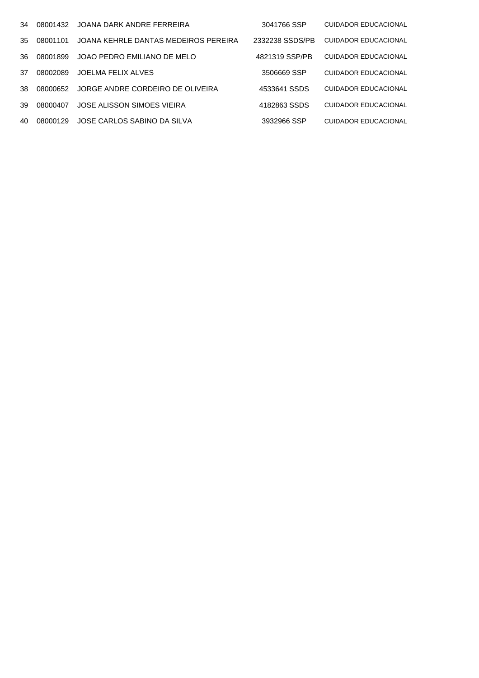| 34  | 08001432 | JOANA DARK ANDRE FERREIRA            | 3041766 SSP     | <b>CUIDADOR EDUCACIONAL</b> |
|-----|----------|--------------------------------------|-----------------|-----------------------------|
| 35  | 08001101 | JOANA KEHRLE DANTAS MEDEIROS PEREIRA | 2332238 SSDS/PB | <b>CUIDADOR EDUCACIONAL</b> |
| 36. | 08001899 | JOAO PEDRO EMILIANO DE MELO          | 4821319 SSP/PB  | <b>CUIDADOR EDUCACIONAL</b> |
| 37  | 08002089 | JOELMA FELIX ALVES                   | 3506669 SSP     | <b>CUIDADOR EDUCACIONAL</b> |
| 38. | 08000652 | JORGE ANDRE CORDEIRO DE OLIVEIRA     | 4533641 SSDS    | <b>CUIDADOR EDUCACIONAL</b> |
| 39  | 08000407 | JOSE ALISSON SIMOES VIEIRA           | 4182863 SSDS    | <b>CUIDADOR EDUCACIONAL</b> |
| 40  | 08000129 | JOSE CARLOS SABINO DA SILVA          | 3932966 SSP     | <b>CUIDADOR EDUCACIONAL</b> |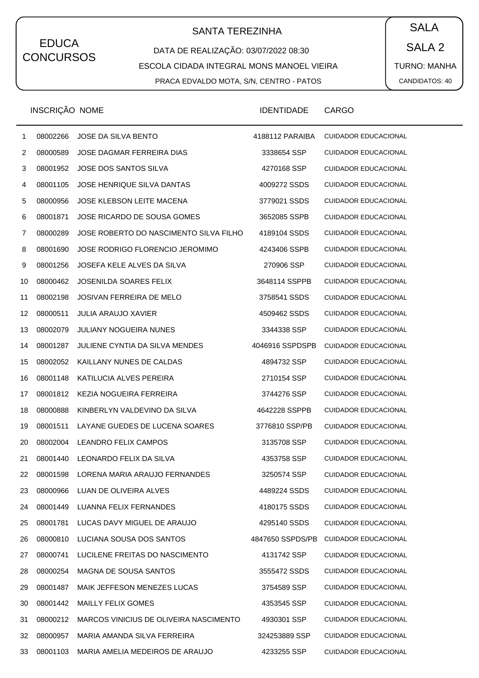# SANTA TEREZINHA  $\begin{pmatrix} \bullet & SALA \end{pmatrix}$

DATA DE REALIZAÇÃO: 03/07/2022 08:30 ESCOLA CIDADA INTEGRAL MONS MANOEL VIEIRA PRACA EDVALDO MOTA, S/N, CENTRO - PATOS

SALA 2 TURNO: MANHA CANDIDATOS: 40

|              | INSCRIÇÃO NOME |                                        | <b>IDENTIDADE</b> | <b>CARGO</b>                |
|--------------|----------------|----------------------------------------|-------------------|-----------------------------|
| $\mathbf{1}$ | 08002266       | <b>JOSE DA SILVA BENTO</b>             | 4188112 PARAIBA   | <b>CUIDADOR EDUCACIONAL</b> |
| 2            | 08000589       | <b>JOSE DAGMAR FERREIRA DIAS</b>       | 3338654 SSP       | <b>CUIDADOR EDUCACIONAL</b> |
| 3            | 08001952       | <b>JOSE DOS SANTOS SILVA</b>           | 4270168 SSP       | <b>CUIDADOR EDUCACIONAL</b> |
| 4            | 08001105       | <b>JOSE HENRIQUE SILVA DANTAS</b>      | 4009272 SSDS      | <b>CUIDADOR EDUCACIONAL</b> |
| 5            | 08000956       | JOSE KLEBSON LEITE MACENA              | 3779021 SSDS      | <b>CUIDADOR EDUCACIONAL</b> |
| 6            | 08001871       | JOSE RICARDO DE SOUSA GOMES            | 3652085 SSPB      | <b>CUIDADOR EDUCACIONAL</b> |
| 7            | 08000289       | JOSE ROBERTO DO NASCIMENTO SILVA FILHO | 4189104 SSDS      | <b>CUIDADOR EDUCACIONAL</b> |
| 8            | 08001690       | JOSE RODRIGO FLORENCIO JEROMIMO        | 4243406 SSPB      | <b>CUIDADOR EDUCACIONAL</b> |
| 9            | 08001256       | JOSEFA KELE ALVES DA SILVA             | 270906 SSP        | <b>CUIDADOR EDUCACIONAL</b> |
| 10           | 08000462       | <b>JOSENILDA SOARES FELIX</b>          | 3648114 SSPPB     | <b>CUIDADOR EDUCACIONAL</b> |
| 11           | 08002198       | <b>JOSIVAN FERREIRA DE MELO</b>        | 3758541 SSDS      | <b>CUIDADOR EDUCACIONAL</b> |
| 12           | 08000511       | <b>JULIA ARAUJO XAVIER</b>             | 4509462 SSDS      | <b>CUIDADOR EDUCACIONAL</b> |
| 13           | 08002079       | <b>JULIANY NOGUEIRA NUNES</b>          | 3344338 SSP       | <b>CUIDADOR EDUCACIONAL</b> |
| 14           | 08001287       | JULIENE CYNTIA DA SILVA MENDES         | 4046916 SSPDSPB   | <b>CUIDADOR EDUCACIONAL</b> |
| 15           | 08002052       | KAILLANY NUNES DE CALDAS               | 4894732 SSP       | <b>CUIDADOR EDUCACIONAL</b> |
| 16           | 08001148       | KATILUCIA ALVES PEREIRA                | 2710154 SSP       | <b>CUIDADOR EDUCACIONAL</b> |
| 17           | 08001812       | KEZIA NOGUEIRA FERREIRA                | 3744276 SSP       | <b>CUIDADOR EDUCACIONAL</b> |
| 18           | 08000888       | KINBERLYN VALDEVINO DA SILVA           | 4642228 SSPPB     | <b>CUIDADOR EDUCACIONAL</b> |
| 19           | 08001511       | LAYANE GUEDES DE LUCENA SOARES         | 3776810 SSP/PB    | <b>CUIDADOR EDUCACIONAL</b> |
| 20           | 08002004       | <b>LEANDRO FELIX CAMPOS</b>            | 3135708 SSP       | <b>CUIDADOR EDUCACIONAL</b> |
| 21           | 08001440       | LEONARDO FELIX DA SILVA                | 4353758 SSP       | <b>CUIDADOR EDUCACIONAL</b> |
| 22           | 08001598       | LORENA MARIA ARAUJO FERNANDES          | 3250574 SSP       | <b>CUIDADOR EDUCACIONAL</b> |
| 23           | 08000966       | LUAN DE OLIVEIRA ALVES                 | 4489224 SSDS      | <b>CUIDADOR EDUCACIONAL</b> |
| 24           | 08001449       | LUANNA FELIX FERNANDES                 | 4180175 SSDS      | <b>CUIDADOR EDUCACIONAL</b> |
| 25           | 08001781       | LUCAS DAVY MIGUEL DE ARAUJO            | 4295140 SSDS      | <b>CUIDADOR EDUCACIONAL</b> |
| 26           | 08000810       | LUCIANA SOUSA DOS SANTOS               | 4847650 SSPDS/PB  | <b>CUIDADOR EDUCACIONAL</b> |
| 27           | 08000741       | LUCILENE FREITAS DO NASCIMENTO         | 4131742 SSP       | <b>CUIDADOR EDUCACIONAL</b> |
| 28           | 08000254       | MAGNA DE SOUSA SANTOS                  | 3555472 SSDS      | <b>CUIDADOR EDUCACIONAL</b> |
| 29           | 08001487       | MAIK JEFFESON MENEZES LUCAS            | 3754589 SSP       | <b>CUIDADOR EDUCACIONAL</b> |
| 30           | 08001442       | <b>MAILLY FELIX GOMES</b>              | 4353545 SSP       | <b>CUIDADOR EDUCACIONAL</b> |
| 31           | 08000212       | MARCOS VINICIUS DE OLIVEIRA NASCIMENTO | 4930301 SSP       | <b>CUIDADOR EDUCACIONAL</b> |
| 32           | 08000957       | MARIA AMANDA SILVA FERREIRA            | 324253889 SSP     | <b>CUIDADOR EDUCACIONAL</b> |
| 33           | 08001103       | MARIA AMELIA MEDEIROS DE ARAUJO        | 4233255 SSP       | <b>CUIDADOR EDUCACIONAL</b> |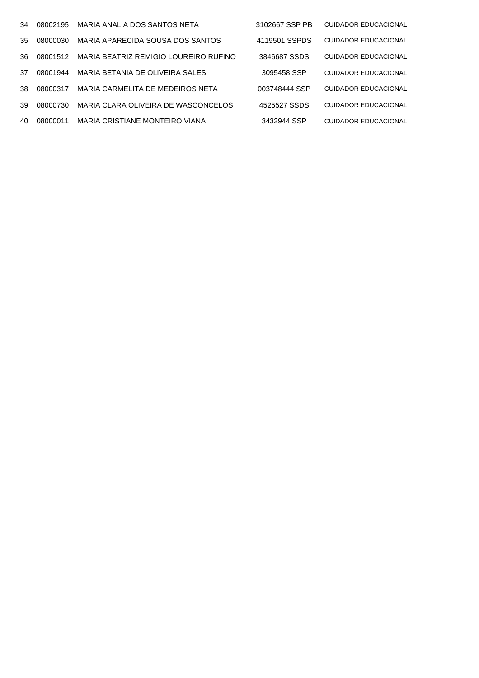| 34  | 08002195 | MARIA ANALIA DOS SANTOS NETA          | 3102667 SSP PB | CUIDADOR EDUCACIONAL |
|-----|----------|---------------------------------------|----------------|----------------------|
| 35. | 08000030 | MARIA APARECIDA SOUSA DOS SANTOS      | 4119501 SSPDS  | CUIDADOR EDUCACIONAL |
| 36. | 08001512 | MARIA BEATRIZ REMIGIO LOUREIRO RUFINO | 3846687 SSDS   | CUIDADOR EDUCACIONAL |
| 37  | 08001944 | MARIA BETANIA DE OLIVEIRA SALES       | 3095458 SSP    | CUIDADOR EDUCACIONAL |
| 38. | 08000317 | MARIA CARMELITA DE MEDEIROS NETA      | 003748444 SSP  | CUIDADOR EDUCACIONAL |
| 39  | 08000730 | MARIA CLARA OLIVEIRA DE WASCONCELOS   | 4525527 SSDS   | CUIDADOR EDUCACIONAL |
| 40  | 08000011 | MARIA CRISTIANE MONTEIRO VIANA        | 3432944 SSP    | CUIDADOR EDUCACIONAL |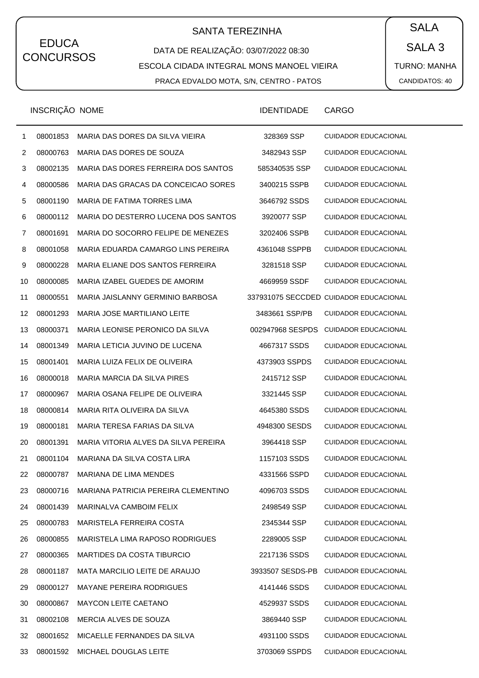# SANTA TEREZINHA  $\begin{pmatrix} \bullet & SALA \end{pmatrix}$

DATA DE REALIZAÇÃO: 03/07/2022 08:30 ESCOLA CIDADA INTEGRAL MONS MANOEL VIEIRA PRACA EDVALDO MOTA, S/N, CENTRO - PATOS

SALA 3 TURNO: MANHA CANDIDATOS: 40

|              | INSCRIÇÃO NOME |                                      | <b>IDENTIDADE</b> | <b>CARGO</b>                           |
|--------------|----------------|--------------------------------------|-------------------|----------------------------------------|
| $\mathbf{1}$ | 08001853       | MARIA DAS DORES DA SILVA VIEIRA      | 328369 SSP        | <b>CUIDADOR EDUCACIONAL</b>            |
| 2            | 08000763       | MARIA DAS DORES DE SOUZA             | 3482943 SSP       | <b>CUIDADOR EDUCACIONAL</b>            |
| 3            | 08002135       | MARIA DAS DORES FERREIRA DOS SANTOS  | 585340535 SSP     | <b>CUIDADOR EDUCACIONAL</b>            |
| 4            | 08000586       | MARIA DAS GRACAS DA CONCEICAO SORES  | 3400215 SSPB      | <b>CUIDADOR EDUCACIONAL</b>            |
| 5            | 08001190       | MARIA DE FATIMA TORRES LIMA          | 3646792 SSDS      | <b>CUIDADOR EDUCACIONAL</b>            |
| 6            | 08000112       | MARIA DO DESTERRO LUCENA DOS SANTOS  | 3920077 SSP       | <b>CUIDADOR EDUCACIONAL</b>            |
| 7            | 08001691       | MARIA DO SOCORRO FELIPE DE MENEZES   | 3202406 SSPB      | <b>CUIDADOR EDUCACIONAL</b>            |
| 8            | 08001058       | MARIA EDUARDA CAMARGO LINS PEREIRA   | 4361048 SSPPB     | <b>CUIDADOR EDUCACIONAL</b>            |
| 9            | 08000228       | MARIA ELIANE DOS SANTOS FERREIRA     | 3281518 SSP       | <b>CUIDADOR EDUCACIONAL</b>            |
| 10           | 08000085       | MARIA IZABEL GUEDES DE AMORIM        | 4669959 SSDF      | <b>CUIDADOR EDUCACIONAL</b>            |
| 11           | 08000551       | MARIA JAISLANNY GERMINIO BARBOSA     |                   | 337931075 SECCDED CUIDADOR EDUCACIONAL |
| 12           | 08001293       | MARIA JOSE MARTILIANO LEITE          | 3483661 SSP/PB    | <b>CUIDADOR EDUCACIONAL</b>            |
| 13           | 08000371       | MARIA LEONISE PERONICO DA SILVA      | 002947968 SESPDS  | <b>CUIDADOR EDUCACIONAL</b>            |
| 14           | 08001349       | MARIA LETICIA JUVINO DE LUCENA       | 4667317 SSDS      | <b>CUIDADOR EDUCACIONAL</b>            |
| 15           | 08001401       | MARIA LUIZA FELIX DE OLIVEIRA        | 4373903 SSPDS     | <b>CUIDADOR EDUCACIONAL</b>            |
| 16           | 08000018       | MARIA MARCIA DA SILVA PIRES          | 2415712 SSP       | <b>CUIDADOR EDUCACIONAL</b>            |
| 17           | 08000967       | MARIA OSANA FELIPE DE OLIVEIRA       | 3321445 SSP       | <b>CUIDADOR EDUCACIONAL</b>            |
| 18           | 08000814       | MARIA RITA OLIVEIRA DA SILVA         | 4645380 SSDS      | <b>CUIDADOR EDUCACIONAL</b>            |
| 19           | 08000181       | MARIA TERESA FARIAS DA SILVA         | 4948300 SESDS     | <b>CUIDADOR EDUCACIONAL</b>            |
| 20           | 08001391       | MARIA VITORIA ALVES DA SILVA PEREIRA | 3964418 SSP       | <b>CUIDADOR EDUCACIONAL</b>            |
| 21           | 08001104       | MARIANA DA SILVA COSTA LIRA          | 1157103 SSDS      | <b>CUIDADOR EDUCACIONAL</b>            |
| 22           | 08000787       | <b>MARIANA DE LIMA MENDES</b>        | 4331566 SSPD      | <b>CUIDADOR EDUCACIONAL</b>            |
| 23           | 08000716       | MARIANA PATRICIA PEREIRA CLEMENTINO  | 4096703 SSDS      | <b>CUIDADOR EDUCACIONAL</b>            |
| 24           | 08001439       | MARINALVA CAMBOIM FELIX              | 2498549 SSP       | <b>CUIDADOR EDUCACIONAL</b>            |
| 25           | 08000783       | MARISTELA FERREIRA COSTA             | 2345344 SSP       | <b>CUIDADOR EDUCACIONAL</b>            |
| 26           | 08000855       | MARISTELA LIMA RAPOSO RODRIGUES      | 2289005 SSP       | <b>CUIDADOR EDUCACIONAL</b>            |
| 27           | 08000365       | <b>MARTIDES DA COSTA TIBURCIO</b>    | 2217136 SSDS      | <b>CUIDADOR EDUCACIONAL</b>            |
| 28           | 08001187       | MATA MARCILIO LEITE DE ARAUJO        | 3933507 SESDS-PB  | <b>CUIDADOR EDUCACIONAL</b>            |
| 29           | 08000127       | MAYANE PEREIRA RODRIGUES             | 4141446 SSDS      | <b>CUIDADOR EDUCACIONAL</b>            |
| 30           | 08000867       | <b>MAYCON LEITE CAETANO</b>          | 4529937 SSDS      | <b>CUIDADOR EDUCACIONAL</b>            |
| 31           | 08002108       | MERCIA ALVES DE SOUZA                | 3869440 SSP       | <b>CUIDADOR EDUCACIONAL</b>            |
| 32           | 08001652       | MICAELLE FERNANDES DA SILVA          | 4931100 SSDS      | <b>CUIDADOR EDUCACIONAL</b>            |
| 33           | 08001592       | MICHAEL DOUGLAS LEITE                | 3703069 SSPDS     | <b>CUIDADOR EDUCACIONAL</b>            |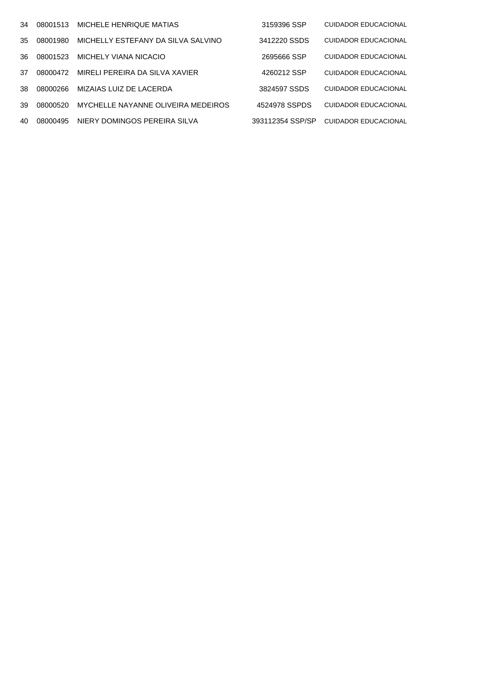| 34  | 08001513 | MICHELE HENRIQUE MATIAS            | 3159396 SSP      | CUIDADOR EDUCACIONAL        |
|-----|----------|------------------------------------|------------------|-----------------------------|
| 35. | 08001980 | MICHELLY ESTEFANY DA SILVA SALVINO | 3412220 SSDS     | <b>CUIDADOR EDUCACIONAL</b> |
| 36. | 08001523 | MICHELY VIANA NICACIO              | 2695666 SSP      | <b>CUIDADOR EDUCACIONAL</b> |
| 37  | 08000472 | MIRELI PEREIRA DA SILVA XAVIER     | 4260212 SSP      | <b>CUIDADOR EDUCACIONAL</b> |
| 38. | 08000266 | MIZAIAS LUIZ DE LACERDA            | 3824597 SSDS     | <b>CUIDADOR EDUCACIONAL</b> |
| 39  | 08000520 | MYCHELLE NAYANNE OLIVEIRA MEDEIROS | 4524978 SSPDS    | <b>CUIDADOR EDUCACIONAL</b> |
| 40  | 08000495 | NIERY DOMINGOS PEREIRA SILVA       | 393112354 SSP/SP | CUIDADOR EDUCACIONAL        |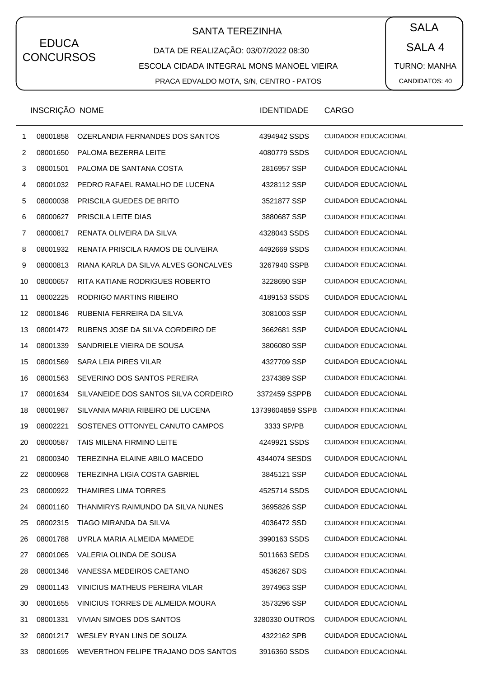# SANTA TEREZINHA  $\begin{pmatrix} \bullet & SALA \end{pmatrix}$

DATA DE REALIZAÇÃO: 03/07/2022 08:30 ESCOLA CIDADA INTEGRAL MONS MANOEL VIEIRA PRACA EDVALDO MOTA, S/N, CENTRO - PATOS

SALA 4 TURNO: MANHA CANDIDATOS: 40

|    | INSCRIÇÃO NOME |                                              | <b>IDENTIDADE</b> | <b>CARGO</b>                |
|----|----------------|----------------------------------------------|-------------------|-----------------------------|
| 1  | 08001858       | OZERLANDIA FERNANDES DOS SANTOS              | 4394942 SSDS      | <b>CUIDADOR EDUCACIONAL</b> |
| 2  | 08001650       | PALOMA BEZERRA LEITE                         | 4080779 SSDS      | <b>CUIDADOR EDUCACIONAL</b> |
| 3  | 08001501       | PALOMA DE SANTANA COSTA                      | 2816957 SSP       | <b>CUIDADOR EDUCACIONAL</b> |
| 4  | 08001032       | PEDRO RAFAEL RAMALHO DE LUCENA               | 4328112 SSP       | <b>CUIDADOR EDUCACIONAL</b> |
| 5  | 08000038       | PRISCILA GUEDES DE BRITO                     | 3521877 SSP       | <b>CUIDADOR EDUCACIONAL</b> |
| 6  | 08000627       | PRISCILA LEITE DIAS                          | 3880687 SSP       | <b>CUIDADOR EDUCACIONAL</b> |
| 7  | 08000817       | RENATA OLIVEIRA DA SILVA                     | 4328043 SSDS      | <b>CUIDADOR EDUCACIONAL</b> |
| 8  | 08001932       | RENATA PRISCILA RAMOS DE OLIVEIRA            | 4492669 SSDS      | <b>CUIDADOR EDUCACIONAL</b> |
| 9  | 08000813       | RIANA KARLA DA SILVA ALVES GONCALVES         | 3267940 SSPB      | <b>CUIDADOR EDUCACIONAL</b> |
| 10 | 08000657       | RITA KATIANE RODRIGUES ROBERTO               | 3228690 SSP       | <b>CUIDADOR EDUCACIONAL</b> |
| 11 | 08002225       | RODRIGO MARTINS RIBEIRO                      | 4189153 SSDS      | <b>CUIDADOR EDUCACIONAL</b> |
| 12 | 08001846       | RUBENIA FERREIRA DA SILVA                    | 3081003 SSP       | <b>CUIDADOR EDUCACIONAL</b> |
| 13 | 08001472       | RUBENS JOSE DA SILVA CORDEIRO DE             | 3662681 SSP       | <b>CUIDADOR EDUCACIONAL</b> |
| 14 | 08001339       | SANDRIELE VIEIRA DE SOUSA                    | 3806080 SSP       | <b>CUIDADOR EDUCACIONAL</b> |
| 15 | 08001569       | SARA LEIA PIRES VILAR                        | 4327709 SSP       | <b>CUIDADOR EDUCACIONAL</b> |
| 16 | 08001563       | SEVERINO DOS SANTOS PEREIRA                  | 2374389 SSP       | <b>CUIDADOR EDUCACIONAL</b> |
| 17 | 08001634       | SILVANEIDE DOS SANTOS SILVA CORDEIRO         | 3372459 SSPPB     | <b>CUIDADOR EDUCACIONAL</b> |
| 18 | 08001987       | SILVANIA MARIA RIBEIRO DE LUCENA             | 13739604859 SSPB  | <b>CUIDADOR EDUCACIONAL</b> |
| 19 | 08002221       | SOSTENES OTTONYEL CANUTO CAMPOS              | 3333 SP/PB        | <b>CUIDADOR EDUCACIONAL</b> |
| 20 | 08000587       | TAIS MILENA FIRMINO LEITE                    | 4249921 SSDS      | <b>CUIDADOR EDUCACIONAL</b> |
| 21 | 08000340       | TEREZINHA ELAINE ABILO MACEDO                | 4344074 SESDS     | <b>CUIDADOR EDUCACIONAL</b> |
| 22 | 08000968       | TEREZINHA LIGIA COSTA GABRIEL                | 3845121 SSP       | <b>CUIDADOR EDUCACIONAL</b> |
| 23 | 08000922       | THAMIRES LIMA TORRES                         | 4525714 SSDS      | <b>CUIDADOR EDUCACIONAL</b> |
| 24 | 08001160       | THANMIRYS RAIMUNDO DA SILVA NUNES            | 3695826 SSP       | <b>CUIDADOR EDUCACIONAL</b> |
| 25 | 08002315       | TIAGO MIRANDA DA SILVA                       | 4036472 SSD       | <b>CUIDADOR EDUCACIONAL</b> |
| 26 | 08001788       | UYRLA MARIA ALMEIDA MAMEDE                   | 3990163 SSDS      | <b>CUIDADOR EDUCACIONAL</b> |
| 27 | 08001065       | VALERIA OLINDA DE SOUSA                      | 5011663 SEDS      | <b>CUIDADOR EDUCACIONAL</b> |
| 28 | 08001346       | VANESSA MEDEIROS CAETANO                     | 4536267 SDS       | <b>CUIDADOR EDUCACIONAL</b> |
| 29 | 08001143       | VINICIUS MATHEUS PEREIRA VILAR               | 3974963 SSP       | <b>CUIDADOR EDUCACIONAL</b> |
| 30 | 08001655       | VINICIUS TORRES DE ALMEIDA MOURA             | 3573296 SSP       | <b>CUIDADOR EDUCACIONAL</b> |
| 31 | 08001331       | VIVIAN SIMOES DOS SANTOS                     | 3280330 OUTROS    | <b>CUIDADOR EDUCACIONAL</b> |
| 32 | 08001217       | WESLEY RYAN LINS DE SOUZA                    | 4322162 SPB       | <b>CUIDADOR EDUCACIONAL</b> |
| 33 |                | 08001695 WEVERTHON FELIPE TRAJANO DOS SANTOS | 3916360 SSDS      | <b>CUIDADOR EDUCACIONAL</b> |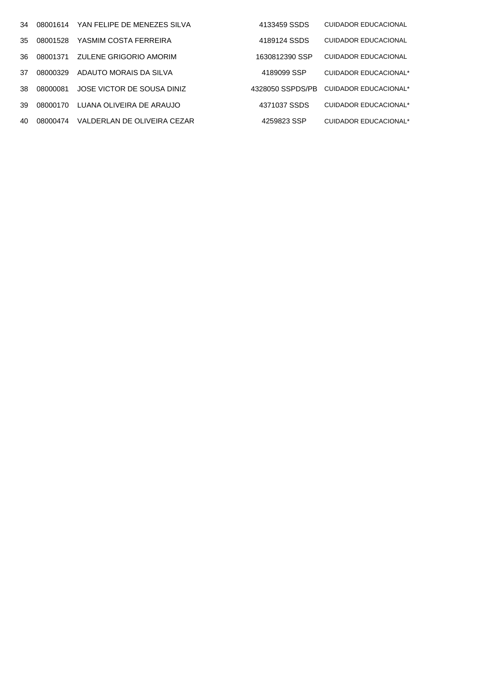| 34  | 08001614 | YAN FELIPE DE MENEZES SILVA | 4133459 SSDS     | CUIDADOR EDUCACIONAL        |
|-----|----------|-----------------------------|------------------|-----------------------------|
| 35  | 08001528 | YASMIM COSTA FERREIRA       | 4189124 SSDS     | <b>CUIDADOR EDUCACIONAL</b> |
| 36. | 08001371 | ZULENE GRIGORIO AMORIM      | 1630812390 SSP   | CUIDADOR EDUCACIONAL        |
| 37  | 08000329 | ADAUTO MORAIS DA SILVA      | 4189099 SSP      | CUIDADOR EDUCACIONAL*       |
| 38. | 08000081 | JOSE VICTOR DE SOUSA DINIZ  | 4328050 SSPDS/PB | CUIDADOR EDUCACIONAL*       |
| 39  | 08000170 | LUANA OLIVEIRA DE ARAUJO    | 4371037 SSDS     | CUIDADOR EDUCACIONAL*       |
| 40. | 08000474 | VALDERLAN DE OLIVEIRA CEZAR | 4259823 SSP      | CUIDADOR EDUCACIONAL*       |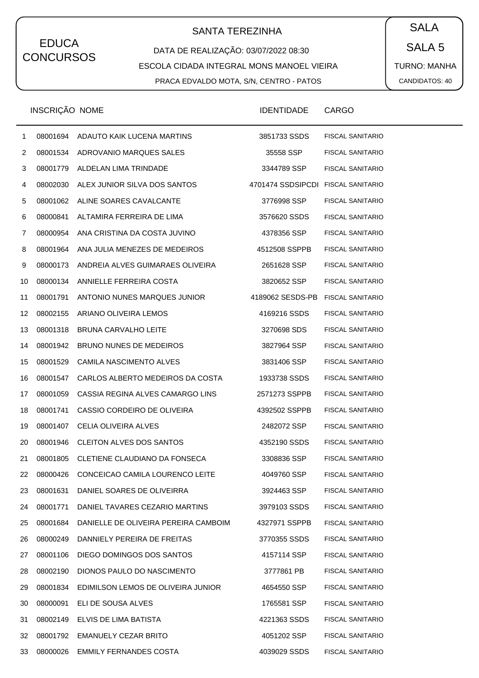## SANTA TEREZINHA  $\begin{pmatrix} \bullet & SALA \end{pmatrix}$

#### DATA DE REALIZAÇÃO: 03/07/2022 08:30 ESCOLA CIDADA INTEGRAL MONS MANOEL VIEIRA PRACA EDVALDO MOTA, S/N, CENTRO - PATOS

SALA 5 TURNO: MANHA CANDIDATOS: 40

|              | <b>INSCRIÇAO NOME</b> |                                      | <b>IDENTIDADE</b> | CARGO                   |
|--------------|-----------------------|--------------------------------------|-------------------|-------------------------|
| $\mathbf{1}$ | 08001694              | ADAUTO KAIK LUCENA MARTINS           | 3851733 SSDS      | <b>FISCAL SANITARIO</b> |
| 2            | 08001534              | ADROVANIO MARQUES SALES              | 35558 SSP         | <b>FISCAL SANITARIO</b> |
| 3            | 08001779              | ALDELAN LIMA TRINDADE                | 3344789 SSP       | <b>FISCAL SANITARIO</b> |
| 4            | 08002030              | ALEX JUNIOR SILVA DOS SANTOS         | 4701474 SSDSIPCDI | <b>FISCAL SANITARIO</b> |
| 5            | 08001062              | ALINE SOARES CAVALCANTE              | 3776998 SSP       | <b>FISCAL SANITARIO</b> |
| 6            | 08000841              | ALTAMIRA FERREIRA DE LIMA            | 3576620 SSDS      | <b>FISCAL SANITARIO</b> |
| 7            | 08000954              | ANA CRISTINA DA COSTA JUVINO         | 4378356 SSP       | <b>FISCAL SANITARIO</b> |
| 8            | 08001964              | ANA JULIA MENEZES DE MEDEIROS        | 4512508 SSPPB     | <b>FISCAL SANITARIO</b> |
| 9            | 08000173              | ANDREIA ALVES GUIMARAES OLIVEIRA     | 2651628 SSP       | <b>FISCAL SANITARIO</b> |
| 10           | 08000134              | ANNIELLE FERREIRA COSTA              | 3820652 SSP       | <b>FISCAL SANITARIO</b> |
| 11           | 08001791              | ANTONIO NUNES MARQUES JUNIOR         | 4189062 SESDS-PB  | <b>FISCAL SANITARIO</b> |
| 12           | 08002155              | ARIANO OLIVEIRA LEMOS                | 4169216 SSDS      | <b>FISCAL SANITARIO</b> |
| 13           | 08001318              | <b>BRUNA CARVALHO LEITE</b>          | 3270698 SDS       | <b>FISCAL SANITARIO</b> |
| 14           | 08001942              | BRUNO NUNES DE MEDEIROS              | 3827964 SSP       | <b>FISCAL SANITARIO</b> |
| 15           | 08001529              | CAMILA NASCIMENTO ALVES              | 3831406 SSP       | <b>FISCAL SANITARIO</b> |
| 16           | 08001547              | CARLOS ALBERTO MEDEIROS DA COSTA     | 1933738 SSDS      | <b>FISCAL SANITARIO</b> |
| 17           | 08001059              | CASSIA REGINA ALVES CAMARGO LINS     | 2571273 SSPPB     | <b>FISCAL SANITARIO</b> |
| 18           | 08001741              | CASSIO CORDEIRO DE OLIVEIRA          | 4392502 SSPPB     | <b>FISCAL SANITARIO</b> |
| 19           | 08001407              | <b>CELIA OLIVEIRA ALVES</b>          | 2482072 SSP       | <b>FISCAL SANITARIO</b> |
| 20           | 08001946              | CLEITON ALVES DOS SANTOS             | 4352190 SSDS      | <b>FISCAL SANITARIO</b> |
| 21           | 08001805              | CLETIENE CLAUDIANO DA FONSECA        | 3308836 SSP       | <b>FISCAL SANITARIO</b> |
| 22           | 08000426              | CONCEICAO CAMILA LOURENCO LEITE      | 4049760 SSP       | <b>FISCAL SANITARIO</b> |
| 23           | 08001631              | DANIEL SOARES DE OLIVEIRRA           | 3924463 SSP       | <b>FISCAL SANITARIO</b> |
| 24           | 08001771              | DANIEL TAVARES CEZARIO MARTINS       | 3979103 SSDS      | <b>FISCAL SANITARIO</b> |
| 25           | 08001684              | DANIELLE DE OLIVEIRA PEREIRA CAMBOIM | 4327971 SSPPB     | <b>FISCAL SANITARIO</b> |
| 26           | 08000249              | DANNIELY PEREIRA DE FREITAS          | 3770355 SSDS      | <b>FISCAL SANITARIO</b> |
| 27           | 08001106              | DIEGO DOMINGOS DOS SANTOS            | 4157114 SSP       | <b>FISCAL SANITARIO</b> |
| 28           | 08002190              | DIONOS PAULO DO NASCIMENTO           | 3777861 PB        | <b>FISCAL SANITARIO</b> |
| 29           | 08001834              | EDIMILSON LEMOS DE OLIVEIRA JUNIOR   | 4654550 SSP       | <b>FISCAL SANITARIO</b> |
| 30           | 08000091              | ELI DE SOUSA ALVES                   | 1765581 SSP       | <b>FISCAL SANITARIO</b> |
| 31           | 08002149              | ELVIS DE LIMA BATISTA                | 4221363 SSDS      | <b>FISCAL SANITARIO</b> |
| 32           | 08001792              | EMANUELY CEZAR BRITO                 | 4051202 SSP       | <b>FISCAL SANITARIO</b> |
| 33           | 08000026              | <b>EMMILY FERNANDES COSTA</b>        | 4039029 SSDS      | <b>FISCAL SANITARIO</b> |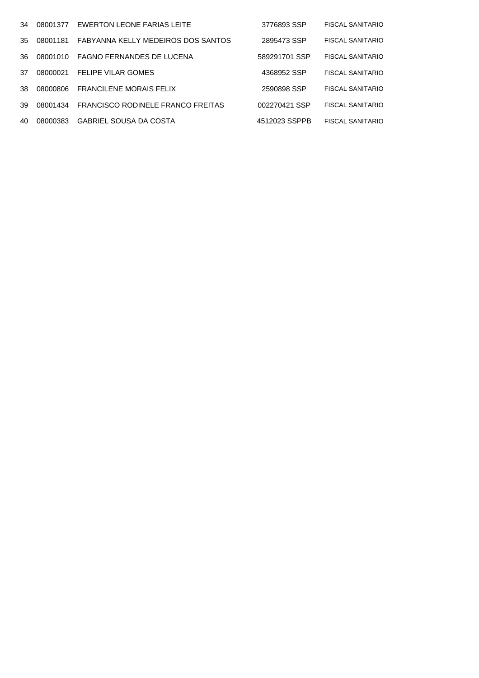| 34 | 08001377 | EWERTON LEONE FARIAS LEITE               | 3776893 SSP   | <b>FISCAL SANITARIO</b> |
|----|----------|------------------------------------------|---------------|-------------------------|
| 35 | 08001181 | FABYANNA KELLY MEDEIROS DOS SANTOS       | 2895473 SSP   | <b>FISCAL SANITARIO</b> |
| 36 | 08001010 | FAGNO FERNANDES DE LUCENA                | 589291701 SSP | <b>FISCAL SANITARIO</b> |
| 37 | 08000021 | <b>FELIPE VILAR GOMES</b>                | 4368952 SSP   | <b>FISCAL SANITARIO</b> |
| 38 | 08000806 | <b>FRANCILENE MORAIS FELIX</b>           | 2590898 SSP   | <b>FISCAL SANITARIO</b> |
| 39 | 08001434 | <b>FRANCISCO RODINELE FRANCO FREITAS</b> | 002270421 SSP | <b>FISCAL SANITARIO</b> |
| 40 | 08000383 | <b>GABRIEL SOUSA DA COSTA</b>            | 4512023 SSPPB | <b>FISCAL SANITARIO</b> |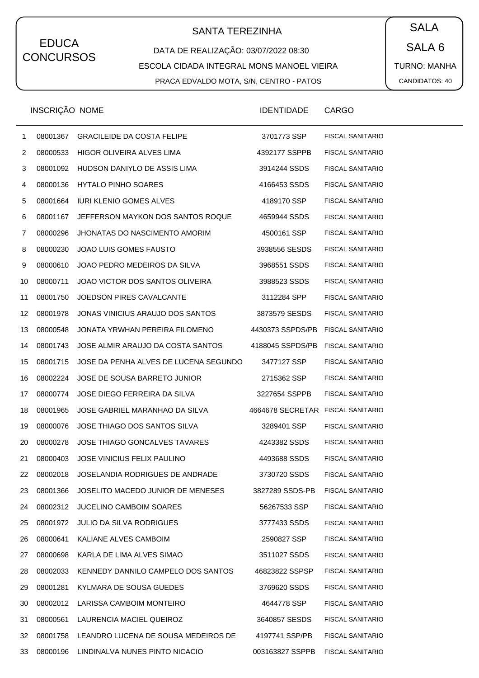# SANTA TEREZINHA  $\begin{pmatrix} \bullet & SALA \end{pmatrix}$

#### DATA DE REALIZAÇÃO: 03/07/2022 08:30 ESCOLA CIDADA INTEGRAL MONS MANOEL VIEIRA PRACA EDVALDO MOTA, S/N, CENTRO - PATOS

SALA 6 TURNO: MANHA CANDIDATOS: 40

|                | INSCRIÇÃO NOME |                                       | <b>IDENTIDADE</b> | <b>CARGO</b>            |
|----------------|----------------|---------------------------------------|-------------------|-------------------------|
| $\mathbf{1}$   | 08001367       | <b>GRACILEIDE DA COSTA FELIPE</b>     | 3701773 SSP       | <b>FISCAL SANITARIO</b> |
| $\overline{2}$ | 08000533       | HIGOR OLIVEIRA ALVES LIMA             | 4392177 SSPPB     | <b>FISCAL SANITARIO</b> |
| 3              | 08001092       | HUDSON DANIYLO DE ASSIS LIMA          | 3914244 SSDS      | FISCAL SANITARIO        |
| 4              | 08000136       | HYTALO PINHO SOARES                   | 4166453 SSDS      | <b>FISCAL SANITARIO</b> |
| 5              | 08001664       | <b>IURI KLENIO GOMES ALVES</b>        | 4189170 SSP       | <b>FISCAL SANITARIO</b> |
| 6              | 08001167       | JEFFERSON MAYKON DOS SANTOS ROQUE     | 4659944 SSDS      | FISCAL SANITARIO        |
| 7              | 08000296       | JHONATAS DO NASCIMENTO AMORIM         | 4500161 SSP       | <b>FISCAL SANITARIO</b> |
| 8              | 08000230       | JOAO LUIS GOMES FAUSTO                | 3938556 SESDS     | <b>FISCAL SANITARIO</b> |
| 9              | 08000610       | JOAO PEDRO MEDEIROS DA SILVA          | 3968551 SSDS      | FISCAL SANITARIO        |
| 10             | 08000711       | JOAO VICTOR DOS SANTOS OLIVEIRA       | 3988523 SSDS      | <b>FISCAL SANITARIO</b> |
| 11             | 08001750       | JOEDSON PIRES CAVALCANTE              | 3112284 SPP       | <b>FISCAL SANITARIO</b> |
| 12             | 08001978       | JONAS VINICIUS ARAUJO DOS SANTOS      | 3873579 SESDS     | FISCAL SANITARIO        |
| 13             | 08000548       | JONATA YRWHAN PEREIRA FILOMENO        | 4430373 SSPDS/PB  | <b>FISCAL SANITARIO</b> |
| 14             | 08001743       | JOSE ALMIR ARAUJO DA COSTA SANTOS     | 4188045 SSPDS/PB  | <b>FISCAL SANITARIO</b> |
| 15             | 08001715       | JOSE DA PENHA ALVES DE LUCENA SEGUNDO | 3477127 SSP       | <b>FISCAL SANITARIO</b> |
| 16             | 08002224       | JOSE DE SOUSA BARRETO JUNIOR          | 2715362 SSP       | <b>FISCAL SANITARIO</b> |
| 17             | 08000774       | JOSE DIEGO FERREIRA DA SILVA          | 3227654 SSPPB     | <b>FISCAL SANITARIO</b> |
| 18             | 08001965       | JOSE GABRIEL MARANHAO DA SILVA        | 4664678 SECRETAR  | <b>FISCAL SANITARIO</b> |
| 19             | 08000076       | JOSE THIAGO DOS SANTOS SILVA          | 3289401 SSP       | <b>FISCAL SANITARIO</b> |
| 20             | 08000278       | JOSE THIAGO GONCALVES TAVARES         | 4243382 SSDS      | <b>FISCAL SANITARIO</b> |
| 21             | 08000403       | JOSE VINICIUS FELIX PAULINO           | 4493688 SSDS      | <b>FISCAL SANITARIO</b> |
| 22             | 08002018       | JOSELANDIA RODRIGUES DE ANDRADE       | 3730720 SSDS      | <b>FISCAL SANITARIO</b> |
| 23             | 08001366       | JOSELITO MACEDO JUNIOR DE MENESES     | 3827289 SSDS-PB   | <b>FISCAL SANITARIO</b> |
| 24             | 08002312       | <b>JUCELINO CAMBOIM SOARES</b>        | 56267533 SSP      | <b>FISCAL SANITARIO</b> |
| 25             | 08001972       | <b>JULIO DA SILVA RODRIGUES</b>       | 3777433 SSDS      | <b>FISCAL SANITARIO</b> |
| 26             | 08000641       | KALIANE ALVES CAMBOIM                 | 2590827 SSP       | <b>FISCAL SANITARIO</b> |
| 27             | 08000698       | KARLA DE LIMA ALVES SIMAO             | 3511027 SSDS      | <b>FISCAL SANITARIO</b> |
| 28             | 08002033       | KENNEDY DANNILO CAMPELO DOS SANTOS    | 46823822 SSPSP    | <b>FISCAL SANITARIO</b> |
| 29             | 08001281       | KYLMARA DE SOUSA GUEDES               | 3769620 SSDS      | <b>FISCAL SANITARIO</b> |
| 30             | 08002012       | LARISSA CAMBOIM MONTEIRO              | 4644778 SSP       | <b>FISCAL SANITARIO</b> |
| 31             | 08000561       | LAURENCIA MACIEL QUEIROZ              | 3640857 SESDS     | <b>FISCAL SANITARIO</b> |
| 32             | 08001758       | LEANDRO LUCENA DE SOUSA MEDEIROS DE   | 4197741 SSP/PB    | <b>FISCAL SANITARIO</b> |
| 33             | 08000196       | LINDINALVA NUNES PINTO NICACIO        | 003163827 SSPPB   | <b>FISCAL SANITARIO</b> |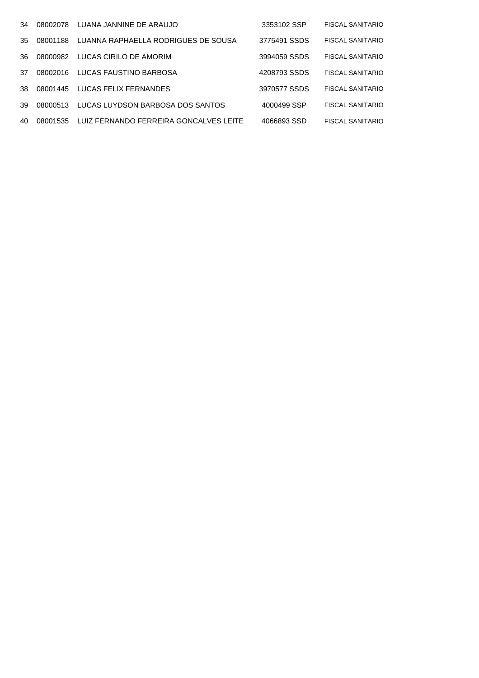| 34  | 08002078 | LUANA JANNINE DE ARAUJO                | 3353102 SSP  | FISCAL SANITARIO        |
|-----|----------|----------------------------------------|--------------|-------------------------|
| 35. | 08001188 | LUANNA RAPHAELLA RODRIGUES DE SOUSA    | 3775491 SSDS | FISCAL SANITARIO        |
| 36  | 08000982 | LUCAS CIRILO DE AMORIM                 | 3994059 SSDS | <b>FISCAL SANITARIO</b> |
| 37  | 08002016 | LUCAS FAUSTINO BARBOSA                 | 4208793 SSDS | <b>FISCAL SANITARIO</b> |
| 38  | 08001445 | LUCAS FELIX FERNANDES                  | 3970577 SSDS | <b>FISCAL SANITARIO</b> |
| 39  | 08000513 | LUCAS LUYDSON BARBOSA DOS SANTOS       | 4000499 SSP  | <b>FISCAL SANITARIO</b> |
| 40  | 08001535 | LUIZ FERNANDO FERREIRA GONCALVES LEITE | 4066893 SSD  | FISCAL SANITARIO        |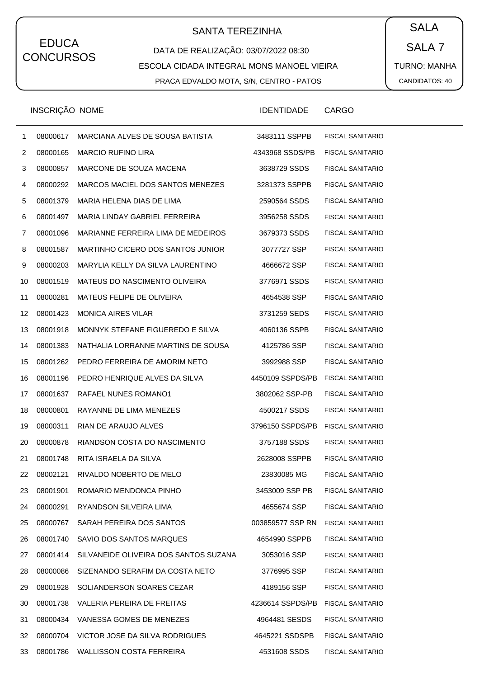# SANTA TEREZINHA  $\begin{pmatrix} \bullet & SALA \end{pmatrix}$

DATA DE REALIZAÇÃO: 03/07/2022 08:30 ESCOLA CIDADA INTEGRAL MONS MANOEL VIEIRA PRACA EDVALDO MOTA, S/N, CENTRO - PATOS

SALA 7 TURNO: MANHA CANDIDATOS: 40

|    | INSCRIÇÃO NOME |                                       | <b>IDENTIDADE</b> | CARGO                   |
|----|----------------|---------------------------------------|-------------------|-------------------------|
| 1  | 08000617       | MARCIANA ALVES DE SOUSA BATISTA       | 3483111 SSPPB     | <b>FISCAL SANITARIO</b> |
| 2  | 08000165       | <b>MARCIO RUFINO LIRA</b>             | 4343968 SSDS/PB   | <b>FISCAL SANITARIO</b> |
| 3  | 08000857       | MARCONE DE SOUZA MACENA               | 3638729 SSDS      | <b>FISCAL SANITARIO</b> |
| 4  | 08000292       | MARCOS MACIEL DOS SANTOS MENEZES      | 3281373 SSPPB     | <b>FISCAL SANITARIO</b> |
| 5  | 08001379       | MARIA HELENA DIAS DE LIMA             | 2590564 SSDS      | <b>FISCAL SANITARIO</b> |
| 6  | 08001497       | MARIA LINDAY GABRIEL FERREIRA         | 3956258 SSDS      | <b>FISCAL SANITARIO</b> |
| 7  | 08001096       | MARIANNE FERREIRA LIMA DE MEDEIROS    | 3679373 SSDS      | <b>FISCAL SANITARIO</b> |
| 8  | 08001587       | MARTINHO CICERO DOS SANTOS JUNIOR     | 3077727 SSP       | <b>FISCAL SANITARIO</b> |
| 9  | 08000203       | MARYLIA KELLY DA SILVA LAURENTINO     | 4666672 SSP       | <b>FISCAL SANITARIO</b> |
| 10 | 08001519       | MATEUS DO NASCIMENTO OLIVEIRA         | 3776971 SSDS      | <b>FISCAL SANITARIO</b> |
| 11 | 08000281       | MATEUS FELIPE DE OLIVEIRA             | 4654538 SSP       | <b>FISCAL SANITARIO</b> |
| 12 | 08001423       | <b>MONICA AIRES VILAR</b>             | 3731259 SEDS      | <b>FISCAL SANITARIO</b> |
| 13 | 08001918       | MONNYK STEFANE FIGUEREDO E SILVA      | 4060136 SSPB      | <b>FISCAL SANITARIO</b> |
| 14 | 08001383       | NATHALIA LORRANNE MARTINS DE SOUSA    | 4125786 SSP       | <b>FISCAL SANITARIO</b> |
| 15 | 08001262       | PEDRO FERREIRA DE AMORIM NETO         | 3992988 SSP       | <b>FISCAL SANITARIO</b> |
| 16 | 08001196       | PEDRO HENRIQUE ALVES DA SILVA         | 4450109 SSPDS/PB  | <b>FISCAL SANITARIO</b> |
| 17 | 08001637       | RAFAEL NUNES ROMANO1                  | 3802062 SSP-PB    | <b>FISCAL SANITARIO</b> |
| 18 | 08000801       | RAYANNE DE LIMA MENEZES               | 4500217 SSDS      | <b>FISCAL SANITARIO</b> |
| 19 | 08000311       | RIAN DE ARAUJO ALVES                  | 3796150 SSPDS/PB  | <b>FISCAL SANITARIO</b> |
| 20 | 08000878       | RIANDSON COSTA DO NASCIMENTO          | 3757188 SSDS      | <b>FISCAL SANITARIO</b> |
| 21 | 08001748       | RITA ISRAELA DA SILVA                 | 2628008 SSPPB     | <b>FISCAL SANITARIO</b> |
| 22 | 08002121       | RIVALDO NOBERTO DE MELO               | 23830085 MG       | <b>FISCAL SANITARIO</b> |
| 23 | 08001901       | ROMARIO MENDONCA PINHO                | 3453009 SSP PB    | FISCAL SANITARIO        |
| 24 | 08000291       | RYANDSON SILVEIRA LIMA                | 4655674 SSP       | <b>FISCAL SANITARIO</b> |
| 25 | 08000767       | SARAH PEREIRA DOS SANTOS              | 003859577 SSP RN  | <b>FISCAL SANITARIO</b> |
| 26 | 08001740       | SAVIO DOS SANTOS MARQUES              | 4654990 SSPPB     | <b>FISCAL SANITARIO</b> |
| 27 | 08001414       | SILVANEIDE OLIVEIRA DOS SANTOS SUZANA | 3053016 SSP       | <b>FISCAL SANITARIO</b> |
| 28 | 08000086       | SIZENANDO SERAFIM DA COSTA NETO       | 3776995 SSP       | <b>FISCAL SANITARIO</b> |
| 29 | 08001928       | SOLIANDERSON SOARES CEZAR             | 4189156 SSP       | <b>FISCAL SANITARIO</b> |
| 30 | 08001738       | VALERIA PEREIRA DE FREITAS            | 4236614 SSPDS/PB  | <b>FISCAL SANITARIO</b> |
| 31 | 08000434       | VANESSA GOMES DE MENEZES              | 4964481 SESDS     | <b>FISCAL SANITARIO</b> |
| 32 | 08000704       | VICTOR JOSE DA SILVA RODRIGUES        | 4645221 SSDSPB    | <b>FISCAL SANITARIO</b> |
| 33 | 08001786       | WALLISSON COSTA FERREIRA              | 4531608 SSDS      | FISCAL SANITARIO        |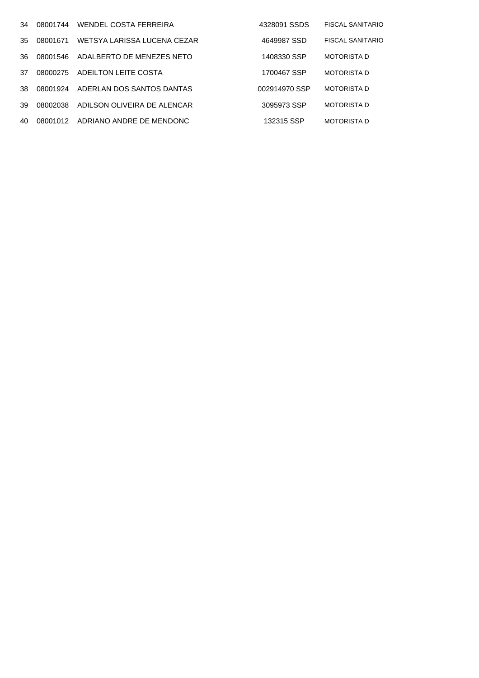| 34  | 08001744 | WENDEL COSTA FERREIRA       | 4328091 SSDS  | <b>FISCAL SANITARIO</b> |
|-----|----------|-----------------------------|---------------|-------------------------|
| 35. | 08001671 | WETSYA LARISSA LUCENA CEZAR | 4649987 SSD   | <b>FISCAL SANITARIO</b> |
| 36. | 08001546 | ADALBERTO DE MENEZES NETO   | 1408330 SSP   | <b>MOTORISTA D</b>      |
| 37  | 08000275 | ADEILTON LEITE COSTA        | 1700467 SSP   | <b>MOTORISTA D</b>      |
| 38  | 08001924 | ADERLAN DOS SANTOS DANTAS   | 002914970 SSP | <b>MOTORISTA D</b>      |
| 39  | 08002038 | ADILSON OLIVEIRA DE ALENCAR | 3095973 SSP   | <b>MOTORISTA D</b>      |
| 40  | 08001012 | ADRIANO ANDRE DE MENDONC    | 132315 SSP    | <b>MOTORISTA D</b>      |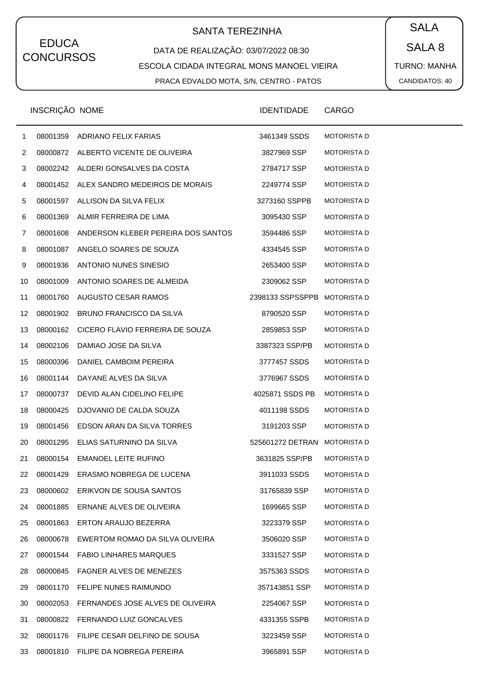# SANTA TEREZINHA  $\begin{pmatrix} \bullet & SALA \end{pmatrix}$

#### DATA DE REALIZAÇÃO: 03/07/2022 08:30 ESCOLA CIDADA INTEGRAL MONS MANOEL VIEIRA PRACA EDVALDO MOTA, S/N, CENTRO - PATOS

SALA 8 TURNO: MANHA CANDIDATOS: 40

|              | INSCRIÇÃO NOME |                                        | <b>IDENTIDADE</b>            | <b>CARGO</b>       |
|--------------|----------------|----------------------------------------|------------------------------|--------------------|
| $\mathbf{1}$ | 08001359       | ADRIANO FELIX FARIAS                   | 3461349 SSDS                 | <b>MOTORISTA D</b> |
| 2            |                | 08000872 ALBERTO VICENTE DE OLIVEIRA   | 3827969 SSP                  | <b>MOTORISTA D</b> |
| 3            |                | 08002242 ALDERI GONSALVES DA COSTA     | 2784717 SSP                  | <b>MOTORISTA D</b> |
| 4            | 08001452       | ALEX SANDRO MEDEIROS DE MORAIS         | 2249774 SSP                  | <b>MOTORISTA D</b> |
| 5            | 08001597       | ALLISON DA SILVA FELIX                 | 3273160 SSPPB                | <b>MOTORISTA D</b> |
| 6            | 08001369       | ALMIR FERREIRA DE LIMA                 | 3095430 SSP                  | <b>MOTORISTA D</b> |
| 7            | 08001608       | ANDERSON KLEBER PEREIRA DOS SANTOS     | 3594486 SSP                  | <b>MOTORISTA D</b> |
| 8            | 08001087       | ANGELO SOARES DE SOUZA                 | 4334545 SSP                  | <b>MOTORISTA D</b> |
| 9            | 08001936       | ANTONIO NUNES SINESIO                  | 2653400 SSP                  | <b>MOTORISTA D</b> |
| 10           | 08001009       | ANTONIO SOARES DE ALMEIDA              | 2309062 SSP                  | <b>MOTORISTA D</b> |
| 11           | 08001760       | AUGUSTO CESAR RAMOS                    | 2398133 SSPSSPPB MOTORISTA D |                    |
| 12           | 08001902       | <b>BRUNO FRANCISCO DA SILVA</b>        | 8790520 SSP                  | <b>MOTORISTA D</b> |
| 13           | 08000162       | CICERO FLAVIO FERREIRA DE SOUZA        | 2859853 SSP                  | <b>MOTORISTA D</b> |
| 14           | 08002106       | DAMIAO JOSE DA SILVA                   | 3387323 SSP/PB               | <b>MOTORISTA D</b> |
| 15           | 08000396       | DANIEL CAMBOIM PEREIRA                 | 3777457 SSDS                 | <b>MOTORISTA D</b> |
| 16           | 08001144       | DAYANE ALVES DA SILVA                  | 3776967 SSDS                 | <b>MOTORISTA D</b> |
| 17           | 08000737       | DEVID ALAN CIDELINO FELIPE             | 4025871 SSDS PB              | <b>MOTORISTA D</b> |
| 18           | 08000425       | DJOVANIO DE CALDA SOUZA                | 4011198 SSDS                 | <b>MOTORISTA D</b> |
| 19           | 08001456       | EDSON ARAN DA SILVA TORRES             | 3191203 SSP                  | <b>MOTORISTA D</b> |
| 20           | 08001295       | ELIAS SATURNINO DA SILVA               | 525601272 DETRAN MOTORISTA D |                    |
| 21           | 08000154       | <b>EMANOEL LEITE RUFINO</b>            | 3631825 SSP/PB               | <b>MOTORISTA D</b> |
| 22           |                | 08001429 ERASMO NOBREGA DE LUCENA      | 3911033 SSDS                 | <b>MOTORISTA D</b> |
| 23           | 08000602       | ERIKVON DE SOUSA SANTOS                | 31765839 SSP                 | <b>MOTORISTA D</b> |
| 24           | 08001885       | ERNANE ALVES DE OLIVEIRA               | 1699665 SSP                  | <b>MOTORISTA D</b> |
| 25           | 08001863       | ERTON ARAUJO BEZERRA                   | 3223379 SSP                  | <b>MOTORISTA D</b> |
| 26           | 08000678       | EWERTOM ROMAO DA SILVA OLIVEIRA        | 3506020 SSP                  | <b>MOTORISTA D</b> |
| 27           | 08001544       | <b>FABIO LINHARES MARQUES</b>          | 3331527 SSP                  | <b>MOTORISTA D</b> |
| 28           | 08000845       | <b>FAGNER ALVES DE MENEZES</b>         | 3575363 SSDS                 | <b>MOTORISTA D</b> |
| 29           | 08001170       | FELIPE NUNES RAIMUNDO                  | 357143851 SSP                | <b>MOTORISTA D</b> |
| 30           | 08002053       | FERNANDES JOSE ALVES DE OLIVEIRA       | 2254067 SSP                  | <b>MOTORISTA D</b> |
| 31           | 08000822       | FERNANDO LUIZ GONCALVES                | 4331355 SSPB                 | <b>MOTORISTA D</b> |
| 32           |                | 08001176 FILIPE CESAR DELFINO DE SOUSA | 3223459 SSP                  | <b>MOTORISTA D</b> |
| 33           |                | 08001810 FILIPE DA NOBREGA PEREIRA     | 3965891 SSP                  | <b>MOTORISTA D</b> |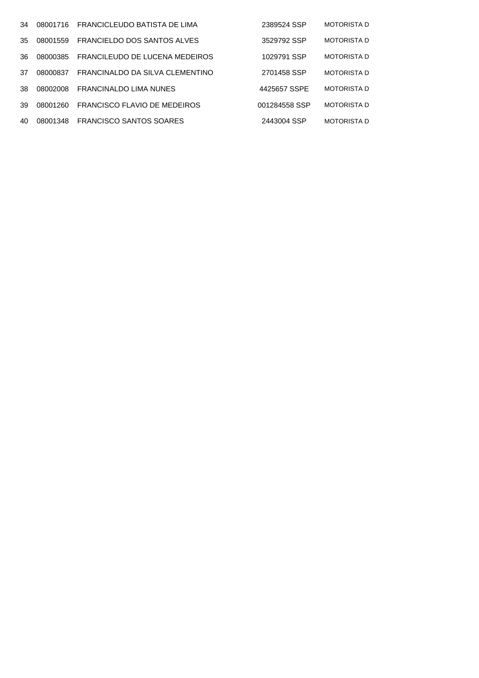| 34  | 08001716 | FRANCICLEUDO BATISTA DE LIMA    | 2389524 SSP   | <b>MOTORISTA D</b> |
|-----|----------|---------------------------------|---------------|--------------------|
| 35. | 08001559 | FRANCIELDO DOS SANTOS ALVES     | 3529792 SSP   | <b>MOTORISTA D</b> |
| 36  | 08000385 | FRANCILEUDO DE LUCENA MEDEIROS  | 1029791 SSP   | <b>MOTORISTA D</b> |
| 37  | 08000837 | FRANCINALDO DA SILVA CLEMENTINO | 2701458 SSP   | <b>MOTORISTA D</b> |
| 38  | 08002008 | <b>FRANCINALDO LIMA NUNES</b>   | 4425657 SSPE  | <b>MOTORISTA D</b> |
| 39  | 08001260 | FRANCISCO FLAVIO DE MEDEIROS    | 001284558 SSP | <b>MOTORISTA D</b> |
| 40  | 08001348 | FRANCISCO SANTOS SOARES         | 2443004 SSP   | <b>MOTORISTA D</b> |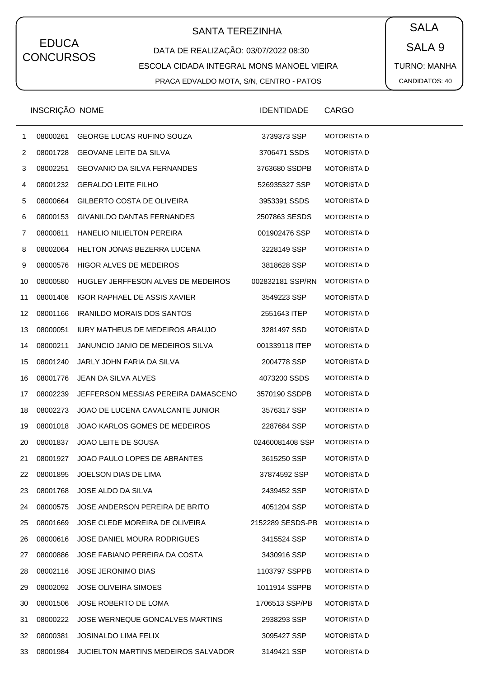# SANTA TEREZINHA  $\begin{pmatrix} SALA \end{pmatrix}$

#### DATA DE REALIZAÇÃO: 03/07/2022 08:30 ESCOLA CIDADA INTEGRAL MONS MANOEL VIEIRA PRACA EDVALDO MOTA, S/N, CENTRO - PATOS

SALA 9 TURNO: MANHA CANDIDATOS: 40

|                | INSCRIÇÃO NOME |                                        | <b>IDENTIDADE</b> | CARGO              |
|----------------|----------------|----------------------------------------|-------------------|--------------------|
| $\mathbf{1}$   | 08000261       | <b>GEORGE LUCAS RUFINO SOUZA</b>       | 3739373 SSP       | <b>MOTORISTA D</b> |
| $\overline{2}$ | 08001728       | <b>GEOVANE LEITE DA SILVA</b>          | 3706471 SSDS      | <b>MOTORISTA D</b> |
| 3              | 08002251       | <b>GEOVANIO DA SILVA FERNANDES</b>     | 3763680 SSDPB     | <b>MOTORISTA D</b> |
| 4              | 08001232       | <b>GERALDO LEITE FILHO</b>             | 526935327 SSP     | <b>MOTORISTA D</b> |
| 5              | 08000664       | GILBERTO COSTA DE OLIVEIRA             | 3953391 SSDS      | <b>MOTORISTA D</b> |
| 6              | 08000153       | GIVANILDO DANTAS FERNANDES             | 2507863 SESDS     | <b>MOTORISTA D</b> |
| 7              | 08000811       | <b>HANELIO NILIELTON PEREIRA</b>       | 001902476 SSP     | <b>MOTORISTA D</b> |
| 8              | 08002064       | HELTON JONAS BEZERRA LUCENA            | 3228149 SSP       | <b>MOTORISTA D</b> |
| 9              | 08000576       | <b>HIGOR ALVES DE MEDEIROS</b>         | 3818628 SSP       | <b>MOTORISTA D</b> |
| 10             | 08000580       | HUGLEY JERFFESON ALVES DE MEDEIROS     | 002832181 SSP/RN  | <b>MOTORISTA D</b> |
| 11             | 08001408       | IGOR RAPHAEL DE ASSIS XAVIER           | 3549223 SSP       | <b>MOTORISTA D</b> |
| 12             | 08001166       | <b>IRANILDO MORAIS DOS SANTOS</b>      | 2551643 ITEP      | <b>MOTORISTA D</b> |
| 13             | 08000051       | <b>IURY MATHEUS DE MEDEIROS ARAUJO</b> | 3281497 SSD       | <b>MOTORISTA D</b> |
| 14             | 08000211       | JANUNCIO JANIO DE MEDEIROS SILVA       | 001339118 ITEP    | <b>MOTORISTA D</b> |
| 15             | 08001240       | JARLY JOHN FARIA DA SILVA              | 2004778 SSP       | <b>MOTORISTA D</b> |
| 16             | 08001776       | JEAN DA SILVA ALVES                    | 4073200 SSDS      | <b>MOTORISTA D</b> |
| 17             | 08002239       | JEFFERSON MESSIAS PEREIRA DAMASCENO    | 3570190 SSDPB     | <b>MOTORISTA D</b> |
| 18             | 08002273       | JOAO DE LUCENA CAVALCANTE JUNIOR       | 3576317 SSP       | <b>MOTORISTA D</b> |
| 19             | 08001018       | JOAO KARLOS GOMES DE MEDEIROS          | 2287684 SSP       | <b>MOTORISTA D</b> |
| 20             | 08001837       | JOAO LEITE DE SOUSA                    | 02460081408 SSP   | <b>MOTORISTA D</b> |
| 21             | 08001927       | JOAO PAULO LOPES DE ABRANTES           | 3615250 SSP       | <b>MOTORISTA D</b> |
| 22             | 08001895       | JOELSON DIAS DE LIMA                   | 37874592 SSP      | <b>MOTORISTA D</b> |
| 23             | 08001768       | JOSE ALDO DA SILVA                     | 2439452 SSP       | <b>MOTORISTA D</b> |
| 24             | 08000575       | JOSE ANDERSON PEREIRA DE BRITO         | 4051204 SSP       | <b>MOTORISTA D</b> |
| 25             | 08001669       | JOSE CLEDE MOREIRA DE OLIVEIRA         | 2152289 SESDS-PB  | <b>MOTORISTA D</b> |
| 26             | 08000616       | JOSE DANIEL MOURA RODRIGUES            | 3415524 SSP       | <b>MOTORISTA D</b> |
| 27             | 08000886       | JOSE FABIANO PEREIRA DA COSTA          | 3430916 SSP       | <b>MOTORISTA D</b> |
| 28             | 08002116       | <b>JOSE JERONIMO DIAS</b>              | 1103797 SSPPB     | <b>MOTORISTA D</b> |
| 29             | 08002092       | <b>JOSE OLIVEIRA SIMOES</b>            | 1011914 SSPPB     | <b>MOTORISTA D</b> |
| 30             | 08001506       | JOSE ROBERTO DE LOMA                   | 1706513 SSP/PB    | <b>MOTORISTA D</b> |
| 31             | 08000222       | JOSE WERNEQUE GONCALVES MARTINS        | 2938293 SSP       | <b>MOTORISTA D</b> |
| 32             | 08000381       | <b>JOSINALDO LIMA FELIX</b>            | 3095427 SSP       | <b>MOTORISTA D</b> |
| 33             | 08001984       | JUCIELTON MARTINS MEDEIROS SALVADOR    | 3149421 SSP       | <b>MOTORISTA D</b> |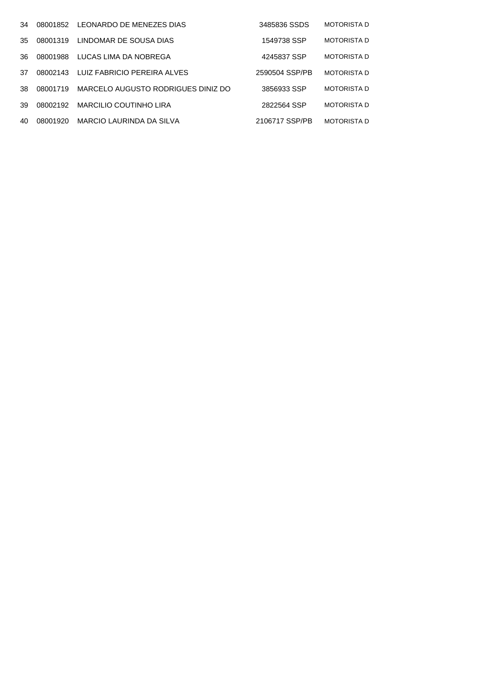| 34  | 08001852 | LEONARDO DE MENEZES DIAS           | 3485836 SSDS   | <b>MOTORISTA D</b> |
|-----|----------|------------------------------------|----------------|--------------------|
| 35  | 08001319 | LINDOMAR DE SOUSA DIAS             | 1549738 SSP    | <b>MOTORISTA D</b> |
| 36. | 08001988 | LUCAS LIMA DA NOBREGA              | 4245837 SSP    | <b>MOTORISTA D</b> |
| 37  | 08002143 | LUIZ FABRICIO PEREIRA ALVES        | 2590504 SSP/PB | <b>MOTORISTA D</b> |
| 38. | 08001719 | MARCELO AUGUSTO RODRIGUES DINIZ DO | 3856933 SSP    | <b>MOTORISTA D</b> |
| 39  | 08002192 | <b>MARCILIO COUTINHO LIRA</b>      | 2822564 SSP    | <b>MOTORISTA D</b> |
| 40  | 08001920 | MARCIO LAURINDA DA SILVA           | 2106717 SSP/PB | <b>MOTORISTA D</b> |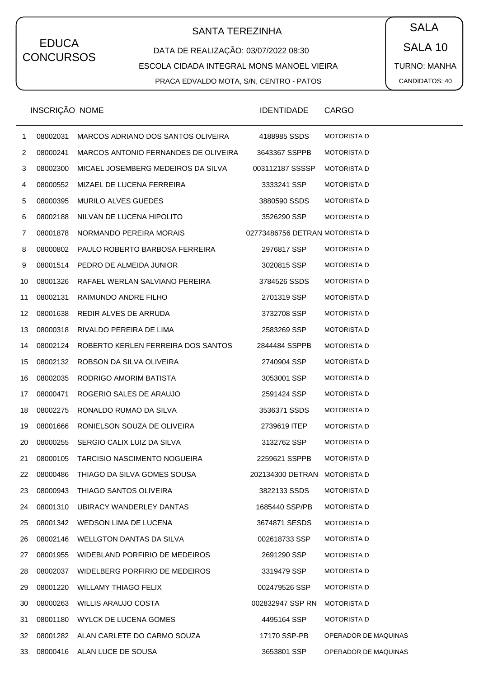# SANTA TEREZINHA  $\begin{pmatrix} \bullet & SALA \end{pmatrix}$

#### DATA DE REALIZAÇÃO: 03/07/2022 08:30 ESCOLA CIDADA INTEGRAL MONS MANOEL VIEIRA PRACA EDVALDO MOTA, S/N, CENTRO - PATOS

SALA 10 TURNO: MANHA CANDIDATOS: 40

|                | INSCRIÇÃO NOME |                                      | <b>IDENTIDADE</b>              | <b>CARGO</b>         |
|----------------|----------------|--------------------------------------|--------------------------------|----------------------|
| $\mathbf{1}$   | 08002031       | MARCOS ADRIANO DOS SANTOS OLIVEIRA   | 4188985 SSDS                   | <b>MOTORISTA D</b>   |
| $\overline{2}$ | 08000241       | MARCOS ANTONIO FERNANDES DE OLIVEIRA | 3643367 SSPPB                  | <b>MOTORISTA D</b>   |
| 3              | 08002300       | MICAEL JOSEMBERG MEDEIROS DA SILVA   | 003112187 SSSSP                | <b>MOTORISTA D</b>   |
| 4              | 08000552       | MIZAEL DE LUCENA FERREIRA            | 3333241 SSP                    | <b>MOTORISTA D</b>   |
| 5              | 08000395       | MURILO ALVES GUEDES                  | 3880590 SSDS                   | <b>MOTORISTA D</b>   |
| 6              | 08002188       | NILVAN DE LUCENA HIPOLITO            | 3526290 SSP                    | <b>MOTORISTA D</b>   |
| 7              | 08001878       | NORMANDO PEREIRA MORAIS              | 02773486756 DETRAN MOTORISTA D |                      |
| 8              | 08000802       | PAULO ROBERTO BARBOSA FERREIRA       | 2976817 SSP                    | <b>MOTORISTA D</b>   |
| 9              |                | 08001514 PEDRO DE ALMEIDA JUNIOR     | 3020815 SSP                    | <b>MOTORISTA D</b>   |
| 10             | 08001326       | RAFAEL WERLAN SALVIANO PEREIRA       | 3784526 SSDS                   | <b>MOTORISTA D</b>   |
| 11             | 08002131       | RAIMUNDO ANDRE FILHO                 | 2701319 SSP                    | <b>MOTORISTA D</b>   |
| 12             | 08001638       | REDIR ALVES DE ARRUDA                | 3732708 SSP                    | <b>MOTORISTA D</b>   |
| 13             | 08000318       | RIVALDO PEREIRA DE LIMA              | 2583269 SSP                    | <b>MOTORISTA D</b>   |
| 14             | 08002124       | ROBERTO KERLEN FERREIRA DOS SANTOS   | 2844484 SSPPB                  | <b>MOTORISTA D</b>   |
| 15             | 08002132       | ROBSON DA SILVA OLIVEIRA             | 2740904 SSP                    | <b>MOTORISTA D</b>   |
| 16             | 08002035       | RODRIGO AMORIM BATISTA               | 3053001 SSP                    | <b>MOTORISTA D</b>   |
| 17             | 08000471       | ROGERIO SALES DE ARAUJO              | 2591424 SSP                    | <b>MOTORISTA D</b>   |
| 18             | 08002275       | RONALDO RUMAO DA SILVA               | 3536371 SSDS                   | <b>MOTORISTA D</b>   |
| 19             | 08001666       | RONIELSON SOUZA DE OLIVEIRA          | 2739619 ITEP                   | <b>MOTORISTA D</b>   |
| 20             | 08000255       | SERGIO CALIX LUIZ DA SILVA           | 3132762 SSP                    | <b>MOTORISTA D</b>   |
| 21             | 08000105       | <b>TARCISIO NASCIMENTO NOGUEIRA</b>  | 2259621 SSPPB                  | <b>MOTORISTA D</b>   |
| 22             | 08000486       | THIAGO DA SILVA GOMES SOUSA          | 202134300 DETRAN MOTORISTA D   |                      |
| 23             | 08000943       | THIAGO SANTOS OLIVEIRA               | 3822133 SSDS                   | <b>MOTORISTA D</b>   |
| 24             | 08001310       | UBIRACY WANDERLEY DANTAS             | 1685440 SSP/PB                 | <b>MOTORISTA D</b>   |
| 25             | 08001342       | WEDSON LIMA DE LUCENA                | 3674871 SESDS                  | <b>MOTORISTA D</b>   |
| 26             | 08002146       | WELLGTON DANTAS DA SILVA             | 002618733 SSP                  | <b>MOTORISTA D</b>   |
| 27             | 08001955       | WIDEBLAND PORFIRIO DE MEDEIROS       | 2691290 SSP                    | <b>MOTORISTA D</b>   |
| 28             | 08002037       | WIDELBERG PORFIRIO DE MEDEIROS       | 3319479 SSP                    | <b>MOTORISTA D</b>   |
| 29             | 08001220       | <b>WILLAMY THIAGO FELIX</b>          | 002479526 SSP                  | <b>MOTORISTA D</b>   |
| 30             | 08000263       | <b>WILLIS ARAUJO COSTA</b>           | 002832947 SSP RN               | <b>MOTORISTA D</b>   |
| 31             | 08001180       | WYLCK DE LUCENA GOMES                | 4495164 SSP                    | <b>MOTORISTA D</b>   |
| 32             |                | 08001282 ALAN CARLETE DO CARMO SOUZA | 17170 SSP-PB                   | OPERADOR DE MAQUINAS |
| 33             |                | 08000416 ALAN LUCE DE SOUSA          | 3653801 SSP                    | OPERADOR DE MAQUINAS |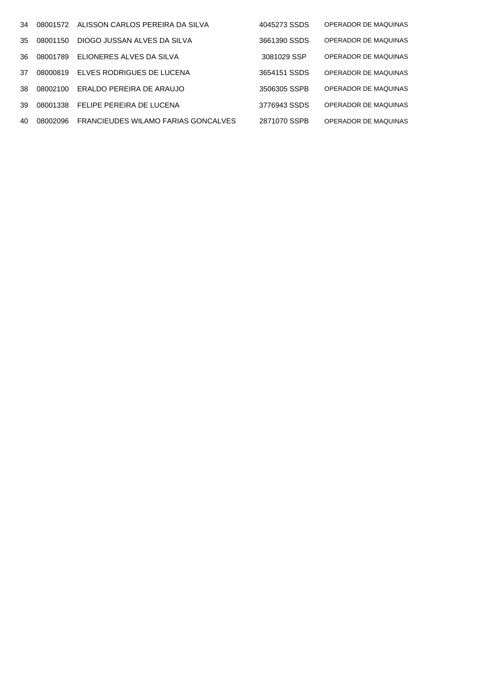|     | 34 08001572 | ALISSON CARLOS PEREIRA DA SILVA     | 4045273 SSDS | OPERADOR DE MAQUINAS |
|-----|-------------|-------------------------------------|--------------|----------------------|
|     | 35 08001150 | DIOGO JUSSAN ALVES DA SILVA         | 3661390 SSDS | OPERADOR DE MAQUINAS |
| 36  | 08001789    | ELIONERES ALVES DA SILVA            | 3081029 SSP  | OPERADOR DE MAQUINAS |
| 37  | 08000819    | ELVES RODRIGUES DE LUCENA           | 3654151 SSDS | OPERADOR DE MAQUINAS |
| 38. | 08002100    | ERALDO PEREIRA DE ARAUJO            | 3506305 SSPB | OPERADOR DE MAQUINAS |
| 39  | 08001338    | FELIPE PEREIRA DE LUCENA            | 3776943 SSDS | OPERADOR DE MAQUINAS |
| 40  | 08002096    | FRANCIEUDES WILAMO FARIAS GONCALVES | 2871070 SSPB | OPERADOR DE MAQUINAS |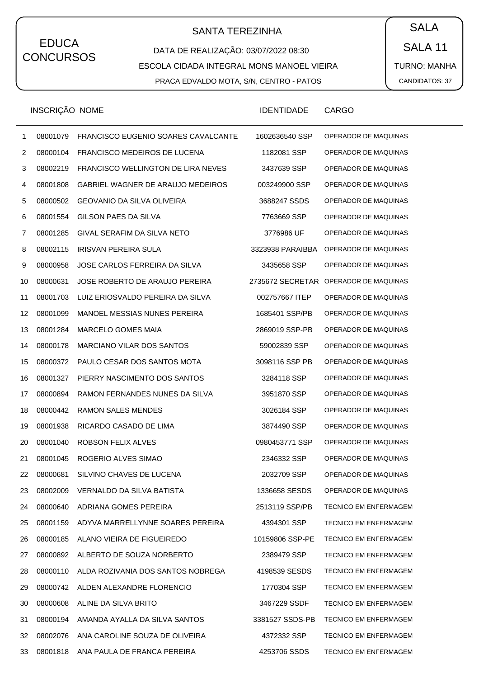# SANTA TEREZINHA  $\begin{pmatrix} \bullet & SALA \end{pmatrix}$

DATA DE REALIZAÇÃO: 03/07/2022 08:30 ESCOLA CIDADA INTEGRAL MONS MANOEL VIEIRA PRACA EDVALDO MOTA, S/N, CENTRO - PATOS

SALA 11 TURNO: MANHA CANDIDATOS: 37

|    | INSCRIÇÃO NOME |                                            | <b>IDENTIDADE</b> | <b>CARGO</b>                 |
|----|----------------|--------------------------------------------|-------------------|------------------------------|
| 1  | 08001079       | <b>FRANCISCO EUGENIO SOARES CAVALCANTE</b> | 1602636540 SSP    | OPERADOR DE MAQUINAS         |
| 2  | 08000104       | <b>FRANCISCO MEDEIROS DE LUCENA</b>        | 1182081 SSP       | OPERADOR DE MAQUINAS         |
| 3  | 08002219       | FRANCISCO WELLINGTON DE LIRA NEVES         | 3437639 SSP       | OPERADOR DE MAQUINAS         |
| 4  | 08001808       | GABRIEL WAGNER DE ARAUJO MEDEIROS          | 003249900 SSP     | OPERADOR DE MAQUINAS         |
| 5  | 08000502       | <b>GEOVANIO DA SILVA OLIVEIRA</b>          | 3688247 SSDS      | OPERADOR DE MAQUINAS         |
| 6  | 08001554       | GILSON PAES DA SILVA                       | 7763669 SSP       | OPERADOR DE MAQUINAS         |
| 7  | 08001285       | GIVAL SERAFIM DA SILVA NETO                | 3776986 UF        | OPERADOR DE MAQUINAS         |
| 8  | 08002115       | <b>IRISVAN PEREIRA SULA</b>                | 3323938 PARAIBBA  | OPERADOR DE MAQUINAS         |
| 9  | 08000958       | JOSE CARLOS FERREIRA DA SILVA              | 3435658 SSP       | OPERADOR DE MAQUINAS         |
| 10 | 08000631       | JOSE ROBERTO DE ARAUJO PEREIRA             | 2735672 SECRETAR  | OPERADOR DE MAQUINAS         |
| 11 | 08001703       | LUIZ ERIOSVALDO PEREIRA DA SILVA           | 002757667 ITEP    | OPERADOR DE MAQUINAS         |
| 12 | 08001099       | MANOEL MESSIAS NUNES PEREIRA               | 1685401 SSP/PB    | OPERADOR DE MAQUINAS         |
| 13 | 08001284       | <b>MARCELO GOMES MAIA</b>                  | 2869019 SSP-PB    | OPERADOR DE MAQUINAS         |
| 14 | 08000178       | MARCIANO VILAR DOS SANTOS                  | 59002839 SSP      | OPERADOR DE MAQUINAS         |
| 15 | 08000372       | PAULO CESAR DOS SANTOS MOTA                | 3098116 SSP PB    | OPERADOR DE MAQUINAS         |
| 16 | 08001327       | PIERRY NASCIMENTO DOS SANTOS               | 3284118 SSP       | OPERADOR DE MAQUINAS         |
| 17 | 08000894       | RAMON FERNANDES NUNES DA SILVA             | 3951870 SSP       | OPERADOR DE MAQUINAS         |
| 18 | 08000442       | RAMON SALES MENDES                         | 3026184 SSP       | OPERADOR DE MAQUINAS         |
| 19 | 08001938       | RICARDO CASADO DE LIMA                     | 3874490 SSP       | OPERADOR DE MAQUINAS         |
| 20 | 08001040       | ROBSON FELIX ALVES                         | 0980453771 SSP    | OPERADOR DE MAQUINAS         |
| 21 | 08001045       | ROGERIO ALVES SIMAO                        | 2346332 SSP       | OPERADOR DE MAQUINAS         |
| 22 | 08000681       | SILVINO CHAVES DE LUCENA                   | 2032709 SSP       | OPERADOR DE MAQUINAS         |
| 23 | 08002009       | VERNALDO DA SILVA BATISTA                  | 1336658 SESDS     | OPERADOR DE MAQUINAS         |
| 24 | 08000640       | ADRIANA GOMES PEREIRA                      | 2513119 SSP/PB    | <b>TECNICO EM ENFERMAGEM</b> |
| 25 | 08001159       | ADYVA MARRELLYNNE SOARES PEREIRA           | 4394301 SSP       | <b>TECNICO EM ENFERMAGEM</b> |
| 26 | 08000185       | ALANO VIEIRA DE FIGUEIREDO                 | 10159806 SSP-PE   | <b>TECNICO EM ENFERMAGEM</b> |
| 27 | 08000892       | ALBERTO DE SOUZA NORBERTO                  | 2389479 SSP       | <b>TECNICO EM ENFERMAGEM</b> |
| 28 | 08000110       | ALDA ROZIVANIA DOS SANTOS NOBREGA          | 4198539 SESDS     | <b>TECNICO EM ENFERMAGEM</b> |
| 29 | 08000742       | ALDEN ALEXANDRE FLORENCIO                  | 1770304 SSP       | <b>TECNICO EM ENFERMAGEM</b> |
| 30 | 08000608       | ALINE DA SILVA BRITO                       | 3467229 SSDF      | <b>TECNICO EM ENFERMAGEM</b> |
| 31 | 08000194       | AMANDA AYALLA DA SILVA SANTOS              | 3381527 SSDS-PB   | <b>TECNICO EM ENFERMAGEM</b> |
| 32 | 08002076       | ANA CAROLINE SOUZA DE OLIVEIRA             | 4372332 SSP       | <b>TECNICO EM ENFERMAGEM</b> |
| 33 | 08001818       | ANA PAULA DE FRANCA PEREIRA                | 4253706 SSDS      | TECNICO EM ENFERMAGEM        |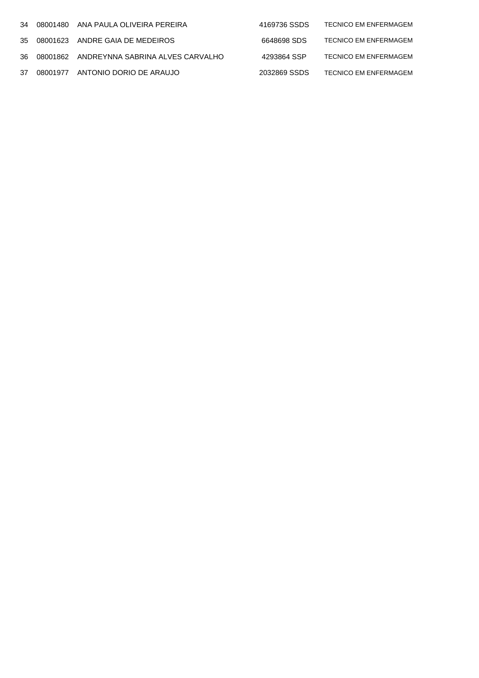|  | 34 08001480 ANA PAULA OLIVEIRA PEREIRA       | 4169736 SSDS | <b>TECNICO EM ENFERMAGEM</b> |
|--|----------------------------------------------|--------------|------------------------------|
|  | 35 08001623 ANDRE GAIA DE MEDEIROS           | 6648698 SDS  | <b>TECNICO EM ENFERMAGEM</b> |
|  | 36 08001862 ANDREYNNA SABRINA ALVES CARVALHO | 4293864 SSP  | <b>TECNICO EM ENFERMAGEM</b> |
|  | 37 08001977 ANTONIO DORIO DE ARAUJO          | 2032869 SSDS | <b>TECNICO EM ENFERMAGEM</b> |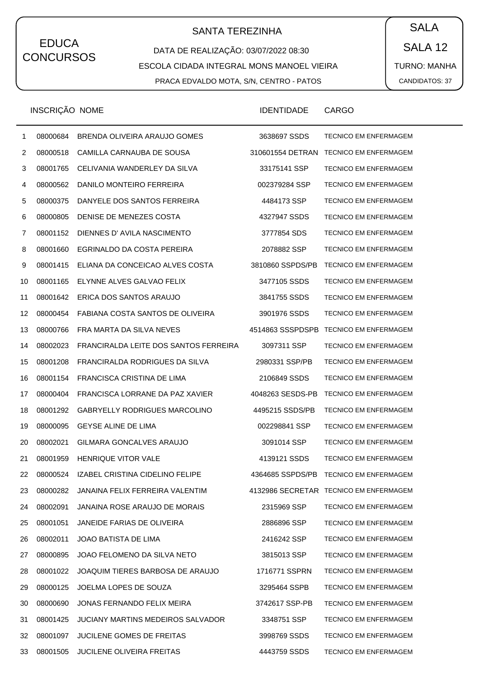## SANTA TEREZINHA  $\begin{pmatrix} \bullet & SALA \end{pmatrix}$

DATA DE REALIZAÇÃO: 03/07/2022 08:30 ESCOLA CIDADA INTEGRAL MONS MANOEL VIEIRA PRACA EDVALDO MOTA, S/N, CENTRO - PATOS

SALA 12 TURNO: MANHA CANDIDATOS: 37

|    | <b>INSCRIÇAO NOME</b> |                                       | <b>IDENTIDADE</b> | CARGO                                  |
|----|-----------------------|---------------------------------------|-------------------|----------------------------------------|
| 1  | 08000684              | BRENDA OLIVEIRA ARAUJO GOMES          | 3638697 SSDS      | <b>TECNICO EM ENFERMAGEM</b>           |
| 2  | 08000518              | CAMILLA CARNAUBA DE SOUSA             | 310601554 DETRAN  | <b>TECNICO EM ENFERMAGEM</b>           |
| 3  | 08001765              | CELIVANIA WANDERLEY DA SILVA          | 33175141 SSP      | <b>TECNICO EM ENFERMAGEM</b>           |
| 4  | 08000562              | DANILO MONTEIRO FERREIRA              | 002379284 SSP     | <b>TECNICO EM ENFERMAGEM</b>           |
| 5  | 08000375              | DANYELE DOS SANTOS FERREIRA           | 4484173 SSP       | <b>TECNICO EM ENFERMAGEM</b>           |
| 6  | 08000805              | DENISE DE MENEZES COSTA               | 4327947 SSDS      | <b>TECNICO EM ENFERMAGEM</b>           |
| 7  | 08001152              | DIENNES D'AVILA NASCIMENTO            | 3777854 SDS       | <b>TECNICO EM ENFERMAGEM</b>           |
| 8  | 08001660              | EGRINALDO DA COSTA PEREIRA            | 2078882 SSP       | TECNICO EM ENFERMAGEM                  |
| 9  | 08001415              | ELIANA DA CONCEICAO ALVES COSTA       | 3810860 SSPDS/PB  | <b>TECNICO EM ENFERMAGEM</b>           |
| 10 | 08001165              | ELYNNE ALVES GALVAO FELIX             | 3477105 SSDS      | <b>TECNICO EM ENFERMAGEM</b>           |
| 11 | 08001642              | ERICA DOS SANTOS ARAUJO               | 3841755 SSDS      | <b>TECNICO EM ENFERMAGEM</b>           |
| 12 | 08000454              | FABIANA COSTA SANTOS DE OLIVEIRA      | 3901976 SSDS      | <b>TECNICO EM ENFERMAGEM</b>           |
| 13 | 08000766              | FRA MARTA DA SILVA NEVES              | 4514863 SSSPDSPB  | <b>TECNICO EM ENFERMAGEM</b>           |
| 14 | 08002023              | FRANCIRALDA LEITE DOS SANTOS FERREIRA | 3097311 SSP       | <b>TECNICO EM ENFERMAGEM</b>           |
| 15 | 08001208              | FRANCIRALDA RODRIGUES DA SILVA        | 2980331 SSP/PB    | TECNICO EM ENFERMAGEM                  |
| 16 | 08001154              | FRANCISCA CRISTINA DE LIMA            | 2106849 SSDS      | <b>TECNICO EM ENFERMAGEM</b>           |
| 17 | 08000404              | FRANCISCA LORRANE DA PAZ XAVIER       | 4048263 SESDS-PB  | <b>TECNICO EM ENFERMAGEM</b>           |
| 18 | 08001292              | <b>GABRYELLY RODRIGUES MARCOLINO</b>  | 4495215 SSDS/PB   | TECNICO EM ENFERMAGEM                  |
| 19 | 08000095              | <b>GEYSE ALINE DE LIMA</b>            | 002298841 SSP     | <b>TECNICO EM ENFERMAGEM</b>           |
| 20 | 08002021              | GILMARA GONCALVES ARAUJO              | 3091014 SSP       | <b>TECNICO EM ENFERMAGEM</b>           |
| 21 | 08001959              | <b>HENRIQUE VITOR VALE</b>            | 4139121 SSDS      | <b>TECNICO EM ENFERMAGEM</b>           |
| 22 | 08000524              | IZABEL CRISTINA CIDELINO FELIPE       |                   | 4364685 SSPDS/PB TECNICO EM ENFERMAGEM |
| 23 | 08000282              | JANAINA FELIX FERREIRA VALENTIM       |                   | 4132986 SECRETAR TECNICO EM ENFERMAGEM |
| 24 | 08002091              | JANAINA ROSE ARAUJO DE MORAIS         | 2315969 SSP       | TECNICO EM ENFERMAGEM                  |
| 25 | 08001051              | JANEIDE FARIAS DE OLIVEIRA            | 2886896 SSP       | TECNICO EM ENFERMAGEM                  |
| 26 | 08002011              | <b>JOAO BATISTA DE LIMA</b>           | 2416242 SSP       | <b>TECNICO EM ENFERMAGEM</b>           |
| 27 | 08000895              | JOAO FELOMENO DA SILVA NETO           | 3815013 SSP       | TECNICO EM ENFERMAGEM                  |
| 28 | 08001022              | JOAQUIM TIERES BARBOSA DE ARAUJO      | 1716771 SSPRN     | TECNICO EM ENFERMAGEM                  |
| 29 | 08000125              | JOELMA LOPES DE SOUZA                 | 3295464 SSPB      | TECNICO EM ENFERMAGEM                  |
| 30 | 08000690              | JONAS FERNANDO FELIX MEIRA            | 3742617 SSP-PB    | TECNICO EM ENFERMAGEM                  |
| 31 | 08001425              | JUCIANY MARTINS MEDEIROS SALVADOR     | 3348751 SSP       | TECNICO EM ENFERMAGEM                  |
| 32 | 08001097              | <b>JUCILENE GOMES DE FREITAS</b>      | 3998769 SSDS      | <b>TECNICO EM ENFERMAGEM</b>           |
| 33 | 08001505              | <b>JUCILENE OLIVEIRA FREITAS</b>      | 4443759 SSDS      | TECNICO EM ENFERMAGEM                  |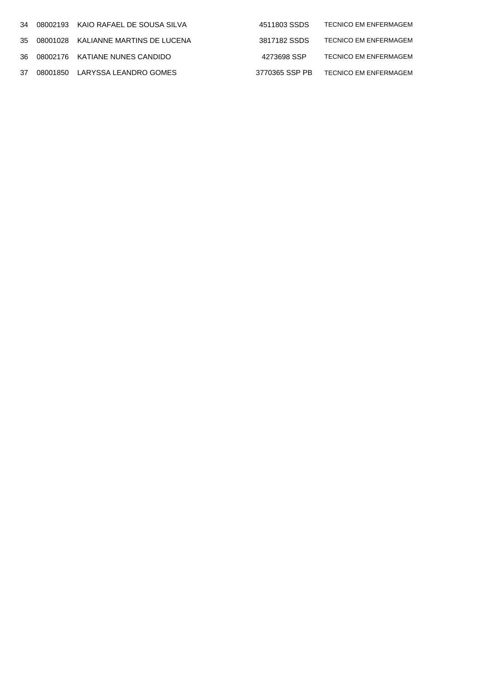|  | 34 08002193 KAIO RAFAEL DE SOUSA SILVA | 4511803 SSDS   | <b>TECNICO EM ENFERMAGEM</b> |
|--|----------------------------------------|----------------|------------------------------|
|  | 35 08001028 KALIANNE MARTINS DE LUCENA | 3817182 SSDS   | TECNICO EM ENFERMAGEM        |
|  | 36 08002176 KATIANE NUNES CANDIDO      | 4273698 SSP    | <b>TECNICO EM ENFERMAGEM</b> |
|  | 37 08001850 LARYSSA LEANDRO GOMES      | 3770365 SSP PB | <b>TECNICO EM ENFERMAGEM</b> |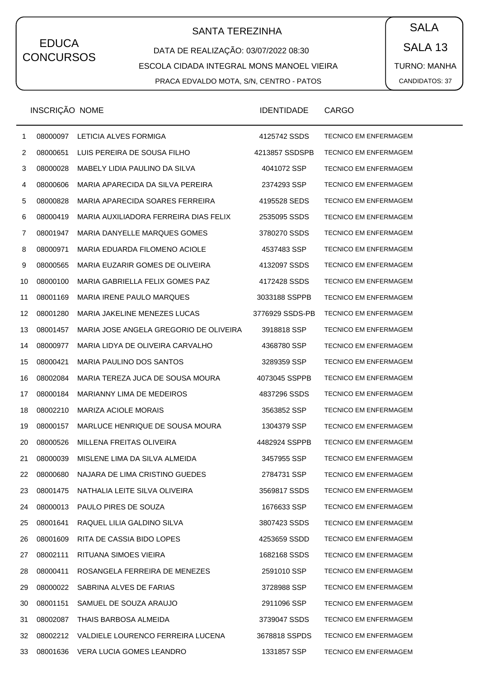# SANTA TEREZINHA  $\begin{pmatrix} \bullet & SALA \end{pmatrix}$

DATA DE REALIZAÇÃO: 03/07/2022 08:30 ESCOLA CIDADA INTEGRAL MONS MANOEL VIEIRA PRACA EDVALDO MOTA, S/N, CENTRO - PATOS

SALA 13 TURNO: MANHA CANDIDATOS: 37

|              | <b>INSCRIÇAO NOME</b> |                                        | <b>IDENTIDADE</b> | CARGO                        |
|--------------|-----------------------|----------------------------------------|-------------------|------------------------------|
| $\mathbf{1}$ | 08000097              | LETICIA ALVES FORMIGA                  | 4125742 SSDS      | TECNICO EM ENFERMAGEM        |
| 2            | 08000651              | LUIS PEREIRA DE SOUSA FILHO            | 4213857 SSDSPB    | <b>TECNICO EM ENFERMAGEM</b> |
| 3            | 08000028              | MABELY LIDIA PAULINO DA SILVA          | 4041072 SSP       | <b>TECNICO EM ENFERMAGEM</b> |
| 4            | 08000606              | MARIA APARECIDA DA SILVA PEREIRA       | 2374293 SSP       | <b>TECNICO EM ENFERMAGEM</b> |
| 5            | 08000828              | MARIA APARECIDA SOARES FERREIRA        | 4195528 SEDS      | <b>TECNICO EM ENFERMAGEM</b> |
| 6            | 08000419              | MARIA AUXILIADORA FERREIRA DIAS FELIX  | 2535095 SSDS      | <b>TECNICO EM ENFERMAGEM</b> |
| 7            | 08001947              | <b>MARIA DANYELLE MARQUES GOMES</b>    | 3780270 SSDS      | TECNICO EM ENFERMAGEM        |
| 8            | 08000971              | MARIA EDUARDA FILOMENO ACIOLE          | 4537483 SSP       | <b>TECNICO EM ENFERMAGEM</b> |
| 9            | 08000565              | MARIA EUZARIR GOMES DE OLIVEIRA        | 4132097 SSDS      | <b>TECNICO EM ENFERMAGEM</b> |
| 10           | 08000100              | MARIA GABRIELLA FELIX GOMES PAZ        | 4172428 SSDS      | TECNICO EM ENFERMAGEM        |
| 11           | 08001169              | <b>MARIA IRENE PAULO MARQUES</b>       | 3033188 SSPPB     | <b>TECNICO EM ENFERMAGEM</b> |
| 12           | 08001280              | MARIA JAKELINE MENEZES LUCAS           | 3776929 SSDS-PB   | <b>TECNICO EM ENFERMAGEM</b> |
| 13           | 08001457              | MARIA JOSE ANGELA GREGORIO DE OLIVEIRA | 3918818 SSP       | TECNICO EM ENFERMAGEM        |
| 14           | 08000977              | MARIA LIDYA DE OLIVEIRA CARVALHO       | 4368780 SSP       | <b>TECNICO EM ENFERMAGEM</b> |
| 15           | 08000421              | <b>MARIA PAULINO DOS SANTOS</b>        | 3289359 SSP       | <b>TECNICO EM ENFERMAGEM</b> |
| 16           | 08002084              | MARIA TEREZA JUCA DE SOUSA MOURA       | 4073045 SSPPB     | TECNICO EM ENFERMAGEM        |
| 17           | 08000184              | MARIANNY LIMA DE MEDEIROS              | 4837296 SSDS      | <b>TECNICO EM ENFERMAGEM</b> |
| 18           | 08002210              | <b>MARIZA ACIOLE MORAIS</b>            | 3563852 SSP       | <b>TECNICO EM ENFERMAGEM</b> |
| 19           | 08000157              | MARLUCE HENRIQUE DE SOUSA MOURA        | 1304379 SSP       | TECNICO EM ENFERMAGEM        |
| 20           | 08000526              | MILLENA FREITAS OLIVEIRA               | 4482924 SSPPB     | <b>TECNICO EM ENFERMAGEM</b> |
| 21           | 08000039              | MISLENE LIMA DA SILVA ALMEIDA          | 3457955 SSP       | <b>TECNICO EM ENFERMAGEM</b> |
| 22           | 08000680              | NAJARA DE LIMA CRISTINO GUEDES         | 2784731 SSP       | <b>TECNICO EM ENFERMAGEM</b> |
| 23           | 08001475              | NATHALIA LEITE SILVA OLIVEIRA          | 3569817 SSDS      | TECNICO EM ENFERMAGEM        |
| 24           | 08000013              | PAULO PIRES DE SOUZA                   | 1676633 SSP       | <b>TECNICO EM ENFERMAGEM</b> |
| 25           | 08001641              | RAQUEL LILIA GALDINO SILVA             | 3807423 SSDS      | TECNICO EM ENFERMAGEM        |
| 26           | 08001609              | RITA DE CASSIA BIDO LOPES              | 4253659 SSDD      | <b>TECNICO EM ENFERMAGEM</b> |
| 27           | 08002111              | RITUANA SIMOES VIEIRA                  | 1682168 SSDS      | <b>TECNICO EM ENFERMAGEM</b> |
| 28           | 08000411              | ROSANGELA FERREIRA DE MENEZES          | 2591010 SSP       | TECNICO EM ENFERMAGEM        |
| 29           | 08000022              | SABRINA ALVES DE FARIAS                | 3728988 SSP       | <b>TECNICO EM ENFERMAGEM</b> |
| 30           | 08001151              | SAMUEL DE SOUZA ARAUJO                 | 2911096 SSP       | <b>TECNICO EM ENFERMAGEM</b> |
| 31           | 08002087              | THAIS BARBOSA ALMEIDA                  | 3739047 SSDS      | TECNICO EM ENFERMAGEM        |
| 32           | 08002212              | VALDIELE LOURENCO FERREIRA LUCENA      | 3678818 SSPDS     | <b>TECNICO EM ENFERMAGEM</b> |
| 33           | 08001636              | VERA LUCIA GOMES LEANDRO               | 1331857 SSP       | <b>TECNICO EM ENFERMAGEM</b> |
|              |                       |                                        |                   |                              |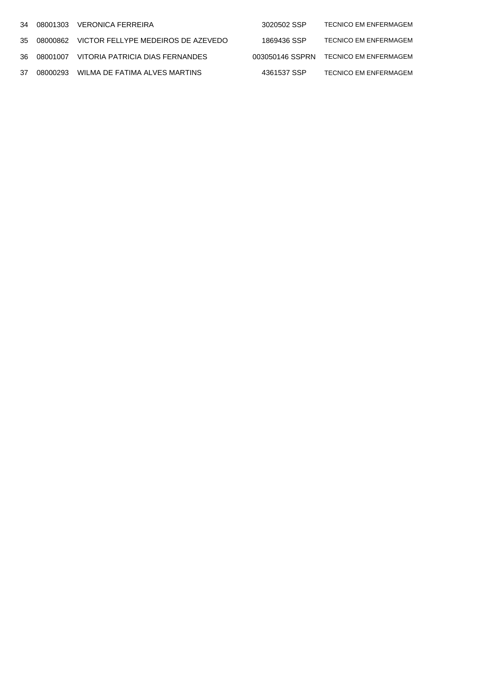|  | 34 08001303 VERONICA FERREIRA                  | 3020502 SSP | <b>TECNICO EM ENFERMAGEM</b>          |
|--|------------------------------------------------|-------------|---------------------------------------|
|  | 35 08000862 VICTOR FELLYPE MEDEIROS DE AZEVEDO | 1869436 SSP | <b>TECNICO EM ENFERMAGEM</b>          |
|  | 36 08001007 VITORIA PATRICIA DIAS FERNANDES    |             | 003050146 SSPRN TECNICO EM ENFERMAGEM |
|  | 37 08000293 WILMA DE FATIMA ALVES MARTINS      | 4361537 SSP | <b>TECNICO EM ENFERMAGEM</b>          |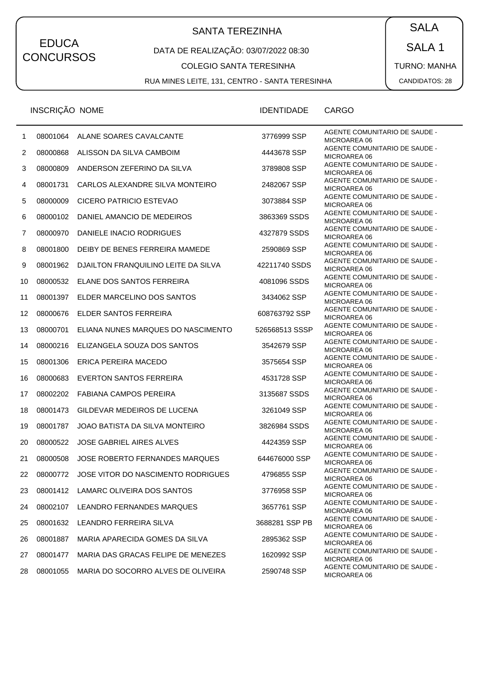# SANTA TEREZINHA  $\begin{pmatrix} SALA \end{pmatrix}$

#### DATA DE REALIZAÇÃO: 03/07/2022 08:30

#### COLEGIO SANTA TERESINHA

RUA MINES LEITE, 131, CENTRO - SANTA TERESINHA

SALA 1 TURNO: MANHA

|                | INSCRIÇÃO NOME |                                     | <b>IDENTIDADE</b> | CARGO                                                |
|----------------|----------------|-------------------------------------|-------------------|------------------------------------------------------|
| 1              | 08001064       | ALANE SOARES CAVALCANTE             | 3776999 SSP       | AGENTE COMUNITARIO DE SAUDE -<br>MICROAREA 06        |
| $\overline{c}$ | 08000868       | ALISSON DA SILVA CAMBOIM            | 4443678 SSP       | AGENTE COMUNITARIO DE SAUDE -<br>MICROAREA 06        |
| 3              | 08000809       | ANDERSON ZEFERINO DA SILVA          | 3789808 SSP       | AGENTE COMUNITARIO DE SAUDE -<br>MICROAREA 06        |
| 4              | 08001731       | CARLOS ALEXANDRE SILVA MONTEIRO     | 2482067 SSP       | AGENTE COMUNITARIO DE SAUDE -<br>MICROAREA 06        |
| 5              | 08000009       | CICERO PATRICIO ESTEVAO             | 3073884 SSP       | AGENTE COMUNITARIO DE SAUDE -<br>MICROAREA 06        |
| 6              | 08000102       | DANIEL AMANCIO DE MEDEIROS          | 3863369 SSDS      | AGENTE COMUNITARIO DE SAUDE -<br>MICROAREA 06        |
| 7              | 08000970       | DANIELE INACIO RODRIGUES            | 4327879 SSDS      | AGENTE COMUNITARIO DE SAUDE -<br>MICROAREA 06        |
| 8              | 08001800       | DEIBY DE BENES FERREIRA MAMEDE      | 2590869 SSP       | AGENTE COMUNITARIO DE SAUDE -<br>MICROAREA 06        |
| 9              | 08001962       | DJAILTON FRANQUILINO LEITE DA SILVA | 42211740 SSDS     | AGENTE COMUNITARIO DE SAUDE -<br>MICROAREA 06        |
| 10             | 08000532       | ELANE DOS SANTOS FERREIRA           | 4081096 SSDS      | <b>AGENTE COMUNITARIO DE SAUDE -</b><br>MICROAREA 06 |
| 11             | 08001397       | ELDER MARCELINO DOS SANTOS          | 3434062 SSP       | AGENTE COMUNITARIO DE SAUDE -<br>MICROAREA 06        |
| 12             | 08000676       | ELDER SANTOS FERREIRA               | 608763792 SSP     | AGENTE COMUNITARIO DE SAUDE -<br>MICROAREA 06        |
| 13             | 08000701       | ELIANA NUNES MARQUES DO NASCIMENTO  | 526568513 SSSP    | <b>AGENTE COMUNITARIO DE SAUDE -</b><br>MICROAREA 06 |
| 14             | 08000216       | ELIZANGELA SOUZA DOS SANTOS         | 3542679 SSP       | AGENTE COMUNITARIO DE SAUDE -<br>MICROAREA 06        |
| 15             | 08001306       | ERICA PEREIRA MACEDO                | 3575654 SSP       | AGENTE COMUNITARIO DE SAUDE -<br>MICROAREA 06        |
| 16             | 08000683       | <b>EVERTON SANTOS FERREIRA</b>      | 4531728 SSP       | AGENTE COMUNITARIO DE SAUDE -<br>MICROAREA 06        |
| 17             | 08002202       | <b>FABIANA CAMPOS PEREIRA</b>       | 3135687 SSDS      | AGENTE COMUNITARIO DE SAUDE -<br>MICROAREA 06        |
| 18             | 08001473       | GILDEVAR MEDEIROS DE LUCENA         | 3261049 SSP       | AGENTE COMUNITARIO DE SAUDE -<br>MICROAREA 06        |
| 19             | 08001787       | JOAO BATISTA DA SILVA MONTEIRO      | 3826984 SSDS      | AGENTE COMUNITARIO DE SAUDE -<br>MICROAREA 06        |
| 20             | 08000522       | <b>JOSE GABRIEL AIRES ALVES</b>     | 4424359 SSP       | AGENTE COMUNITARIO DE SAUDE -<br>MICROAREA 06        |
| 21             | 08000508       | JOSE ROBERTO FERNANDES MARQUES      | 644676000 SSP     | <b>AGENTE COMUNITARIO DE SAUDE -</b><br>MICROAREA 06 |
| 22             | 08000772       | JOSE VITOR DO NASCIMENTO RODRIGUES  | 4796855 SSP       | AGENTE COMUNITARIO DE SAUDE -<br>MICROAREA 06        |
| 23             | 08001412       | LAMARC OLIVEIRA DOS SANTOS          | 3776958 SSP       | AGENTE COMUNITARIO DE SAUDE -<br>MICROAREA 06        |
| 24             | 08002107       | LEANDRO FERNANDES MARQUES           | 3657761 SSP       | AGENTE COMUNITARIO DE SAUDE -<br>MICROAREA 06        |
| 25             | 08001632       | LEANDRO FERREIRA SILVA              | 3688281 SSP PB    | <b>AGENTE COMUNITARIO DE SAUDE -</b><br>MICROAREA 06 |
| 26             | 08001887       | MARIA APARECIDA GOMES DA SILVA      | 2895362 SSP       | AGENTE COMUNITARIO DE SAUDE -<br>MICROAREA 06        |
| 27             | 08001477       | MARIA DAS GRACAS FELIPE DE MENEZES  | 1620992 SSP       | AGENTE COMUNITARIO DE SAUDE -<br>MICROAREA 06        |
| 28             | 08001055       | MARIA DO SOCORRO ALVES DE OLIVEIRA  | 2590748 SSP       | AGENTE COMUNITARIO DE SAUDE -<br>MICROAREA 06        |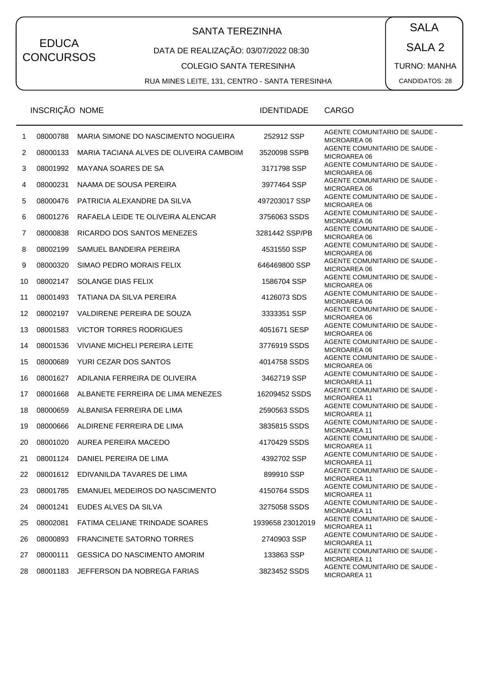# SANTA TEREZINHA  $\begin{pmatrix} SALA \end{pmatrix}$

#### DATA DE REALIZAÇÃO: 03/07/2022 08:30

#### COLEGIO SANTA TERESINHA

RUA MINES LEITE, 131, CENTRO - SANTA TERESINHA

SALA 2

TURNO: MANHA

|                | INSCRIÇÃO NOME |                                         | <b>IDENTIDADE</b> | CARGO                                                |
|----------------|----------------|-----------------------------------------|-------------------|------------------------------------------------------|
| 1              | 08000788       | MARIA SIMONE DO NASCIMENTO NOGUEIRA     | 252912 SSP        | AGENTE COMUNITARIO DE SAUDE -<br>MICROAREA 06        |
| $\overline{c}$ | 08000133       | MARIA TACIANA ALVES DE OLIVEIRA CAMBOIM | 3520098 SSPB      | <b>AGENTE COMUNITARIO DE SAUDE -</b><br>MICROAREA 06 |
| 3              | 08001992       | MAYANA SOARES DE SA                     | 3171798 SSP       | AGENTE COMUNITARIO DE SAUDE -<br>MICROAREA 06        |
| 4              | 08000231       | NAAMA DE SOUSA PEREIRA                  | 3977464 SSP       | AGENTE COMUNITARIO DE SAUDE -<br>MICROAREA 06        |
| 5              | 08000476       | PATRICIA ALEXANDRE DA SILVA             | 497203017 SSP     | AGENTE COMUNITARIO DE SAUDE -<br>MICROAREA 06        |
| 6              | 08001276       | RAFAELA LEIDE TE OLIVEIRA ALENCAR       | 3756063 SSDS      | AGENTE COMUNITARIO DE SAUDE -<br>MICROAREA 06        |
| 7              | 08000838       | RICARDO DOS SANTOS MENEZES              | 3281442 SSP/PB    | AGENTE COMUNITARIO DE SAUDE -<br>MICROAREA 06        |
| 8              | 08002199       | SAMUEL BANDEIRA PEREIRA                 | 4531550 SSP       | AGENTE COMUNITARIO DE SAUDE -<br>MICROAREA 06        |
| 9              | 08000320       | SIMAO PEDRO MORAIS FELIX                | 646469800 SSP     | AGENTE COMUNITARIO DE SAUDE -<br>MICROAREA 06        |
| 10             | 08002147       | SOLANGE DIAS FELIX                      | 1586704 SSP       | AGENTE COMUNITARIO DE SAUDE -<br>MICROAREA 06        |
| 11             | 08001493       | <b>TATIANA DA SILVA PEREIRA</b>         | 4126073 SDS       | AGENTE COMUNITARIO DE SAUDE -<br>MICROAREA 06        |
| 12             | 08002197       | VALDIRENE PEREIRA DE SOUZA              | 3333351 SSP       | <b>AGENTE COMUNITARIO DE SAUDE -</b><br>MICROAREA 06 |
| 13             | 08001583       | <b>VICTOR TORRES RODRIGUES</b>          | 4051671 SESP      | AGENTE COMUNITARIO DE SAUDE -<br>MICROAREA 06        |
| 14             | 08001536       | VIVIANE MICHELI PEREIRA LEITE           | 3776919 SSDS      | AGENTE COMUNITARIO DE SAUDE -<br>MICROAREA 06        |
| 15             | 08000689       | YURI CEZAR DOS SANTOS                   | 4014758 SSDS      | AGENTE COMUNITARIO DE SAUDE -<br>MICROAREA 06        |
| 16             | 08001627       | ADILANIA FERREIRA DE OLIVEIRA           | 3462719 SSP       | AGENTE COMUNITARIO DE SAUDE -<br>MICROAREA 11        |
| 17             | 08001668       | ALBANETE FERREIRA DE LIMA MENEZES       | 16209452 SSDS     | AGENTE COMUNITARIO DE SAUDE -<br><b>MICROAREA 11</b> |
| 18             | 08000659       | ALBANISA FERREIRA DE LIMA               | 2590563 SSDS      | AGENTE COMUNITARIO DE SAUDE -<br><b>MICROAREA 11</b> |
| 19             | 08000666       | ALDIRENE FERREIRA DE LIMA               | 3835815 SSDS      | AGENTE COMUNITARIO DE SAUDE -<br>MICROAREA 11        |
| 20             | 08001020       | AUREA PEREIRA MACEDO                    | 4170429 SSDS      | AGENTE COMUNITARIO DE SAUDE -<br><b>MICROAREA 11</b> |
| 21             | 08001124       | DANIEL PEREIRA DE LIMA                  | 4392702 SSP       | AGENTE COMUNITARIO DE SAUDE -<br>MICROAREA 11        |
| 22             | 08001612       | EDIVANILDA TAVARES DE LIMA              | 899910 SSP        | AGENTE COMUNITARIO DE SAUDE -<br><b>MICROAREA 11</b> |
| 23             | 08001785       | EMANUEL MEDEIROS DO NASCIMENTO          | 4150764 SSDS      | AGENTE COMUNITARIO DE SAUDE -<br><b>MICROAREA 11</b> |
| 24             | 08001241       | EUDES ALVES DA SILVA                    | 3275058 SSDS      | AGENTE COMUNITARIO DE SAUDE -<br><b>MICROAREA 11</b> |
| 25             | 08002081       | FATIMA CELIANE TRINDADE SOARES          | 1939658 23012019  | AGENTE COMUNITARIO DE SAUDE -<br>MICROAREA 11        |
| 26             | 08000893       | <b>FRANCINETE SATORNO TORRES</b>        | 2740903 SSP       | AGENTE COMUNITARIO DE SAUDE -<br><b>MICROAREA 11</b> |
| 27             | 08000111       | <b>GESSICA DO NASCIMENTO AMORIM</b>     | 133863 SSP        | AGENTE COMUNITARIO DE SAUDE -<br><b>MICROAREA 11</b> |
| 28             | 08001183       | JEFFERSON DA NOBREGA FARIAS             | 3823452 SSDS      | AGENTE COMUNITARIO DE SAUDE -<br>MICROAREA 11        |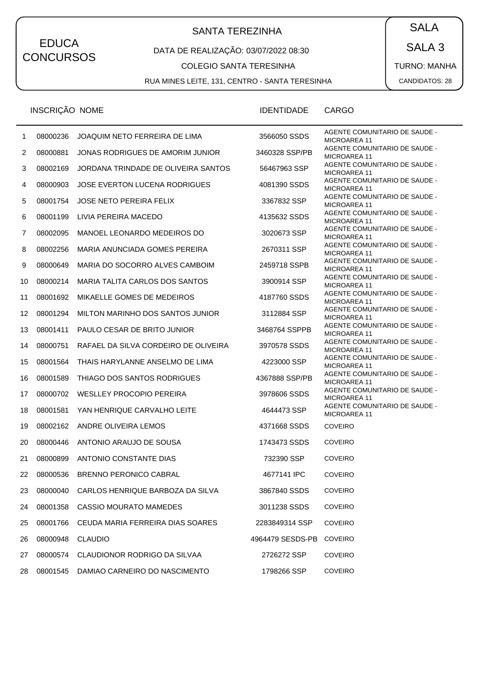# SANTA TEREZINHA  $\begin{pmatrix} SALA \end{pmatrix}$

#### DATA DE REALIZAÇÃO: 03/07/2022 08:30

#### COLEGIO SANTA TERESINHA

RUA MINES LEITE, 131, CENTRO - SANTA TERESINHA

SALA 3 TURNO: MANHA

|                | INSCRIÇÃO NOME |                                      | <b>IDENTIDADE</b> | CARGO                                                |
|----------------|----------------|--------------------------------------|-------------------|------------------------------------------------------|
| $\mathbf{1}$   | 08000236       | JOAQUIM NETO FERREIRA DE LIMA        | 3566050 SSDS      | AGENTE COMUNITARIO DE SAUDE -<br><b>MICROAREA 11</b> |
| $\overline{2}$ | 08000881       | JONAS RODRIGUES DE AMORIM JUNIOR     | 3460328 SSP/PB    | AGENTE COMUNITARIO DE SAUDE -<br><b>MICROAREA 11</b> |
| 3              | 08002169       | JORDANA TRINDADE DE OLIVEIRA SANTOS  | 56467963 SSP      | AGENTE COMUNITARIO DE SAUDE -<br><b>MICROAREA 11</b> |
| 4              | 08000903       | JOSE EVERTON LUCENA RODRIGUES        | 4081390 SSDS      | AGENTE COMUNITARIO DE SAUDE -<br>MICROAREA 11        |
| 5              | 08001754       | <b>JOSE NETO PEREIRA FELIX</b>       | 3367832 SSP       | AGENTE COMUNITARIO DE SAUDE -<br><b>MICROAREA 11</b> |
| 6              | 08001199       | LIVIA PEREIRA MACEDO                 | 4135632 SSDS      | AGENTE COMUNITARIO DE SAUDE -<br><b>MICROAREA 11</b> |
| 7              | 08002095       | MANOEL LEONARDO MEDEIROS DO          | 3020673 SSP       | AGENTE COMUNITARIO DE SAUDE -<br>MICROAREA 11        |
| 8              | 08002256       | MARIA ANUNCIADA GOMES PEREIRA        | 2670311 SSP       | AGENTE COMUNITARIO DE SAUDE -<br>MICROAREA 11        |
| 9              | 08000649       | MARIA DO SOCORRO ALVES CAMBOIM       | 2459718 SSPB      | AGENTE COMUNITARIO DE SAUDE -<br><b>MICROAREA 11</b> |
| 10             | 08000214       | MARIA TALITA CARLOS DOS SANTOS       | 3900914 SSP       | AGENTE COMUNITARIO DE SAUDE -<br><b>MICROAREA 11</b> |
| 11             | 08001692       | MIKAELLE GOMES DE MEDEIROS           | 4187760 SSDS      | AGENTE COMUNITARIO DE SAUDE -<br>MICROAREA 11        |
| 12             | 08001294       | MILTON MARINHO DOS SANTOS JUNIOR     | 3112884 SSP       | AGENTE COMUNITARIO DE SAUDE -<br><b>MICROAREA 11</b> |
| 13             | 08001411       | PAULO CESAR DE BRITO JUNIOR          | 3468764 SSPPB     | AGENTE COMUNITARIO DE SAUDE -<br>MICROAREA 11        |
| 14             | 08000751       | RAFAEL DA SILVA CORDEIRO DE OLIVEIRA | 3970578 SSDS      | AGENTE COMUNITARIO DE SAUDE -<br>MICROAREA 11        |
| 15             | 08001564       | THAIS HARYLANNE ANSELMO DE LIMA      | 4223000 SSP       | AGENTE COMUNITARIO DE SAUDE -<br><b>MICROAREA 11</b> |
| 16             | 08001589       | THIAGO DOS SANTOS RODRIGUES          | 4367888 SSP/PB    | AGENTE COMUNITARIO DE SAUDE -<br>MICROAREA 11        |
| 17             | 08000702       | <b>WESLLEY PROCOPIO PEREIRA</b>      | 3978606 SSDS      | AGENTE COMUNITARIO DE SAUDE -<br><b>MICROAREA 11</b> |
| 18             | 08001581       | YAN HENRIQUE CARVALHO LEITE          | 4644473 SSP       | AGENTE COMUNITARIO DE SAUDE -<br><b>MICROAREA 11</b> |
| 19             | 08002162       | ANDRE OLIVEIRA LEMOS                 | 4371668 SSDS      | <b>COVEIRO</b>                                       |
| 20             | 08000446       | ANTONIO ARAUJO DE SOUSA              | 1743473 SSDS      | <b>COVEIRO</b>                                       |
| 21             | 08000899       | ANTONIO CONSTANTE DIAS               | 732390 SSP        | <b>COVEIRO</b>                                       |
| 22             | 08000536       | <b>BRENNO PERONICO CABRAL</b>        | 4677141 IPC       | <b>COVEIRO</b>                                       |
| 23             | 08000040       | CARLOS HENRIQUE BARBOZA DA SILVA     | 3867840 SSDS      | <b>COVEIRO</b>                                       |
| 24             | 08001358       | CASSIO MOURATO MAMEDES               | 3011238 SSDS      | <b>COVEIRO</b>                                       |
| 25             | 08001766       | CEUDA MARIA FERREIRA DIAS SOARES     | 2283849314 SSP    | <b>COVEIRO</b>                                       |
| 26             | 08000948       | <b>CLAUDIO</b>                       | 4964479 SESDS-PB  | <b>COVEIRO</b>                                       |
| 27             | 08000574       | CLAUDIONOR RODRIGO DA SILVAA         | 2726272 SSP       | <b>COVEIRO</b>                                       |
| 28             | 08001545       | DAMIAO CARNEIRO DO NASCIMENTO        | 1798266 SSP       | <b>COVEIRO</b>                                       |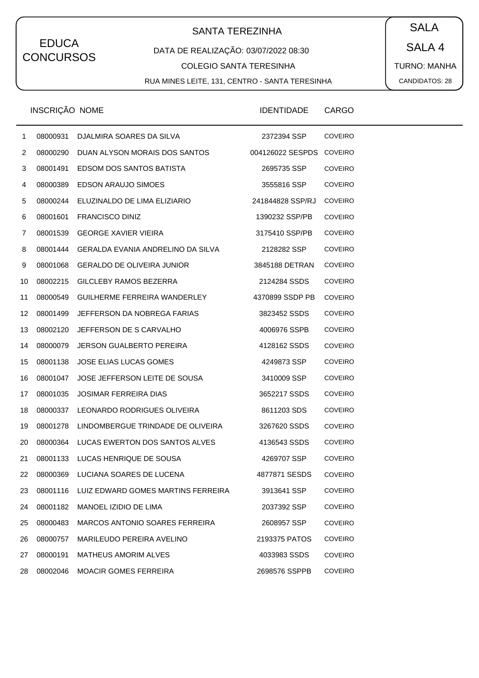# SANTA TEREZINHA  $\begin{pmatrix} SALA \end{pmatrix}$

#### DATA DE REALIZAÇÃO: 03/07/2022 08:30

COLEGIO SANTA TERESINHA

RUA MINES LEITE, 131, CENTRO - SANTA TERESINHA

SALA 4

TURNO: MANHA

|              | INSCRIÇÃO NOME |                                             | <b>IDENTIDADE</b>        | <b>CARGO</b>   |
|--------------|----------------|---------------------------------------------|--------------------------|----------------|
| $\mathbf{1}$ | 08000931       | DJALMIRA SOARES DA SILVA                    | 2372394 SSP              | <b>COVEIRO</b> |
| 2            |                | 08000290 DUAN ALYSON MORAIS DOS SANTOS      | 004126022 SESPDS COVEIRO |                |
| 3            |                | 08001491 EDSOM DOS SANTOS BATISTA           | 2695735 SSP              | <b>COVEIRO</b> |
| 4            |                | 08000389 EDSON ARAUJO SIMOES                | 3555816 SSP              | <b>COVEIRO</b> |
| 5            |                | 08000244 ELUZINALDO DE LIMA ELIZIARIO       | 241844828 SSP/RJ         | <b>COVEIRO</b> |
| 6            |                | 08001601 FRANCISCO DINIZ                    | 1390232 SSP/PB           | <b>COVEIRO</b> |
| 7            | 08001539       | <b>GEORGE XAVIER VIEIRA</b>                 | 3175410 SSP/PB           | <b>COVEIRO</b> |
| 8            |                | 08001444 GERALDA EVANIA ANDRELINO DA SILVA  | 2128282 SSP              | <b>COVEIRO</b> |
| 9            |                | 08001068 GERALDO DE OLIVEIRA JUNIOR         | 3845188 DETRAN           | COVEIRO        |
| 10           |                | 08002215 GILCLEBY RAMOS BEZERRA             | 2124284 SSDS             | <b>COVEIRO</b> |
| 11           | 08000549       | GUILHERME FERREIRA WANDERLEY                | 4370899 SSDP PB          | COVEIRO        |
| 12           | 08001499       | JEFFERSON DA NOBREGA FARIAS                 | 3823452 SSDS             | <b>COVEIRO</b> |
| 13           | 08002120       | JEFFERSON DE S CARVALHO                     | 4006976 SSPB             | <b>COVEIRO</b> |
| 14           | 08000079       | JERSON GUALBERTO PEREIRA                    | 4128162 SSDS             | <b>COVEIRO</b> |
| 15           | 08001138       | JOSE ELIAS LUCAS GOMES                      | 4249873 SSP              | <b>COVEIRO</b> |
| 16           | 08001047       | JOSE JEFFERSON LEITE DE SOUSA               | 3410009 SSP              | <b>COVEIRO</b> |
| 17           | 08001035       | <b>JOSIMAR FERREIRA DIAS</b>                | 3652217 SSDS             | <b>COVEIRO</b> |
| 18           |                | 08000337 LEONARDO RODRIGUES OLIVEIRA        | 8611203 SDS              | <b>COVEIRO</b> |
| 19           |                | 08001278 LINDOMBERGUE TRINDADE DE OLIVEIRA  | 3267620 SSDS             | <b>COVEIRO</b> |
| 20           |                | 08000364 LUCAS EWERTON DOS SANTOS ALVES     | 4136543 SSDS             | <b>COVEIRO</b> |
| 21           |                | 08001133 LUCAS HENRIQUE DE SOUSA            | 4269707 SSP              | <b>COVEIRO</b> |
| 22           |                | 08000369 LUCIANA SOARES DE LUCENA           | 4877871 SESDS            | <b>COVEIRO</b> |
| 23           |                | 08001116 LUIZ EDWARD GOMES MARTINS FERREIRA | 3913641 SSP              | <b>COVEIRO</b> |
| 24           | 08001182       | MANOEL IZIDIO DE LIMA                       | 2037392 SSP              | <b>COVEIRO</b> |
| 25           | 08000483       | MARCOS ANTONIO SOARES FERREIRA              | 2608957 SSP              | <b>COVEIRO</b> |
| 26           | 08000757       | MARILEUDO PEREIRA AVELINO                   | 2193375 PATOS            | <b>COVEIRO</b> |
| 27           | 08000191       | <b>MATHEUS AMORIM ALVES</b>                 | 4033983 SSDS             | <b>COVEIRO</b> |
| 28           | 08002046       | <b>MOACIR GOMES FERREIRA</b>                | 2698576 SSPPB            | <b>COVEIRO</b> |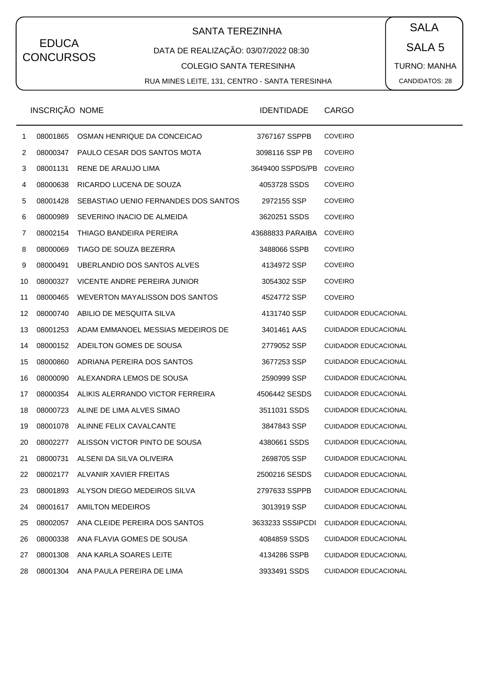# SANTA TEREZINHA  $\begin{pmatrix} SALA \end{pmatrix}$

#### DATA DE REALIZAÇÃO: 03/07/2022 08:30

COLEGIO SANTA TERESINHA

RUA MINES LEITE, 131, CENTRO - SANTA TERESINHA

SALA 5

TURNO: MANHA CANDIDATOS: 28

|              | INSCRIÇÃO NOME |                                           | <b>IDENTIDADE</b> | <b>CARGO</b>                |
|--------------|----------------|-------------------------------------------|-------------------|-----------------------------|
| $\mathbf{1}$ | 08001865       | OSMAN HENRIQUE DA CONCEICAO               | 3767167 SSPPB     | <b>COVEIRO</b>              |
| 2            | 08000347       | PAULO CESAR DOS SANTOS MOTA               | 3098116 SSP PB    | <b>COVEIRO</b>              |
| 3            | 08001131       | RENE DE ARAUJO LIMA                       | 3649400 SSPDS/PB  | <b>COVEIRO</b>              |
| 4            | 08000638       | RICARDO LUCENA DE SOUZA                   | 4053728 SSDS      | <b>COVEIRO</b>              |
| 5            | 08001428       | SEBASTIAO UENIO FERNANDES DOS SANTOS      | 2972155 SSP       | <b>COVEIRO</b>              |
| 6            | 08000989       | SEVERINO INACIO DE ALMEIDA                | 3620251 SSDS      | <b>COVEIRO</b>              |
| 7            | 08002154       | THIAGO BANDEIRA PEREIRA                   | 43688833 PARAIBA  | <b>COVEIRO</b>              |
| 8            | 08000069       | TIAGO DE SOUZA BEZERRA                    | 3488066 SSPB      | <b>COVEIRO</b>              |
| 9            | 08000491       | UBERLANDIO DOS SANTOS ALVES               | 4134972 SSP       | <b>COVEIRO</b>              |
| 10           | 08000327       | VICENTE ANDRE PEREIRA JUNIOR              | 3054302 SSP       | <b>COVEIRO</b>              |
| 11           | 08000465       | WEVERTON MAYALISSON DOS SANTOS            | 4524772 SSP       | <b>COVEIRO</b>              |
| 12           | 08000740       | ABILIO DE MESQUITA SILVA                  | 4131740 SSP       | <b>CUIDADOR EDUCACIONAL</b> |
| 13           | 08001253       | ADAM EMMANOEL MESSIAS MEDEIROS DE         | 3401461 AAS       | <b>CUIDADOR EDUCACIONAL</b> |
| 14           | 08000152       | ADEILTON GOMES DE SOUSA                   | 2779052 SSP       | <b>CUIDADOR EDUCACIONAL</b> |
| 15           | 08000860       | ADRIANA PEREIRA DOS SANTOS                | 3677253 SSP       | <b>CUIDADOR EDUCACIONAL</b> |
| 16           | 08000090       | ALEXANDRA LEMOS DE SOUSA                  | 2590999 SSP       | <b>CUIDADOR EDUCACIONAL</b> |
| 17           |                | 08000354 ALIKIS ALERRANDO VICTOR FERREIRA | 4506442 SESDS     | <b>CUIDADOR EDUCACIONAL</b> |
| 18           | 08000723       | ALINE DE LIMA ALVES SIMAO                 | 3511031 SSDS      | <b>CUIDADOR EDUCACIONAL</b> |
| 19           |                | 08001078 ALINNE FELIX CAVALCANTE          | 3847843 SSP       | <b>CUIDADOR EDUCACIONAL</b> |
| 20           |                | 08002277 ALISSON VICTOR PINTO DE SOUSA    | 4380661 SSDS      | <b>CUIDADOR EDUCACIONAL</b> |
| 21           | 08000731       | ALSENI DA SILVA OLIVEIRA                  | 2698705 SSP       | <b>CUIDADOR EDUCACIONAL</b> |
| 22           |                | 08002177 ALVANIR XAVIER FREITAS           | 2500216 SESDS     | <b>CUIDADOR EDUCACIONAL</b> |
| 23           | 08001893       | ALYSON DIEGO MEDEIROS SILVA               | 2797633 SSPPB     | <b>CUIDADOR EDUCACIONAL</b> |
| 24           | 08001617       | <b>AMILTON MEDEIROS</b>                   | 3013919 SSP       | <b>CUIDADOR EDUCACIONAL</b> |
| 25           | 08002057       | ANA CLEIDE PEREIRA DOS SANTOS             | 3633233 SSSIPCDI  | <b>CUIDADOR EDUCACIONAL</b> |
| 26           | 08000338       | ANA FLAVIA GOMES DE SOUSA                 | 4084859 SSDS      | <b>CUIDADOR EDUCACIONAL</b> |
| 27           | 08001308       | ANA KARLA SOARES LEITE                    | 4134286 SSPB      | <b>CUIDADOR EDUCACIONAL</b> |
| 28           | 08001304       | ANA PAULA PEREIRA DE LIMA                 | 3933491 SSDS      | <b>CUIDADOR EDUCACIONAL</b> |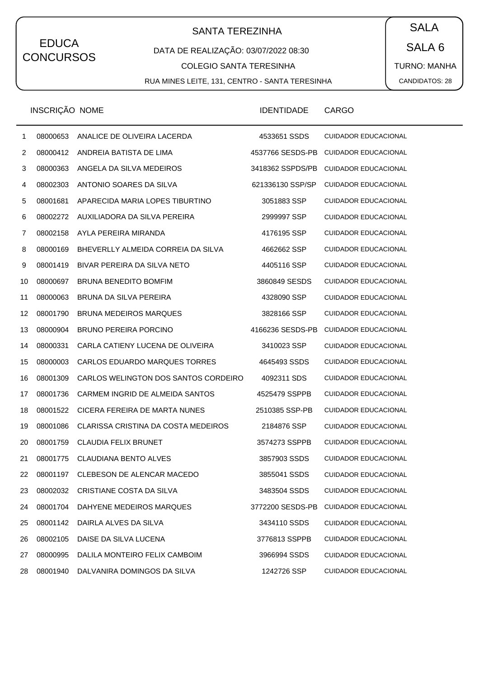# SANTA TEREZINHA  $\begin{pmatrix} \bullet & SALA \end{pmatrix}$

#### DATA DE REALIZAÇÃO: 03/07/2022 08:30

COLEGIO SANTA TERESINHA

RUA MINES LEITE, 131, CENTRO - SANTA TERESINHA

SALA 6 TURNO: MANHA CANDIDATOS: 28

|    | <b>INSCRIÇAO NOME</b> |                                      | <b>IDENTIDADE</b> | <b>CARGO</b>                |
|----|-----------------------|--------------------------------------|-------------------|-----------------------------|
| 1  | 08000653              | ANALICE DE OLIVEIRA LACERDA          | 4533651 SSDS      | <b>CUIDADOR EDUCACIONAL</b> |
| 2  | 08000412              | ANDREIA BATISTA DE LIMA              | 4537766 SESDS-PB  | <b>CUIDADOR EDUCACIONAL</b> |
| 3  | 08000363              | ANGELA DA SILVA MEDEIROS             | 3418362 SSPDS/PB  | <b>CUIDADOR EDUCACIONAL</b> |
| 4  | 08002303              | ANTONIO SOARES DA SILVA              | 621336130 SSP/SP  | <b>CUIDADOR EDUCACIONAL</b> |
| 5  | 08001681              | APARECIDA MARIA LOPES TIBURTINO      | 3051883 SSP       | <b>CUIDADOR EDUCACIONAL</b> |
| 6  | 08002272              | AUXILIADORA DA SILVA PEREIRA         | 2999997 SSP       | <b>CUIDADOR EDUCACIONAL</b> |
| 7  | 08002158              | AYLA PEREIRA MIRANDA                 | 4176195 SSP       | <b>CUIDADOR EDUCACIONAL</b> |
| 8  | 08000169              | BHEVERLLY ALMEIDA CORREIA DA SILVA   | 4662662 SSP       | <b>CUIDADOR EDUCACIONAL</b> |
| 9  | 08001419              | BIVAR PEREIRA DA SILVA NETO          | 4405116 SSP       | <b>CUIDADOR EDUCACIONAL</b> |
| 10 | 08000697              | <b>BRUNA BENEDITO BOMFIM</b>         | 3860849 SESDS     | <b>CUIDADOR EDUCACIONAL</b> |
| 11 | 08000063              | BRUNA DA SILVA PEREIRA               | 4328090 SSP       | <b>CUIDADOR EDUCACIONAL</b> |
| 12 | 08001790              | <b>BRUNA MEDEIROS MARQUES</b>        | 3828166 SSP       | <b>CUIDADOR EDUCACIONAL</b> |
| 13 | 08000904              | <b>BRUNO PEREIRA PORCINO</b>         | 4166236 SESDS-PB  | <b>CUIDADOR EDUCACIONAL</b> |
| 14 | 08000331              | CARLA CATIENY LUCENA DE OLIVEIRA     | 3410023 SSP       | <b>CUIDADOR EDUCACIONAL</b> |
| 15 | 08000003              | CARLOS EDUARDO MARQUES TORRES        | 4645493 SSDS      | <b>CUIDADOR EDUCACIONAL</b> |
| 16 | 08001309              | CARLOS WELINGTON DOS SANTOS CORDEIRO | 4092311 SDS       | <b>CUIDADOR EDUCACIONAL</b> |
| 17 | 08001736              | CARMEM INGRID DE ALMEIDA SANTOS      | 4525479 SSPPB     | <b>CUIDADOR EDUCACIONAL</b> |
| 18 | 08001522              | CICERA FEREIRA DE MARTA NUNES        | 2510385 SSP-PB    | <b>CUIDADOR EDUCACIONAL</b> |
| 19 | 08001086              | CLARISSA CRISTINA DA COSTA MEDEIROS  | 2184876 SSP       | <b>CUIDADOR EDUCACIONAL</b> |
| 20 | 08001759              | <b>CLAUDIA FELIX BRUNET</b>          | 3574273 SSPPB     | <b>CUIDADOR EDUCACIONAL</b> |
| 21 | 08001775              | CLAUDIANA BENTO ALVES                | 3857903 SSDS      | <b>CUIDADOR EDUCACIONAL</b> |
| 22 | 08001197              | CLEBESON DE ALENCAR MACEDO           | 3855041 SSDS      | <b>CUIDADOR EDUCACIONAL</b> |
| 23 | 08002032              | CRISTIANE COSTA DA SILVA             | 3483504 SSDS      | <b>CUIDADOR EDUCACIONAL</b> |
| 24 | 08001704              | DAHYENE MEDEIROS MARQUES             | 3772200 SESDS-PB  | <b>CUIDADOR EDUCACIONAL</b> |
| 25 | 08001142              | DAIRLA ALVES DA SILVA                | 3434110 SSDS      | <b>CUIDADOR EDUCACIONAL</b> |
| 26 | 08002105              | DAISE DA SILVA LUCENA                | 3776813 SSPPB     | <b>CUIDADOR EDUCACIONAL</b> |
| 27 | 08000995              | DALILA MONTEIRO FELIX CAMBOIM        | 3966994 SSDS      | <b>CUIDADOR EDUCACIONAL</b> |
| 28 | 08001940              | DALVANIRA DOMINGOS DA SILVA          | 1242726 SSP       | <b>CUIDADOR EDUCACIONAL</b> |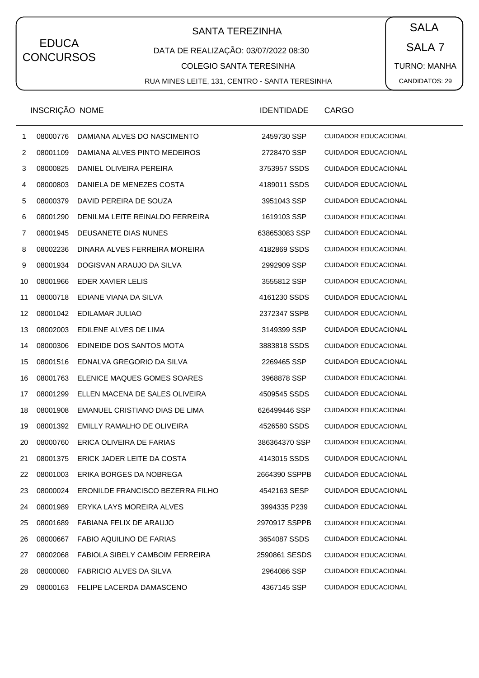# SANTA TEREZINHA  $\begin{pmatrix} SALA \end{pmatrix}$

#### DATA DE REALIZAÇÃO: 03/07/2022 08:30

COLEGIO SANTA TERESINHA

RUA MINES LEITE, 131, CENTRO - SANTA TERESINHA

SALA 7 TURNO: MANHA CANDIDATOS: 29

|                | INSCRIÇÃO NOME |                                        | <b>IDENTIDADE</b> | <b>CARGO</b>                |
|----------------|----------------|----------------------------------------|-------------------|-----------------------------|
| 1              | 08000776       | DAMIANA ALVES DO NASCIMENTO            | 2459730 SSP       | <b>CUIDADOR EDUCACIONAL</b> |
| $\overline{c}$ | 08001109       | DAMIANA ALVES PINTO MEDEIROS           | 2728470 SSP       | <b>CUIDADOR EDUCACIONAL</b> |
| 3              | 08000825       | DANIEL OLIVEIRA PEREIRA                | 3753957 SSDS      | <b>CUIDADOR EDUCACIONAL</b> |
| 4              | 08000803       | DANIELA DE MENEZES COSTA               | 4189011 SSDS      | <b>CUIDADOR EDUCACIONAL</b> |
| 5              | 08000379       | DAVID PEREIRA DE SOUZA                 | 3951043 SSP       | <b>CUIDADOR EDUCACIONAL</b> |
| 6              | 08001290       | DENILMA LEITE REINALDO FERREIRA        | 1619103 SSP       | <b>CUIDADOR EDUCACIONAL</b> |
| 7              | 08001945       | DEUSANETE DIAS NUNES                   | 638653083 SSP     | <b>CUIDADOR EDUCACIONAL</b> |
| 8              | 08002236       | DINARA ALVES FERREIRA MOREIRA          | 4182869 SSDS      | <b>CUIDADOR EDUCACIONAL</b> |
| 9              | 08001934       | DOGISVAN ARAUJO DA SILVA               | 2992909 SSP       | <b>CUIDADOR EDUCACIONAL</b> |
| 10             | 08001966       | EDER XAVIER LELIS                      | 3555812 SSP       | <b>CUIDADOR EDUCACIONAL</b> |
| 11             | 08000718       | EDIANE VIANA DA SILVA                  | 4161230 SSDS      | <b>CUIDADOR EDUCACIONAL</b> |
| 12             | 08001042       | EDILAMAR JULIAO                        | 2372347 SSPB      | <b>CUIDADOR EDUCACIONAL</b> |
| 13             | 08002003       | EDILENE ALVES DE LIMA                  | 3149399 SSP       | <b>CUIDADOR EDUCACIONAL</b> |
| 14             | 08000306       | EDINEIDE DOS SANTOS MOTA               | 3883818 SSDS      | <b>CUIDADOR EDUCACIONAL</b> |
| 15             | 08001516       | EDNALVA GREGORIO DA SILVA              | 2269465 SSP       | <b>CUIDADOR EDUCACIONAL</b> |
| 16             | 08001763       | ELENICE MAQUES GOMES SOARES            | 3968878 SSP       | <b>CUIDADOR EDUCACIONAL</b> |
| 17             | 08001299       | ELLEN MACENA DE SALES OLIVEIRA         | 4509545 SSDS      | <b>CUIDADOR EDUCACIONAL</b> |
| 18             | 08001908       | EMANUEL CRISTIANO DIAS DE LIMA         | 626499446 SSP     | <b>CUIDADOR EDUCACIONAL</b> |
| 19             | 08001392       | EMILLY RAMALHO DE OLIVEIRA             | 4526580 SSDS      | <b>CUIDADOR EDUCACIONAL</b> |
| 20             | 08000760       | ERICA OLIVEIRA DE FARIAS               | 386364370 SSP     | <b>CUIDADOR EDUCACIONAL</b> |
| 21             | 08001375       | ERICK JADER LEITE DA COSTA             | 4143015 SSDS      | <b>CUIDADOR EDUCACIONAL</b> |
| 22             | 08001003       | ERIKA BORGES DA NOBREGA                | 2664390 SSPPB     | <b>CUIDADOR EDUCACIONAL</b> |
| 23             | 08000024       | ERONILDE FRANCISCO BEZERRA FILHO       | 4542163 SESP      | <b>CUIDADOR EDUCACIONAL</b> |
| 24             | 08001989       | ERYKA LAYS MOREIRA ALVES               | 3994335 P239      | <b>CUIDADOR EDUCACIONAL</b> |
| 25             | 08001689       | FABIANA FELIX DE ARAUJO                | 2970917 SSPPB     | <b>CUIDADOR EDUCACIONAL</b> |
| 26             | 08000667       | <b>FABIO AQUILINO DE FARIAS</b>        | 3654087 SSDS      | <b>CUIDADOR EDUCACIONAL</b> |
| 27             | 08002068       | <b>FABIOLA SIBELY CAMBOIM FERREIRA</b> | 2590861 SESDS     | <b>CUIDADOR EDUCACIONAL</b> |
| 28             | 08000080       | <b>FABRICIO ALVES DA SILVA</b>         | 2964086 SSP       | <b>CUIDADOR EDUCACIONAL</b> |
| 29             | 08000163       | FELIPE LACERDA DAMASCENO               | 4367145 SSP       | <b>CUIDADOR EDUCACIONAL</b> |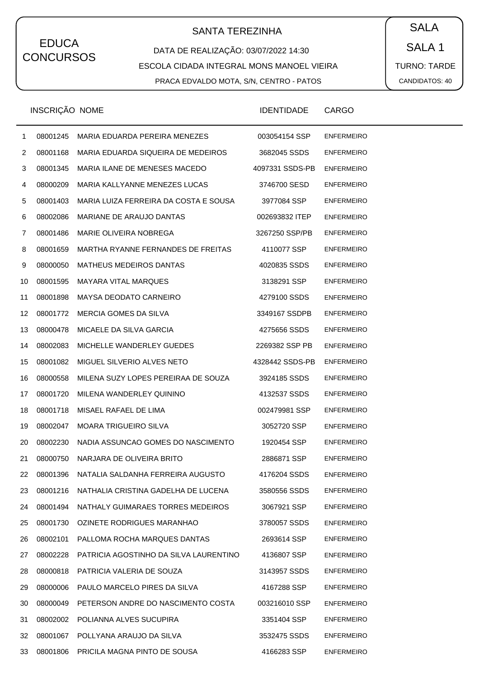# SANTA TEREZINHA  $\begin{pmatrix} \bullet & SALA \end{pmatrix}$

DATA DE REALIZAÇÃO: 03/07/2022 14:30 ESCOLA CIDADA INTEGRAL MONS MANOEL VIEIRA PRACA EDVALDO MOTA, S/N, CENTRO - PATOS

SALA 1 TURNO: TARDE CANDIDATOS: 40

|    | INSCRIÇÃO NOME |                                        | <b>IDENTIDADE</b> | <b>CARGO</b>      |
|----|----------------|----------------------------------------|-------------------|-------------------|
| 1  | 08001245       | MARIA EDUARDA PEREIRA MENEZES          | 003054154 SSP     | <b>ENFERMEIRO</b> |
| 2  | 08001168       | MARIA EDUARDA SIQUEIRA DE MEDEIROS     | 3682045 SSDS      | <b>ENFERMEIRO</b> |
| 3  | 08001345       | MARIA ILANE DE MENESES MACEDO          | 4097331 SSDS-PB   | <b>ENFERMEIRO</b> |
| 4  | 08000209       | MARIA KALLYANNE MENEZES LUCAS          | 3746700 SESD      | <b>ENFERMEIRO</b> |
| 5  | 08001403       | MARIA LUIZA FERREIRA DA COSTA E SOUSA  | 3977084 SSP       | <b>ENFERMEIRO</b> |
| 6  | 08002086       | MARIANE DE ARAUJO DANTAS               | 002693832 ITEP    | <b>ENFERMEIRO</b> |
| 7  | 08001486       | MARIE OLIVEIRA NOBREGA                 | 3267250 SSP/PB    | <b>ENFERMEIRO</b> |
| 8  | 08001659       | MARTHA RYANNE FERNANDES DE FREITAS     | 4110077 SSP       | <b>ENFERMEIRO</b> |
| 9  | 08000050       | <b>MATHEUS MEDEIROS DANTAS</b>         | 4020835 SSDS      | <b>ENFERMEIRO</b> |
| 10 | 08001595       | <b>MAYARA VITAL MARQUES</b>            | 3138291 SSP       | <b>ENFERMEIRO</b> |
| 11 | 08001898       | MAYSA DEODATO CARNEIRO                 | 4279100 SSDS      | <b>ENFERMEIRO</b> |
| 12 | 08001772       | MERCIA GOMES DA SILVA                  | 3349167 SSDPB     | <b>ENFERMEIRO</b> |
| 13 | 08000478       | MICAELE DA SILVA GARCIA                | 4275656 SSDS      | <b>ENFERMEIRO</b> |
| 14 | 08002083       | MICHELLE WANDERLEY GUEDES              | 2269382 SSP PB    | <b>ENFERMEIRO</b> |
| 15 | 08001082       | MIGUEL SILVERIO ALVES NETO             | 4328442 SSDS-PB   | <b>ENFERMEIRO</b> |
| 16 | 08000558       | MILENA SUZY LOPES PEREIRAA DE SOUZA    | 3924185 SSDS      | <b>ENFERMEIRO</b> |
| 17 | 08001720       | MILENA WANDERLEY QUININO               | 4132537 SSDS      | <b>ENFERMEIRO</b> |
| 18 | 08001718       | MISAEL RAFAEL DE LIMA                  | 002479981 SSP     | <b>ENFERMEIRO</b> |
| 19 | 08002047       | <b>MOARA TRIGUEIRO SILVA</b>           | 3052720 SSP       | <b>ENFERMEIRO</b> |
| 20 | 08002230       | NADIA ASSUNCAO GOMES DO NASCIMENTO     | 1920454 SSP       | <b>ENFERMEIRO</b> |
| 21 | 08000750       | NARJARA DE OLIVEIRA BRITO              | 2886871 SSP       | <b>ENFERMEIRO</b> |
| 22 | 08001396       | NATALIA SALDANHA FERREIRA AUGUSTO      | 4176204 SSDS      | <b>ENFERMEIRO</b> |
| 23 | 08001216       | NATHALIA CRISTINA GADELHA DE LUCENA    | 3580556 SSDS      | <b>ENFERMEIRO</b> |
| 24 | 08001494       | NATHALY GUIMARAES TORRES MEDEIROS      | 3067921 SSP       | <b>ENFERMEIRO</b> |
| 25 | 08001730       | OZINETE RODRIGUES MARANHAO             | 3780057 SSDS      | <b>ENFERMEIRO</b> |
| 26 | 08002101       | PALLOMA ROCHA MARQUES DANTAS           | 2693614 SSP       | <b>ENFERMEIRO</b> |
| 27 | 08002228       | PATRICIA AGOSTINHO DA SILVA LAURENTINO | 4136807 SSP       | <b>ENFERMEIRO</b> |
| 28 | 08000818       | PATRICIA VALERIA DE SOUZA              | 3143957 SSDS      | <b>ENFERMEIRO</b> |
| 29 | 08000006       | PAULO MARCELO PIRES DA SILVA           | 4167288 SSP       | <b>ENFERMEIRO</b> |
| 30 | 08000049       | PETERSON ANDRE DO NASCIMENTO COSTA     | 003216010 SSP     | <b>ENFERMEIRO</b> |
| 31 | 08002002       | POLIANNA ALVES SUCUPIRA                | 3351404 SSP       | <b>ENFERMEIRO</b> |
| 32 | 08001067       | POLLYANA ARAUJO DA SILVA               | 3532475 SSDS      | <b>ENFERMEIRO</b> |
| 33 |                | 08001806 PRICILA MAGNA PINTO DE SOUSA  | 4166283 SSP       | <b>ENFERMEIRO</b> |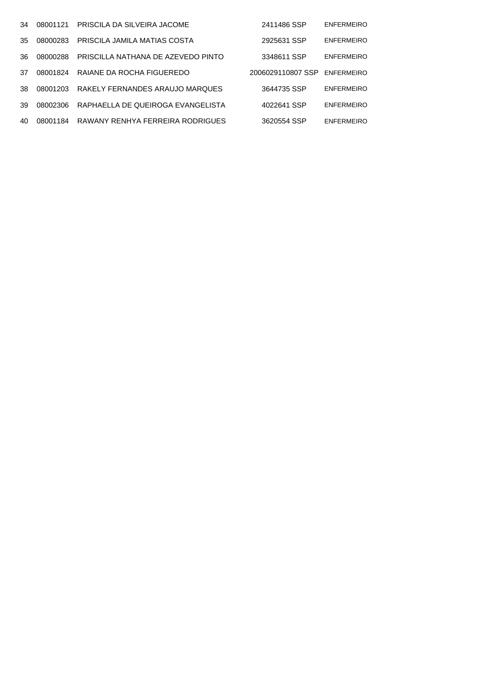| 34  | 08001121 | PRISCILA DA SILVEIRA JACOME        | 2411486 SSP       | <b>ENFERMEIRO</b> |
|-----|----------|------------------------------------|-------------------|-------------------|
| 35. | 08000283 | PRISCILA JAMILA MATIAS COSTA       | 2925631 SSP       | <b>FNFFRMFIRO</b> |
| -36 | 08000288 | PRISCILLA NATHANA DE AZEVEDO PINTO | 3348611 SSP       | <b>ENFERMEIRO</b> |
| 37  | 08001824 | RAIANE DA ROCHA FIGUEREDO          | 2006029110807 SSP | <b>ENFERMEIRO</b> |
| 38. | 08001203 | RAKELY FERNANDES ARAUJO MARQUES    | 3644735 SSP       | <b>ENFERMEIRO</b> |
| 39  | 08002306 | RAPHAELLA DE QUEIROGA EVANGELISTA  | 4022641 SSP       | <b>FNFFRMFIRO</b> |
| 40  | 08001184 | RAWANY RENHYA FERREIRA RODRIGUES   | 3620554 SSP       | <b>ENFERMEIRO</b> |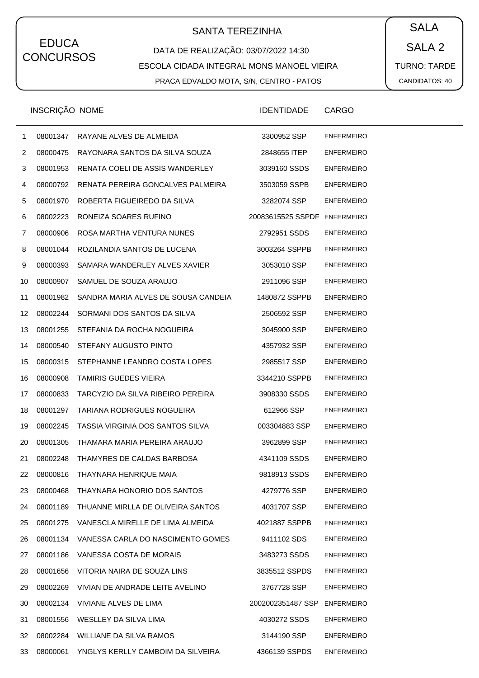# SANTA TEREZINHA  $\begin{pmatrix} \bullet & SALA \end{pmatrix}$

#### DATA DE REALIZAÇÃO: 03/07/2022 14:30 ESCOLA CIDADA INTEGRAL MONS MANOEL VIEIRA PRACA EDVALDO MOTA, S/N, CENTRO - PATOS

SALA 2 TURNO: TARDE CANDIDATOS: 40

|                | INSCRIÇÃO NOME |                                           | <b>IDENTIDADE</b>            | CARGO             |
|----------------|----------------|-------------------------------------------|------------------------------|-------------------|
| $\mathbf{1}$   | 08001347       | RAYANE ALVES DE ALMEIDA                   | 3300952 SSP                  | <b>ENFERMEIRO</b> |
| $\overline{2}$ | 08000475       | RAYONARA SANTOS DA SILVA SOUZA            | 2848655 ITEP                 | <b>ENFERMEIRO</b> |
| 3              | 08001953       | RENATA COELI DE ASSIS WANDERLEY           | 3039160 SSDS                 | <b>ENFERMEIRO</b> |
| 4              | 08000792       | RENATA PEREIRA GONCALVES PALMEIRA         | 3503059 SSPB                 | <b>ENFERMEIRO</b> |
| 5              | 08001970       | ROBERTA FIGUEIREDO DA SILVA               | 3282074 SSP                  | <b>ENFERMEIRO</b> |
| 6              | 08002223       | RONEIZA SOARES RUFINO                     | 20083615525 SSPDF ENFERMEIRO |                   |
| 7              | 08000906       | ROSA MARTHA VENTURA NUNES                 | 2792951 SSDS                 | <b>ENFERMEIRO</b> |
| 8              | 08001044       | ROZILANDIA SANTOS DE LUCENA               | 3003264 SSPPB                | <b>ENFERMEIRO</b> |
| 9              | 08000393       | SAMARA WANDERLEY ALVES XAVIER             | 3053010 SSP                  | <b>ENFERMEIRO</b> |
| 10             | 08000907       | SAMUEL DE SOUZA ARAUJO                    | 2911096 SSP                  | <b>ENFERMEIRO</b> |
| 11             | 08001982       | SANDRA MARIA ALVES DE SOUSA CANDEIA       | 1480872 SSPPB                | <b>ENFERMEIRO</b> |
| 12             | 08002244       | SORMANI DOS SANTOS DA SILVA               | 2506592 SSP                  | <b>ENFERMEIRO</b> |
| 13             | 08001255       | STEFANIA DA ROCHA NOGUEIRA                | 3045900 SSP                  | <b>ENFERMEIRO</b> |
| 14             | 08000540       | STEFANY AUGUSTO PINTO                     | 4357932 SSP                  | <b>ENFERMEIRO</b> |
| 15             | 08000315       | STEPHANNE LEANDRO COSTA LOPES             | 2985517 SSP                  | <b>ENFERMEIRO</b> |
| 16             | 08000908       | <b>TAMIRIS GUEDES VIEIRA</b>              | 3344210 SSPPB                | <b>ENFERMEIRO</b> |
| 17             | 08000833       | TARCYZIO DA SILVA RIBEIRO PEREIRA         | 3908330 SSDS                 | <b>ENFERMEIRO</b> |
| 18             | 08001297       | TARIANA RODRIGUES NOGUEIRA                | 612966 SSP                   | <b>ENFERMEIRO</b> |
| 19             | 08002245       | TASSIA VIRGINIA DOS SANTOS SILVA          | 003304883 SSP                | <b>ENFERMEIRO</b> |
| 20             | 08001305       | THAMARA MARIA PEREIRA ARAUJO              | 3962899 SSP                  | <b>ENFERMEIRO</b> |
| 21             | 08002248       | THAMYRES DE CALDAS BARBOSA                | 4341109 SSDS                 | <b>ENFERMEIRO</b> |
| 22             | 08000816       | THAYNARA HENRIQUE MAIA                    | 9818913 SSDS                 | <b>ENFERMEIRO</b> |
| 23             | 08000468       | THAYNARA HONORIO DOS SANTOS               | 4279776 SSP                  | <b>ENFERMEIRO</b> |
| 24             | 08001189       | THUANNE MIRLLA DE OLIVEIRA SANTOS         | 4031707 SSP                  | <b>ENFERMEIRO</b> |
| 25             |                | 08001275 VANESCLA MIRELLE DE LIMA ALMEIDA | 4021887 SSPPB                | <b>ENFERMEIRO</b> |
| 26             | 08001134       | VANESSA CARLA DO NASCIMENTO GOMES         | 9411102 SDS                  | <b>ENFERMEIRO</b> |
| 27             | 08001186       | VANESSA COSTA DE MORAIS                   | 3483273 SSDS                 | <b>ENFERMEIRO</b> |
| 28             | 08001656       | VITORIA NAIRA DE SOUZA LINS               | 3835512 SSPDS                | <b>ENFERMEIRO</b> |
| 29             | 08002269       | VIVIAN DE ANDRADE LEITE AVELINO           | 3767728 SSP                  | <b>ENFERMEIRO</b> |
| 30             | 08002134       | VIVIANE ALVES DE LIMA                     | 2002002351487 SSP            | <b>ENFERMEIRO</b> |
| 31             | 08001556       | WESLLEY DA SILVA LIMA                     | 4030272 SSDS                 | <b>ENFERMEIRO</b> |
| 32             | 08002284       | WILLIANE DA SILVA RAMOS                   | 3144190 SSP                  | <b>ENFERMEIRO</b> |
| 33             | 08000061       | YNGLYS KERLLY CAMBOIM DA SILVEIRA         | 4366139 SSPDS                | <b>ENFERMEIRO</b> |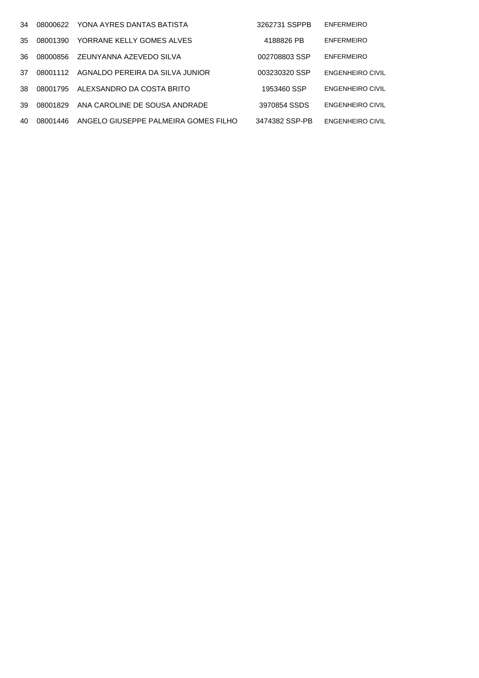| 34  | 08000622 | YONA AYRES DANTAS BATISTA            | 3262731 SSPPB  | <b>ENFERMEIRO</b>       |
|-----|----------|--------------------------------------|----------------|-------------------------|
| 35. | 08001390 | YORRANE KELLY GOMES ALVES            | 4188826 PB     | <b>ENFERMEIRO</b>       |
| 36. | 08000856 | ZEUNYANNA AZEVEDO SILVA              | 002708803 SSP  | <b>ENFERMEIRO</b>       |
| 37  | 08001112 | AGNALDO PEREIRA DA SILVA JUNIOR      | 003230320 SSP  | <b>ENGENHEIRO CIVIL</b> |
| 38. | 08001795 | ALEXSANDRO DA COSTA BRITO            | 1953460 SSP    | <b>ENGENHEIRO CIVIL</b> |
| 39  | 08001829 | ANA CAROLINE DE SOUSA ANDRADE        | 3970854 SSDS   | <b>ENGENHEIRO CIVIL</b> |
| 40. | 08001446 | ANGELO GIUSEPPE PALMEIRA GOMES FILHO | 3474382 SSP-PB | <b>ENGENHEIRO CIVIL</b> |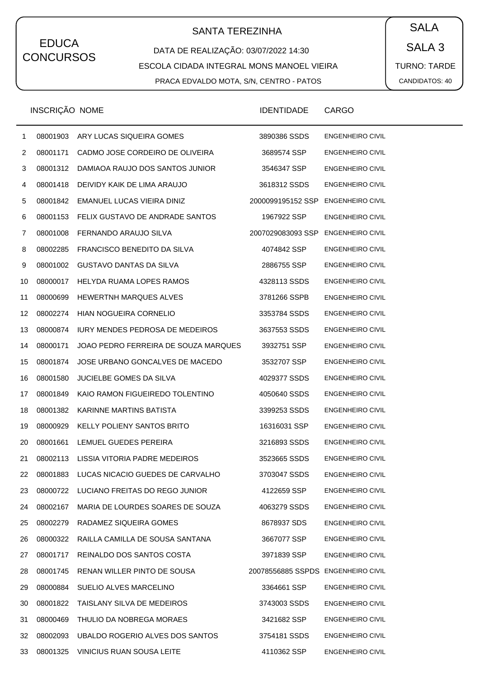# SANTA TEREZINHA  $\begin{pmatrix} \bullet & SALA \end{pmatrix}$

DATA DE REALIZAÇÃO: 03/07/2022 14:30 ESCOLA CIDADA INTEGRAL MONS MANOEL VIEIRA PRACA EDVALDO MOTA, S/N, CENTRO - PATOS

SALA 3 TURNO: TARDE CANDIDATOS: 40

|    | INSCRIÇÃO NOME |                                         | <b>IDENTIDADE</b>                  | <b>CARGO</b>            |
|----|----------------|-----------------------------------------|------------------------------------|-------------------------|
| 1  | 08001903       | ARY LUCAS SIQUEIRA GOMES                | 3890386 SSDS                       | <b>ENGENHEIRO CIVIL</b> |
| 2  | 08001171       | CADMO JOSE CORDEIRO DE OLIVEIRA         | 3689574 SSP                        | <b>ENGENHEIRO CIVIL</b> |
| 3  | 08001312       | DAMIAOA RAUJO DOS SANTOS JUNIOR         | 3546347 SSP                        | <b>ENGENHEIRO CIVIL</b> |
| 4  | 08001418       | DEIVIDY KAIK DE LIMA ARAUJO             | 3618312 SSDS                       | <b>ENGENHEIRO CIVIL</b> |
| 5  | 08001842       | EMANUEL LUCAS VIEIRA DINIZ              | 2000099195152 SSP ENGENHEIRO CIVIL |                         |
| 6  | 08001153       | FELIX GUSTAVO DE ANDRADE SANTOS         | 1967922 SSP                        | <b>ENGENHEIRO CIVIL</b> |
| 7  | 08001008       | FERNANDO ARAUJO SILVA                   | 2007029083093 SSP ENGENHEIRO CIVIL |                         |
| 8  | 08002285       | FRANCISCO BENEDITO DA SILVA             | 4074842 SSP                        | <b>ENGENHEIRO CIVIL</b> |
| 9  | 08001002       | <b>GUSTAVO DANTAS DA SILVA</b>          | 2886755 SSP                        | <b>ENGENHEIRO CIVIL</b> |
| 10 | 08000017       | HELYDA RUAMA LOPES RAMOS                | 4328113 SSDS                       | <b>ENGENHEIRO CIVIL</b> |
| 11 | 08000699       | HEWERTNH MARQUES ALVES                  | 3781266 SSPB                       | <b>ENGENHEIRO CIVIL</b> |
| 12 | 08002274       | <b>HIAN NOGUEIRA CORNELIO</b>           | 3353784 SSDS                       | <b>ENGENHEIRO CIVIL</b> |
| 13 | 08000874       | <b>IURY MENDES PEDROSA DE MEDEIROS</b>  | 3637553 SSDS                       | <b>ENGENHEIRO CIVIL</b> |
| 14 | 08000171       | JOAO PEDRO FERREIRA DE SOUZA MARQUES    | 3932751 SSP                        | <b>ENGENHEIRO CIVIL</b> |
| 15 | 08001874       | JOSE URBANO GONCALVES DE MACEDO         | 3532707 SSP                        | <b>ENGENHEIRO CIVIL</b> |
| 16 | 08001580       | <b>JUCIELBE GOMES DA SILVA</b>          | 4029377 SSDS                       | <b>ENGENHEIRO CIVIL</b> |
| 17 | 08001849       | KAIO RAMON FIGUEIREDO TOLENTINO         | 4050640 SSDS                       | <b>ENGENHEIRO CIVIL</b> |
| 18 | 08001382       | KARINNE MARTINS BATISTA                 | 3399253 SSDS                       | <b>ENGENHEIRO CIVIL</b> |
| 19 | 08000929       | KELLY POLIENY SANTOS BRITO              | 16316031 SSP                       | <b>ENGENHEIRO CIVIL</b> |
| 20 | 08001661       | LEMUEL GUEDES PEREIRA                   | 3216893 SSDS                       | <b>ENGENHEIRO CIVIL</b> |
| 21 |                | 08002113 LISSIA VITORIA PADRE MEDEIROS  | 3523665 SSDS                       | <b>ENGENHEIRO CIVIL</b> |
| 22 | 08001883       | LUCAS NICACIO GUEDES DE CARVALHO        | 3703047 SSDS                       | <b>ENGENHEIRO CIVIL</b> |
| 23 |                | 08000722 LUCIANO FREITAS DO REGO JUNIOR | 4122659 SSP                        | ENGENHEIRO CIVIL        |
| 24 | 08002167       | MARIA DE LOURDES SOARES DE SOUZA        | 4063279 SSDS                       | <b>ENGENHEIRO CIVIL</b> |
| 25 | 08002279       | RADAMEZ SIQUEIRA GOMES                  | 8678937 SDS                        | <b>ENGENHEIRO CIVIL</b> |
| 26 | 08000322       | RAILLA CAMILLA DE SOUSA SANTANA         | 3667077 SSP                        | <b>ENGENHEIRO CIVIL</b> |
| 27 | 08001717       | REINALDO DOS SANTOS COSTA               | 3971839 SSP                        | <b>ENGENHEIRO CIVIL</b> |
| 28 | 08001745       | RENAN WILLER PINTO DE SOUSA             | 20078556885 SSPDS ENGENHEIRO CIVIL |                         |
| 29 | 08000884       | SUELIO ALVES MARCELINO                  | 3364661 SSP                        | <b>ENGENHEIRO CIVIL</b> |
| 30 | 08001822       | TAISLANY SILVA DE MEDEIROS              | 3743003 SSDS                       | <b>ENGENHEIRO CIVIL</b> |
| 31 | 08000469       | THULIO DA NOBREGA MORAES                | 3421682 SSP                        | <b>ENGENHEIRO CIVIL</b> |
| 32 | 08002093       | UBALDO ROGERIO ALVES DOS SANTOS         | 3754181 SSDS                       | <b>ENGENHEIRO CIVIL</b> |
| 33 | 08001325       | VINICIUS RUAN SOUSA LEITE               | 4110362 SSP                        | ENGENHEIRO CIVIL        |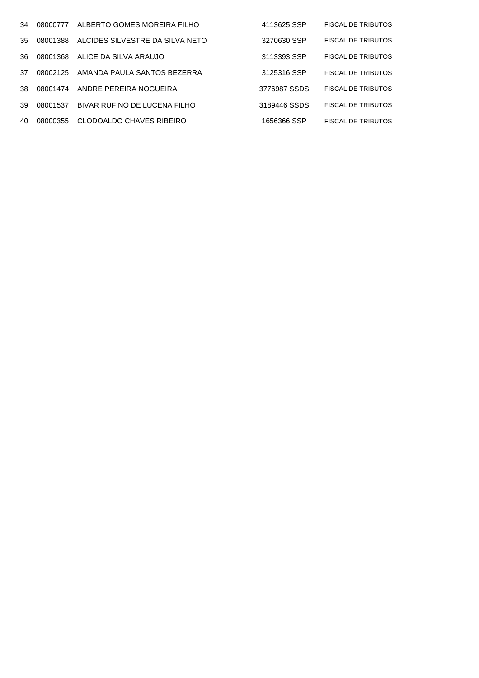| 34  | 08000777 | ALBERTO GOMES MOREIRA FILHO     | 4113625 SSP  | <b>FISCAL DE TRIBUTOS</b> |
|-----|----------|---------------------------------|--------------|---------------------------|
| 35. | 08001388 | ALCIDES SILVESTRE DA SILVA NETO | 3270630 SSP  | <b>FISCAL DE TRIBUTOS</b> |
| 36. | 08001368 | ALICE DA SILVA ARAUJO           | 3113393 SSP  | <b>FISCAL DE TRIBUTOS</b> |
| 37  | 08002125 | AMANDA PAULA SANTOS BEZERRA     | 3125316 SSP  | <b>FISCAL DE TRIBUTOS</b> |
| 38. | 08001474 | ANDRE PEREIRA NOGUEIRA          | 3776987 SSDS | <b>FISCAL DE TRIBUTOS</b> |
| 39  | 08001537 | BIVAR RUFINO DE LUCENA FILHO    | 3189446 SSDS | <b>FISCAL DE TRIBUTOS</b> |
| 40  | 08000355 | CLODOALDO CHAVES RIBEIRO        | 1656366 SSP  | <b>FISCAL DE TRIBUTOS</b> |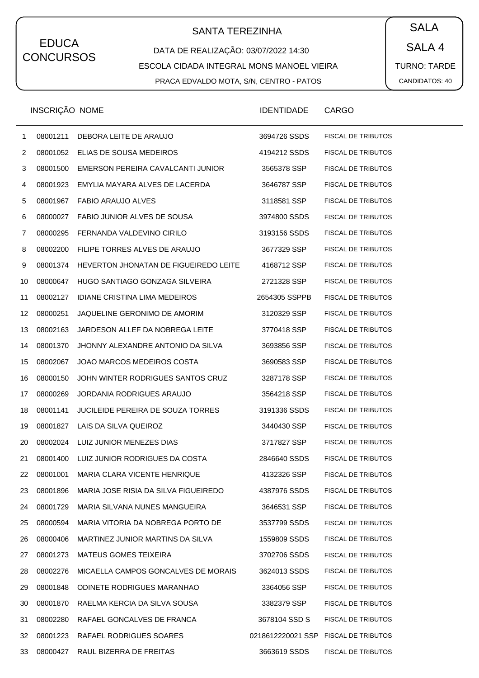# SANTA TEREZINHA  $\begin{pmatrix} \bullet & SALA \end{pmatrix}$

### DATA DE REALIZAÇÃO: 03/07/2022 14:30 ESCOLA CIDADA INTEGRAL MONS MANOEL VIEIRA PRACA EDVALDO MOTA, S/N, CENTRO - PATOS

SALA 4 TURNO: TARDE CANDIDATOS: 40

|              | INSCRIÇÃO NOME |                                          | <b>IDENTIDADE</b>                    | CARGO                     |
|--------------|----------------|------------------------------------------|--------------------------------------|---------------------------|
| $\mathbf{1}$ | 08001211       | DEBORA LEITE DE ARAUJO                   | 3694726 SSDS                         | <b>FISCAL DE TRIBUTOS</b> |
| 2            | 08001052       | ELIAS DE SOUSA MEDEIROS                  | 4194212 SSDS                         | <b>FISCAL DE TRIBUTOS</b> |
| 3            | 08001500       | EMERSON PEREIRA CAVALCANTI JUNIOR        | 3565378 SSP                          | <b>FISCAL DE TRIBUTOS</b> |
| 4            | 08001923       | EMYLIA MAYARA ALVES DE LACERDA           | 3646787 SSP                          | <b>FISCAL DE TRIBUTOS</b> |
| 5            | 08001967       | <b>FABIO ARAUJO ALVES</b>                | 3118581 SSP                          | <b>FISCAL DE TRIBUTOS</b> |
| 6            | 08000027       | FABIO JUNIOR ALVES DE SOUSA              | 3974800 SSDS                         | <b>FISCAL DE TRIBUTOS</b> |
| 7            | 08000295       | FERNANDA VALDEVINO CIRILO                | 3193156 SSDS                         | <b>FISCAL DE TRIBUTOS</b> |
| 8            | 08002200       | FILIPE TORRES ALVES DE ARAUJO            | 3677329 SSP                          | <b>FISCAL DE TRIBUTOS</b> |
| 9            | 08001374       | HEVERTON JHONATAN DE FIGUEIREDO LEITE    | 4168712 SSP                          | <b>FISCAL DE TRIBUTOS</b> |
| 10           | 08000647       | HUGO SANTIAGO GONZAGA SILVEIRA           | 2721328 SSP                          | <b>FISCAL DE TRIBUTOS</b> |
| 11           | 08002127       | <b>IDIANE CRISTINA LIMA MEDEIROS</b>     | 2654305 SSPPB                        | <b>FISCAL DE TRIBUTOS</b> |
| 12           | 08000251       | JAQUELINE GERONIMO DE AMORIM             | 3120329 SSP                          | <b>FISCAL DE TRIBUTOS</b> |
| 13           | 08002163       | JARDESON ALLEF DA NOBREGA LEITE          | 3770418 SSP                          | <b>FISCAL DE TRIBUTOS</b> |
| 14           | 08001370       | JHONNY ALEXANDRE ANTONIO DA SILVA        | 3693856 SSP                          | <b>FISCAL DE TRIBUTOS</b> |
| 15           | 08002067       | JOAO MARCOS MEDEIROS COSTA               | 3690583 SSP                          | <b>FISCAL DE TRIBUTOS</b> |
| 16           | 08000150       | JOHN WINTER RODRIGUES SANTOS CRUZ        | 3287178 SSP                          | <b>FISCAL DE TRIBUTOS</b> |
| 17           | 08000269       | JORDANIA RODRIGUES ARAUJO                | 3564218 SSP                          | <b>FISCAL DE TRIBUTOS</b> |
| 18           | 08001141       | <b>JUCILEIDE PEREIRA DE SOUZA TORRES</b> | 3191336 SSDS                         | <b>FISCAL DE TRIBUTOS</b> |
| 19           | 08001827       | LAIS DA SILVA QUEIROZ                    | 3440430 SSP                          | <b>FISCAL DE TRIBUTOS</b> |
| 20           | 08002024       | LUIZ JUNIOR MENEZES DIAS                 | 3717827 SSP                          | <b>FISCAL DE TRIBUTOS</b> |
| 21           | 08001400       | LUIZ JUNIOR RODRIGUES DA COSTA           | 2846640 SSDS                         | <b>FISCAL DE TRIBUTOS</b> |
| 22           | 08001001       | MARIA CLARA VICENTE HENRIQUE             | 4132326 SSP                          | <b>FISCAL DE TRIBUTOS</b> |
| 23           | 08001896       | MARIA JOSE RISIA DA SILVA FIGUEIREDO     | 4387976 SSDS                         | <b>FISCAL DE TRIBUTOS</b> |
| 24           | 08001729       | MARIA SILVANA NUNES MANGUEIRA            | 3646531 SSP                          | <b>FISCAL DE TRIBUTOS</b> |
| 25           | 08000594       | MARIA VITORIA DA NOBREGA PORTO DE        | 3537799 SSDS                         | <b>FISCAL DE TRIBUTOS</b> |
| 26           | 08000406       | MARTINEZ JUNIOR MARTINS DA SILVA         | 1559809 SSDS                         | <b>FISCAL DE TRIBUTOS</b> |
| 27           | 08001273       | <b>MATEUS GOMES TEIXEIRA</b>             | 3702706 SSDS                         | <b>FISCAL DE TRIBUTOS</b> |
| 28           | 08002276       | MICAELLA CAMPOS GONCALVES DE MORAIS      | 3624013 SSDS                         | <b>FISCAL DE TRIBUTOS</b> |
| 29           | 08001848       | ODINETE RODRIGUES MARANHAO               | 3364056 SSP                          | <b>FISCAL DE TRIBUTOS</b> |
| 30           | 08001870       | RAELMA KERCIA DA SILVA SOUSA             | 3382379 SSP                          | <b>FISCAL DE TRIBUTOS</b> |
| 31           | 08002280       | RAFAEL GONCALVES DE FRANCA               | 3678104 SSD S                        | <b>FISCAL DE TRIBUTOS</b> |
| 32           | 08001223       | RAFAEL RODRIGUES SOARES                  | 0218612220021 SSP FISCAL DE TRIBUTOS |                           |
| 33           | 08000427       | RAUL BIZERRA DE FREITAS                  | 3663619 SSDS                         | <b>FISCAL DE TRIBUTOS</b> |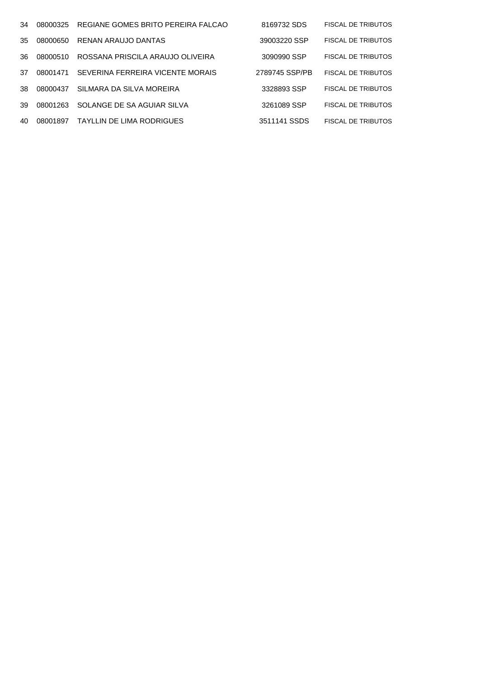| 34  | 08000325 | REGIANE GOMES BRITO PEREIRA FALCAO | 8169732 SDS    | <b>FISCAL DE TRIBUTOS</b> |
|-----|----------|------------------------------------|----------------|---------------------------|
| 35. | 08000650 | RENAN ARAUJO DANTAS                | 39003220 SSP   | <b>FISCAL DE TRIBUTOS</b> |
| 36. | 08000510 | ROSSANA PRISCILA ARAUJO OLIVEIRA   | 3090990 SSP    | <b>FISCAL DE TRIBUTOS</b> |
| 37  | 08001471 | SEVERINA FERREIRA VICENTE MORAIS   | 2789745 SSP/PB | <b>FISCAL DE TRIBUTOS</b> |
| 38. | 08000437 | SILMARA DA SILVA MOREIRA           | 3328893 SSP    | <b>FISCAL DE TRIBUTOS</b> |
| 39  | 08001263 | SOLANGE DE SA AGUIAR SILVA         | 3261089 SSP    | <b>FISCAL DE TRIBUTOS</b> |
| 40  | 08001897 | TAYLLIN DE LIMA RODRIGUES          | 3511141 SSDS   | <b>FISCAL DE TRIBUTOS</b> |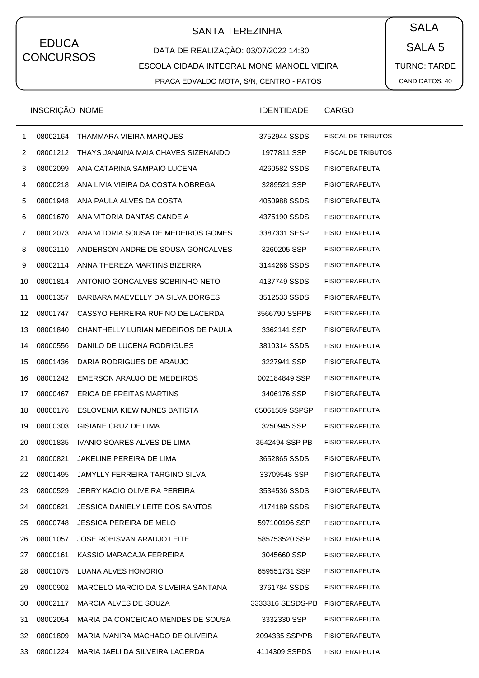# SANTA TEREZINHA  $\begin{pmatrix} \bullet & SALA \end{pmatrix}$

### DATA DE REALIZAÇÃO: 03/07/2022 14:30 ESCOLA CIDADA INTEGRAL MONS MANOEL VIEIRA PRACA EDVALDO MOTA, S/N, CENTRO - PATOS

SALA 5 TURNO: TARDE CANDIDATOS: 40

|                | INSCRIÇÃO NOME |                                     | <b>IDENTIDADE</b> | <b>CARGO</b>              |
|----------------|----------------|-------------------------------------|-------------------|---------------------------|
| 1              | 08002164       | THAMMARA VIEIRA MARQUES             | 3752944 SSDS      | <b>FISCAL DE TRIBUTOS</b> |
| $\overline{2}$ | 08001212       | THAYS JANAINA MAIA CHAVES SIZENANDO | 1977811 SSP       | <b>FISCAL DE TRIBUTOS</b> |
| 3              | 08002099       | ANA CATARINA SAMPAIO LUCENA         | 4260582 SSDS      | <b>FISIOTERAPEUTA</b>     |
| 4              | 08000218       | ANA LIVIA VIEIRA DA COSTA NOBREGA   | 3289521 SSP       | <b>FISIOTERAPEUTA</b>     |
| 5              | 08001948       | ANA PAULA ALVES DA COSTA            | 4050988 SSDS      | <b>FISIOTERAPEUTA</b>     |
| 6              | 08001670       | ANA VITORIA DANTAS CANDEIA          | 4375190 SSDS      | <b>FISIOTERAPEUTA</b>     |
| 7              | 08002073       | ANA VITORIA SOUSA DE MEDEIROS GOMES | 3387331 SESP      | <b>FISIOTERAPEUTA</b>     |
| 8              | 08002110       | ANDERSON ANDRE DE SOUSA GONCALVES   | 3260205 SSP       | <b>FISIOTERAPEUTA</b>     |
| 9              | 08002114       | ANNA THEREZA MARTINS BIZERRA        | 3144266 SSDS      | <b>FISIOTERAPEUTA</b>     |
| 10             | 08001814       | ANTONIO GONCALVES SOBRINHO NETO     | 4137749 SSDS      | <b>FISIOTERAPEUTA</b>     |
| 11             | 08001357       | BARBARA MAEVELLY DA SILVA BORGES    | 3512533 SSDS      | <b>FISIOTERAPEUTA</b>     |
| 12             | 08001747       | CASSYO FERREIRA RUFINO DE LACERDA   | 3566790 SSPPB     | <b>FISIOTERAPEUTA</b>     |
| 13             | 08001840       | CHANTHELLY LURIAN MEDEIROS DE PAULA | 3362141 SSP       | <b>FISIOTERAPEUTA</b>     |
| 14             | 08000556       | DANILO DE LUCENA RODRIGUES          | 3810314 SSDS      | <b>FISIOTERAPEUTA</b>     |
| 15             | 08001436       | DARIA RODRIGUES DE ARAUJO           | 3227941 SSP       | <b>FISIOTERAPEUTA</b>     |
| 16             | 08001242       | EMERSON ARAUJO DE MEDEIROS          | 002184849 SSP     | <b>FISIOTERAPEUTA</b>     |
| 17             | 08000467       | ERICA DE FREITAS MARTINS            | 3406176 SSP       | <b>FISIOTERAPEUTA</b>     |
| 18             | 08000176       | ESLOVENIA KIEW NUNES BATISTA        | 65061589 SSPSP    | <b>FISIOTERAPEUTA</b>     |
| 19             | 08000303       | GISIANE CRUZ DE LIMA                | 3250945 SSP       | <b>FISIOTERAPEUTA</b>     |
| 20             | 08001835       | IVANIO SOARES ALVES DE LIMA         | 3542494 SSP PB    | <b>FISIOTERAPEUTA</b>     |
| 21             | 08000821       | JAKELINE PEREIRA DE LIMA            | 3652865 SSDS      | <b>FISIOTERAPEUTA</b>     |
| 22             | 08001495       | JAMYLLY FERREIRA TARGINO SILVA      | 33709548 SSP      | <b>FISIOTERAPEUTA</b>     |
| 23             | 08000529       | JERRY KACIO OLIVEIRA PEREIRA        | 3534536 SSDS      | <b>FISIOTERAPEUTA</b>     |
| 24             | 08000621       | JESSICA DANIELY LEITE DOS SANTOS    | 4174189 SSDS      | <b>FISIOTERAPEUTA</b>     |
| 25             | 08000748       | <b>JESSICA PEREIRA DE MELO</b>      | 597100196 SSP     | <b>FISIOTERAPEUTA</b>     |
| 26             | 08001057       | JOSE ROBISVAN ARAUJO LEITE          | 585753520 SSP     | <b>FISIOTERAPEUTA</b>     |
| 27             | 08000161       | KASSIO MARACAJA FERREIRA            | 3045660 SSP       | <b>FISIOTERAPEUTA</b>     |
| 28             | 08001075       | LUANA ALVES HONORIO                 | 659551731 SSP     | <b>FISIOTERAPEUTA</b>     |
| 29             | 08000902       | MARCELO MARCIO DA SILVEIRA SANTANA  | 3761784 SSDS      | <b>FISIOTERAPEUTA</b>     |
| 30             | 08002117       | MARCIA ALVES DE SOUZA               | 3333316 SESDS-PB  | <b>FISIOTERAPEUTA</b>     |
| 31             | 08002054       | MARIA DA CONCEICAO MENDES DE SOUSA  | 3332330 SSP       | <b>FISIOTERAPEUTA</b>     |
| 32             | 08001809       | MARIA IVANIRA MACHADO DE OLIVEIRA   | 2094335 SSP/PB    | <b>FISIOTERAPEUTA</b>     |
| 33             | 08001224       | MARIA JAELI DA SILVEIRA LACERDA     | 4114309 SSPDS     | <b>FISIOTERAPEUTA</b>     |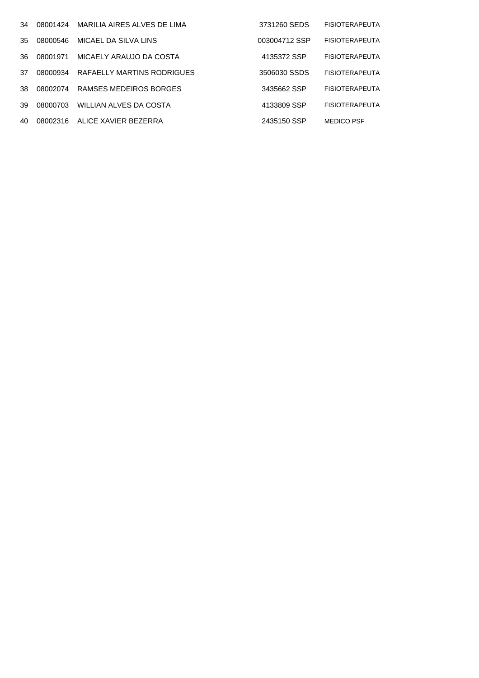| 34  | 08001424 | MARILIA AIRES ALVES DE LIMA | 3731260 SEDS  | <b>FISIOTERAPEUTA</b> |
|-----|----------|-----------------------------|---------------|-----------------------|
| 35  | 08000546 | MICAEL DA SILVA LINS        | 003004712 SSP | <b>FISIOTERAPEUTA</b> |
| 36. | 08001971 | MICAELY ARAUJO DA COSTA     | 4135372 SSP   | <b>FISIOTERAPEUTA</b> |
| 37  | 08000934 | RAFAELLY MARTINS RODRIGUES  | 3506030 SSDS  | <b>FISIOTERAPEUTA</b> |
| 38  | 08002074 | RAMSES MEDEIROS BORGES      | 3435662 SSP   | <b>FISIOTERAPEUTA</b> |
| 39  | 08000703 | WILLIAN ALVES DA COSTA      | 4133809 SSP   | <b>FISIOTERAPEUTA</b> |
| 40  | 08002316 | ALICE XAVIER BEZERRA        | 2435150 SSP   | <b>MEDICO PSF</b>     |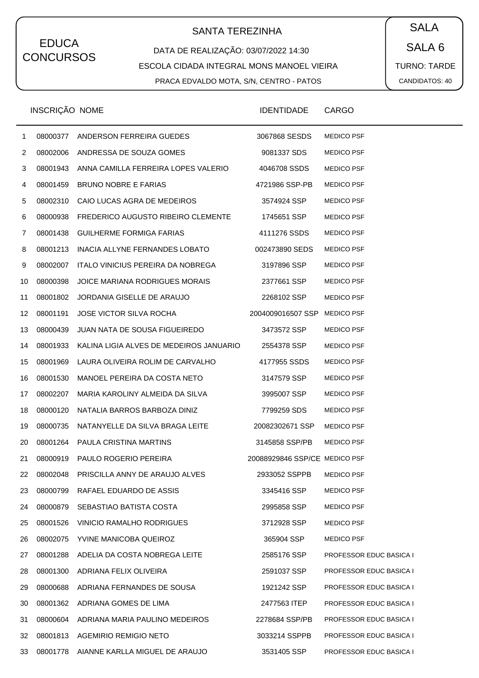# SANTA TEREZINHA  $\begin{pmatrix} \bullet & SALA \end{pmatrix}$

DATA DE REALIZAÇÃO: 03/07/2022 14:30 ESCOLA CIDADA INTEGRAL MONS MANOEL VIEIRA PRACA EDVALDO MOTA, S/N, CENTRO - PATOS

SALA 6 TURNO: TARDE CANDIDATOS: 40

|    | INSCRIÇÃO NOME |                                         | <b>IDENTIDADE</b>             | <b>CARGO</b>                   |
|----|----------------|-----------------------------------------|-------------------------------|--------------------------------|
| 1  | 08000377       | ANDERSON FERREIRA GUEDES                | 3067868 SESDS                 | <b>MEDICO PSF</b>              |
| 2  |                | 08002006 ANDRESSA DE SOUZA GOMES        | 9081337 SDS                   | <b>MEDICO PSF</b>              |
| 3  | 08001943       | ANNA CAMILLA FERREIRA LOPES VALERIO     | 4046708 SSDS                  | <b>MEDICO PSF</b>              |
| 4  | 08001459       | <b>BRUNO NOBRE E FARIAS</b>             | 4721986 SSP-PB                | <b>MEDICO PSF</b>              |
| 5  | 08002310       | CAIO LUCAS AGRA DE MEDEIROS             | 3574924 SSP                   | <b>MEDICO PSF</b>              |
| 6  | 08000938       | FREDERICO AUGUSTO RIBEIRO CLEMENTE      | 1745651 SSP                   | <b>MEDICO PSF</b>              |
| 7  | 08001438       | <b>GUILHERME FORMIGA FARIAS</b>         | 4111276 SSDS                  | <b>MEDICO PSF</b>              |
| 8  | 08001213       | INACIA ALLYNE FERNANDES LOBATO          | 002473890 SEDS                | <b>MEDICO PSF</b>              |
| 9  | 08002007       | ITALO VINICIUS PEREIRA DA NOBREGA       | 3197896 SSP                   | <b>MEDICO PSF</b>              |
| 10 | 08000398       | JOICE MARIANA RODRIGUES MORAIS          | 2377661 SSP                   | <b>MEDICO PSF</b>              |
| 11 | 08001802       | JORDANIA GISELLE DE ARAUJO              | 2268102 SSP                   | <b>MEDICO PSF</b>              |
| 12 | 08001191       | JOSE VICTOR SILVA ROCHA                 | 2004009016507 SSP             | <b>MEDICO PSF</b>              |
| 13 | 08000439       | <b>JUAN NATA DE SOUSA FIGUEIREDO</b>    | 3473572 SSP                   | <b>MEDICO PSF</b>              |
| 14 | 08001933       | KALINA LIGIA ALVES DE MEDEIROS JANUARIO | 2554378 SSP                   | <b>MEDICO PSF</b>              |
| 15 | 08001969       | LAURA OLIVEIRA ROLIM DE CARVALHO        | 4177955 SSDS                  | <b>MEDICO PSF</b>              |
| 16 | 08001530       | MANOEL PEREIRA DA COSTA NETO            | 3147579 SSP                   | <b>MEDICO PSF</b>              |
| 17 | 08002207       | MARIA KAROLINY ALMEIDA DA SILVA         | 3995007 SSP                   | <b>MEDICO PSF</b>              |
| 18 | 08000120       | NATALIA BARROS BARBOZA DINIZ            | 7799259 SDS                   | <b>MEDICO PSF</b>              |
| 19 | 08000735       | NATANYELLE DA SILVA BRAGA LEITE         | 20082302671 SSP               | <b>MEDICO PSF</b>              |
| 20 | 08001264       | PAULA CRISTINA MARTINS                  | 3145858 SSP/PB                | <b>MEDICO PSF</b>              |
| 21 | 08000919       | PAULO ROGERIO PEREIRA                   | 20088929846 SSP/CE MEDICO PSF |                                |
| 22 | 08002048       | PRISCILLA ANNY DE ARAUJO ALVES          | 2933052 SSPPB                 | <b>MEDICO PSF</b>              |
| 23 | 08000799       | RAFAEL EDUARDO DE ASSIS                 | 3345416 SSP                   | <b>MEDICO PSF</b>              |
| 24 | 08000879       | SEBASTIAO BATISTA COSTA                 | 2995858 SSP                   | <b>MEDICO PSF</b>              |
| 25 | 08001526       | VINICIO RAMALHO RODRIGUES               | 3712928 SSP                   | <b>MEDICO PSF</b>              |
| 26 | 08002075       | YVINE MANICOBA QUEIROZ                  | 365904 SSP                    | <b>MEDICO PSF</b>              |
| 27 | 08001288       | ADELIA DA COSTA NOBREGA LEITE           | 2585176 SSP                   | <b>PROFESSOR EDUC BASICA I</b> |
| 28 | 08001300       | ADRIANA FELIX OLIVEIRA                  | 2591037 SSP                   | PROFESSOR EDUC BASICA I        |
| 29 | 08000688       | ADRIANA FERNANDES DE SOUSA              | 1921242 SSP                   | <b>PROFESSOR EDUC BASICA I</b> |
| 30 | 08001362       | ADRIANA GOMES DE LIMA                   | 2477563 ITEP                  | <b>PROFESSOR EDUC BASICA I</b> |
| 31 | 08000604       | ADRIANA MARIA PAULINO MEDEIROS          | 2278684 SSP/PB                | <b>PROFESSOR EDUC BASICA I</b> |
| 32 | 08001813       | <b>AGEMIRIO REMIGIO NETO</b>            | 3033214 SSPPB                 | <b>PROFESSOR EDUC BASICA I</b> |
| 33 | 08001778       | AIANNE KARLLA MIGUEL DE ARAUJO          | 3531405 SSP                   | <b>PROFESSOR EDUC BASICA I</b> |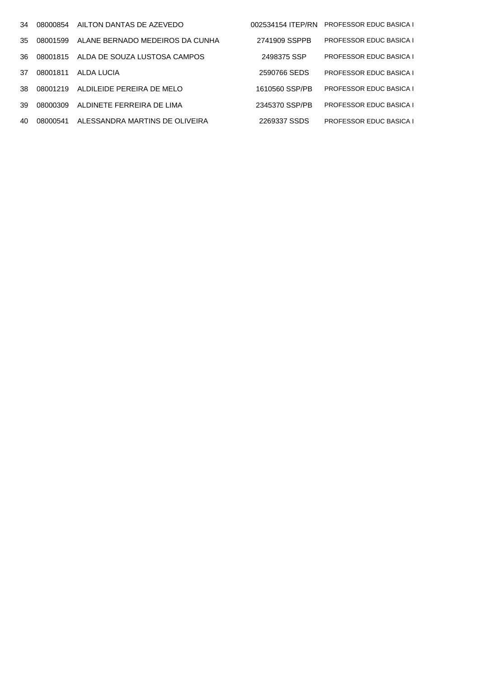| 34  | 08000854 | AILTON DANTAS DE AZEVEDO        | 002534154 ITEP/RN | <b>PROFESSOR EDUC BASICA I</b> |
|-----|----------|---------------------------------|-------------------|--------------------------------|
| 35. | 08001599 | ALANE BERNADO MEDEIROS DA CUNHA | 2741909 SSPPB     | <b>PROFESSOR EDUC BASICA I</b> |
| 36. | 08001815 | ALDA DE SOUZA LUSTOSA CAMPOS    | 2498375 SSP       | <b>PROFESSOR EDUC BASICA I</b> |
| 37  | 08001811 | ALDA LUCIA                      | 2590766 SEDS      | <b>PROFESSOR EDUC BASICA I</b> |
| 38. | 08001219 | ALDILEIDE PEREIRA DE MELO       | 1610560 SSP/PB    | <b>PROFESSOR EDUC BASICA I</b> |
| 39  | 08000309 | ALDINETE FERREIRA DE LIMA       | 2345370 SSP/PB    | <b>PROFESSOR EDUC BASICA I</b> |
| 40  | 08000541 | ALESSANDRA MARTINS DE OLIVEIRA  | 2269337 SSDS      | <b>PROFESSOR EDUC BASICA I</b> |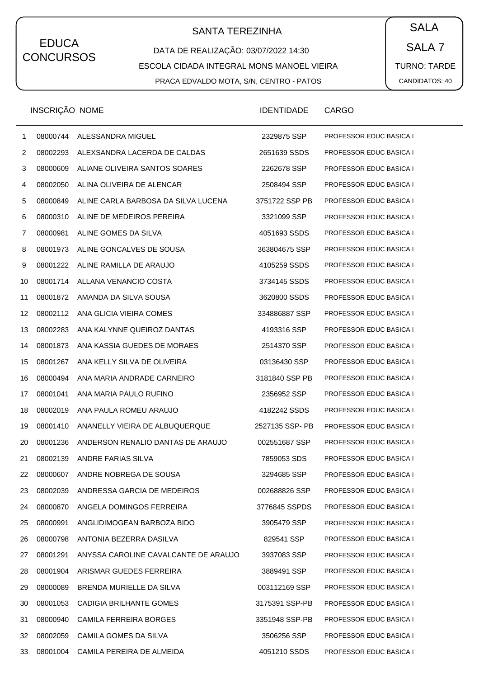# SANTA TEREZINHA  $\begin{pmatrix} \bullet & SALA \end{pmatrix}$

### DATA DE REALIZAÇÃO: 03/07/2022 14:30 ESCOLA CIDADA INTEGRAL MONS MANOEL VIEIRA PRACA EDVALDO MOTA, S/N, CENTRO - PATOS

SALA 7 TURNO: TARDE CANDIDATOS: 40

|    | INSCRIÇÃO NOME |                                      | <b>IDENTIDADE</b> | CARGO                          |
|----|----------------|--------------------------------------|-------------------|--------------------------------|
| 1  | 08000744       | ALESSANDRA MIGUEL                    | 2329875 SSP       | <b>PROFESSOR EDUC BASICA I</b> |
| 2  | 08002293       | ALEXSANDRA LACERDA DE CALDAS         | 2651639 SSDS      | PROFESSOR EDUC BASICA I        |
| 3  | 08000609       | ALIANE OLIVEIRA SANTOS SOARES        | 2262678 SSP       | PROFESSOR EDUC BASICA I        |
| 4  | 08002050       | ALINA OLIVEIRA DE ALENCAR            | 2508494 SSP       | PROFESSOR EDUC BASICA I        |
| 5  | 08000849       | ALINE CARLA BARBOSA DA SILVA LUCENA  | 3751722 SSP PB    | <b>PROFESSOR EDUC BASICA I</b> |
| 6  | 08000310       | ALINE DE MEDEIROS PEREIRA            | 3321099 SSP       | <b>PROFESSOR EDUC BASICA I</b> |
| 7  | 08000981       | ALINE GOMES DA SILVA                 | 4051693 SSDS      | PROFESSOR EDUC BASICA I        |
| 8  | 08001973       | ALINE GONCALVES DE SOUSA             | 363804675 SSP     | <b>PROFESSOR EDUC BASICA I</b> |
| 9  | 08001222       | ALINE RAMILLA DE ARAUJO              | 4105259 SSDS      | <b>PROFESSOR EDUC BASICA I</b> |
| 10 | 08001714       | ALLANA VENANCIO COSTA                | 3734145 SSDS      | PROFESSOR EDUC BASICA I        |
| 11 | 08001872       | AMANDA DA SILVA SOUSA                | 3620800 SSDS      | <b>PROFESSOR EDUC BASICA I</b> |
| 12 | 08002112       | ANA GLICIA VIEIRA COMES              | 334886887 SSP     | <b>PROFESSOR EDUC BASICA I</b> |
| 13 | 08002283       | ANA KALYNNE QUEIROZ DANTAS           | 4193316 SSP       | PROFESSOR EDUC BASICA I        |
| 14 | 08001873       | ANA KASSIA GUEDES DE MORAES          | 2514370 SSP       | <b>PROFESSOR EDUC BASICA I</b> |
| 15 | 08001267       | ANA KELLY SILVA DE OLIVEIRA          | 03136430 SSP      | <b>PROFESSOR EDUC BASICA I</b> |
| 16 | 08000494       | ANA MARIA ANDRADE CARNEIRO           | 3181840 SSP PB    | PROFESSOR EDUC BASICA I        |
| 17 | 08001041       | ANA MARIA PAULO RUFINO               | 2356952 SSP       | <b>PROFESSOR EDUC BASICA I</b> |
| 18 | 08002019       | ANA PAULA ROMEU ARAUJO               | 4182242 SSDS      | <b>PROFESSOR EDUC BASICA I</b> |
| 19 | 08001410       | ANANELLY VIEIRA DE ALBUQUERQUE       | 2527135 SSP- PB   | PROFESSOR EDUC BASICA I        |
| 20 | 08001236       | ANDERSON RENALIO DANTAS DE ARAUJO    | 002551687 SSP     | <b>PROFESSOR EDUC BASICA I</b> |
| 21 | 08002139       | ANDRE FARIAS SILVA                   | 7859053 SDS       | <b>PROFESSOR EDUC BASICA I</b> |
| 22 | 08000607       | ANDRE NOBREGA DE SOUSA               | 3294685 SSP       | <b>PROFESSOR EDUC BASICA I</b> |
| 23 | 08002039       | ANDRESSA GARCIA DE MEDEIROS          | 002688826 SSP     | <b>PROFESSOR EDUC BASICA I</b> |
| 24 | 08000870       | ANGELA DOMINGOS FERREIRA             | 3776845 SSPDS     | <b>PROFESSOR EDUC BASICA I</b> |
| 25 | 08000991       | ANGLIDIMOGEAN BARBOZA BIDO           | 3905479 SSP       | PROFESSOR EDUC BASICA I        |
| 26 | 08000798       | ANTONIA BEZERRA DASILVA              | 829541 SSP        | <b>PROFESSOR EDUC BASICA I</b> |
| 27 | 08001291       | ANYSSA CAROLINE CAVALCANTE DE ARAUJO | 3937083 SSP       | <b>PROFESSOR EDUC BASICA I</b> |
| 28 | 08001904       | ARISMAR GUEDES FERREIRA              | 3889491 SSP       | PROFESSOR EDUC BASICA I        |
| 29 | 08000089       | BRENDA MURIELLE DA SILVA             | 003112169 SSP     | <b>PROFESSOR EDUC BASICA I</b> |
| 30 | 08001053       | CADIGIA BRILHANTE GOMES              | 3175391 SSP-PB    | <b>PROFESSOR EDUC BASICA I</b> |
| 31 | 08000940       | CAMILA FERREIRA BORGES               | 3351948 SSP-PB    | PROFESSOR EDUC BASICA I        |
| 32 | 08002059       | CAMILA GOMES DA SILVA                | 3506256 SSP       | <b>PROFESSOR EDUC BASICA I</b> |
| 33 | 08001004       | CAMILA PEREIRA DE ALMEIDA            | 4051210 SSDS      | PROFESSOR EDUC BASICA I        |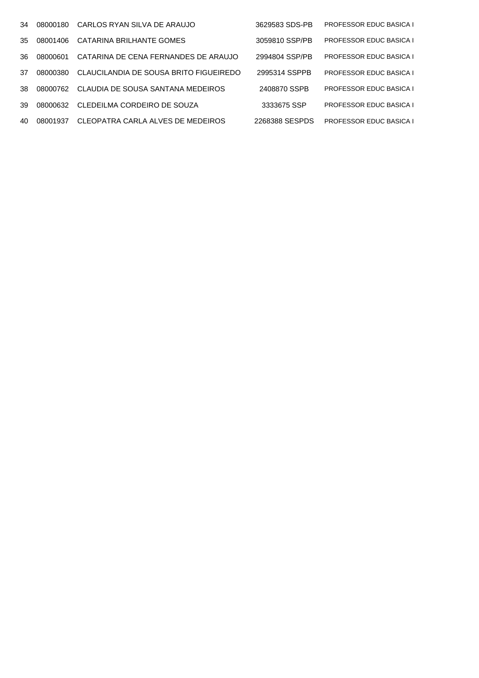| 34  | 08000180  | CARLOS RYAN SILVA DE ARAUJO            | 3629583 SDS-PB | <b>PROFESSOR EDUC BASICA I</b> |
|-----|-----------|----------------------------------------|----------------|--------------------------------|
| 35  | 08001406  | CATARINA BRILHANTE GOMES               | 3059810 SSP/PB | <b>PROFESSOR EDUC BASICA I</b> |
| 36. | .08000601 | CATARINA DE CENA FERNANDES DE ARAUJO   | 2994804 SSP/PB | <b>PROFESSOR EDUC BASICA I</b> |
| 37  | 08000380  | CLAUCILANDIA DE SOUSA BRITO FIGUEIREDO | 2995314 SSPPB  | <b>PROFESSOR EDUC BASICA I</b> |
| .38 | 08000762  | CLAUDIA DE SOUSA SANTANA MEDEIROS      | 2408870 SSPB   | <b>PROFESSOR EDUC BASICA I</b> |
| 39  | 08000632  | CLEDEILMA CORDEIRO DE SOUZA            | 3333675 SSP    | <b>PROFESSOR EDUC BASICA I</b> |
| 40  | 08001937  | CLEOPATRA CARLA ALVES DE MEDEIROS      | 2268388 SESPDS | <b>PROFESSOR EDUC BASICA I</b> |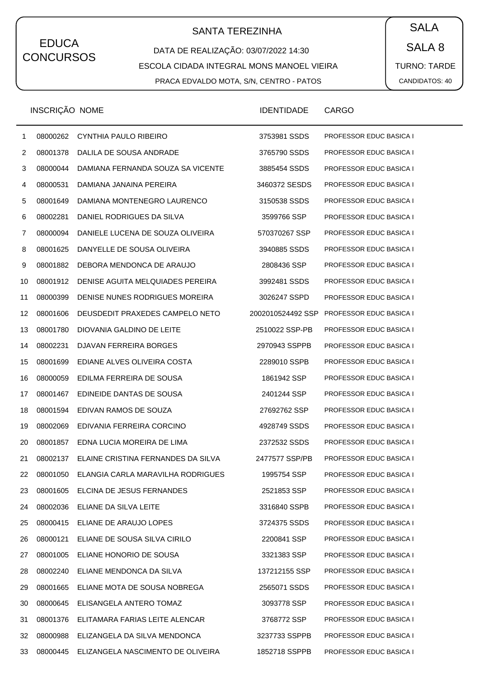# SANTA TEREZINHA  $\begin{pmatrix} \bullet & SALA \end{pmatrix}$

DATA DE REALIZAÇÃO: 03/07/2022 14:30 ESCOLA CIDADA INTEGRAL MONS MANOEL VIEIRA PRACA EDVALDO MOTA, S/N, CENTRO - PATOS

SALA 8 TURNO: TARDE CANDIDATOS: 40

|    | INSCRIÇÃO NOME |                                    | <b>IDENTIDADE</b> | CARGO                          |
|----|----------------|------------------------------------|-------------------|--------------------------------|
| 1  | 08000262       | CYNTHIA PAULO RIBEIRO              | 3753981 SSDS      | PROFESSOR EDUC BASICA I        |
| 2  | 08001378       | DALILA DE SOUSA ANDRADE            | 3765790 SSDS      | PROFESSOR EDUC BASICA I        |
| 3  | 08000044       | DAMIANA FERNANDA SOUZA SA VICENTE  | 3885454 SSDS      | PROFESSOR EDUC BASICA I        |
| 4  | 08000531       | DAMIANA JANAINA PEREIRA            | 3460372 SESDS     | PROFESSOR EDUC BASICA I        |
| 5  | 08001649       | DAMIANA MONTENEGRO LAURENCO        | 3150538 SSDS      | PROFESSOR EDUC BASICA I        |
| 6  | 08002281       | DANIEL RODRIGUES DA SILVA          | 3599766 SSP       | PROFESSOR EDUC BASICA I        |
| 7  | 08000094       | DANIELE LUCENA DE SOUZA OLIVEIRA   | 570370267 SSP     | PROFESSOR EDUC BASICA I        |
| 8  | 08001625       | DANYELLE DE SOUSA OLIVEIRA         | 3940885 SSDS      | PROFESSOR EDUC BASICA I        |
| 9  | 08001882       | DEBORA MENDONCA DE ARAUJO          | 2808436 SSP       | PROFESSOR EDUC BASICA I        |
| 10 | 08001912       | DENISE AGUITA MELQUIADES PEREIRA   | 3992481 SSDS      | PROFESSOR EDUC BASICA I        |
| 11 | 08000399       | DENISE NUNES RODRIGUES MOREIRA     | 3026247 SSPD      | PROFESSOR EDUC BASICA I        |
| 12 | 08001606       | DEUSDEDIT PRAXEDES CAMPELO NETO    | 2002010524492 SSP | PROFESSOR EDUC BASICA I        |
| 13 | 08001780       | DIOVANIA GALDINO DE LEITE          | 2510022 SSP-PB    | PROFESSOR EDUC BASICA I        |
| 14 | 08002231       | DJAVAN FERREIRA BORGES             | 2970943 SSPPB     | PROFESSOR EDUC BASICA I        |
| 15 | 08001699       | EDIANE ALVES OLIVEIRA COSTA        | 2289010 SSPB      | PROFESSOR EDUC BASICA I        |
| 16 | 08000059       | EDILMA FERREIRA DE SOUSA           | 1861942 SSP       | PROFESSOR EDUC BASICA I        |
| 17 | 08001467       | EDINEIDE DANTAS DE SOUSA           | 2401244 SSP       | PROFESSOR EDUC BASICA I        |
| 18 | 08001594       | EDIVAN RAMOS DE SOUZA              | 27692762 SSP      | <b>PROFESSOR EDUC BASICA I</b> |
| 19 | 08002069       | EDIVANIA FERREIRA CORCINO          | 4928749 SSDS      | PROFESSOR EDUC BASICA I        |
| 20 | 08001857       | EDNA LUCIA MOREIRA DE LIMA         | 2372532 SSDS      | PROFESSOR EDUC BASICA I        |
| 21 | 08002137       | ELAINE CRISTINA FERNANDES DA SILVA | 2477577 SSP/PB    | <b>PROFESSOR EDUC BASICA I</b> |
| 22 | 08001050       | ELANGIA CARLA MARAVILHA RODRIGUES  | 1995754 SSP       | <b>PROFESSOR EDUC BASICA I</b> |
| 23 | 08001605       | ELCINA DE JESUS FERNANDES          | 2521853 SSP       | PROFESSOR EDUC BASICA I        |
| 24 | 08002036       | ELIANE DA SILVA LEITE              | 3316840 SSPB      | <b>PROFESSOR EDUC BASICA I</b> |
| 25 | 08000415       | ELIANE DE ARAUJO LOPES             | 3724375 SSDS      | PROFESSOR EDUC BASICA I        |
| 26 | 08000121       | ELIANE DE SOUSA SILVA CIRILO       | 2200841 SSP       | <b>PROFESSOR EDUC BASICA I</b> |
| 27 | 08001005       | ELIANE HONORIO DE SOUSA            | 3321383 SSP       | <b>PROFESSOR EDUC BASICA I</b> |
| 28 | 08002240       | ELIANE MENDONCA DA SILVA           | 137212155 SSP     | PROFESSOR EDUC BASICA I        |
| 29 | 08001665       | ELIANE MOTA DE SOUSA NOBREGA       | 2565071 SSDS      | <b>PROFESSOR EDUC BASICA I</b> |
| 30 | 08000645       | ELISANGELA ANTERO TOMAZ            | 3093778 SSP       | <b>PROFESSOR EDUC BASICA I</b> |
| 31 | 08001376       | ELITAMARA FARIAS LEITE ALENCAR     | 3768772 SSP       | <b>PROFESSOR EDUC BASICA I</b> |
| 32 | 08000988       | ELIZANGELA DA SILVA MENDONCA       | 3237733 SSPPB     | <b>PROFESSOR EDUC BASICA I</b> |
| 33 | 08000445       | ELIZANGELA NASCIMENTO DE OLIVEIRA  | 1852718 SSPPB     | <b>PROFESSOR EDUC BASICA I</b> |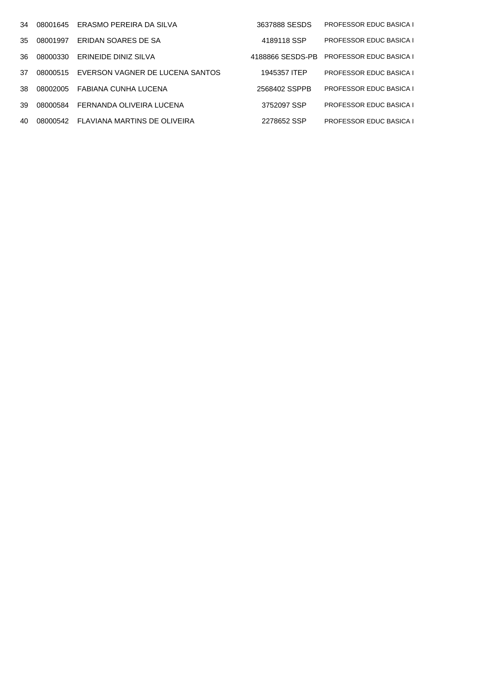| 34  | 08001645 | ERASMO PEREIRA DA SILVA         | 3637888 SESDS    | <b>PROFESSOR EDUC BASICA I</b> |
|-----|----------|---------------------------------|------------------|--------------------------------|
| 35  | 08001997 | ERIDAN SOARES DE SA             | 4189118 SSP      | <b>PROFESSOR EDUC BASICA I</b> |
| 36. | 08000330 | ERINEIDE DINIZ SILVA            | 4188866 SESDS-PB | <b>PROFESSOR EDUC BASICA I</b> |
| 37  | 08000515 | EVERSON VAGNER DE LUCENA SANTOS | 1945357 ITEP     | <b>PROFESSOR EDUC BASICA I</b> |
| 38. | 08002005 | FABIANA CUNHA LUCENA            | 2568402 SSPPB    | <b>PROFESSOR EDUC BASICA I</b> |
| 39  | 08000584 | FERNANDA OLIVEIRA LUCENA        | 3752097 SSP      | <b>PROFESSOR EDUC BASICA I</b> |
| 40  | 08000542 | FLAVIANA MARTINS DE OLIVEIRA    | 2278652 SSP      | <b>PROFESSOR EDUC BASICA I</b> |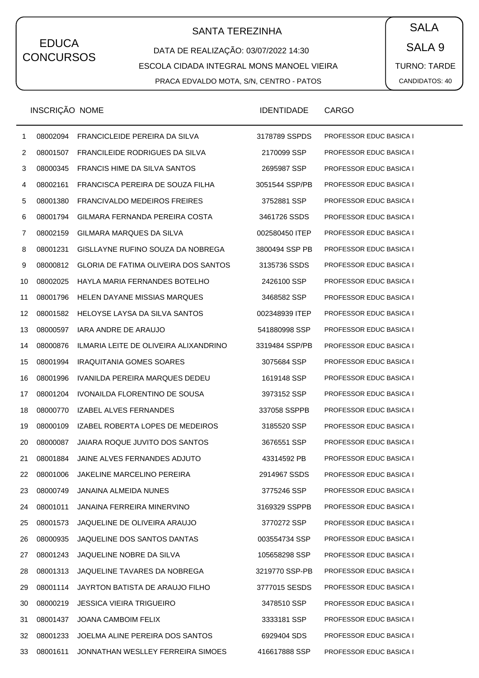# SANTA TEREZINHA  $\begin{pmatrix} \bullet & SALA \end{pmatrix}$

DATA DE REALIZAÇÃO: 03/07/2022 14:30 ESCOLA CIDADA INTEGRAL MONS MANOEL VIEIRA PRACA EDVALDO MOTA, S/N, CENTRO - PATOS

SALA 9 TURNO: TARDE CANDIDATOS: 40

|    | INSCRIÇÃO NOME |                                             | <b>IDENTIDADE</b> | <b>CARGO</b>                   |
|----|----------------|---------------------------------------------|-------------------|--------------------------------|
| 1  | 08002094       | FRANCICLEIDE PEREIRA DA SILVA               | 3178789 SSPDS     | PROFESSOR EDUC BASICA I        |
| 2  | 08001507       | FRANCILEIDE RODRIGUES DA SILVA              | 2170099 SSP       | PROFESSOR EDUC BASICA I        |
| 3  | 08000345       | <b>FRANCIS HIME DA SILVA SANTOS</b>         | 2695987 SSP       | PROFESSOR EDUC BASICA I        |
| 4  | 08002161       | FRANCISCA PEREIRA DE SOUZA FILHA            | 3051544 SSP/PB    | PROFESSOR EDUC BASICA I        |
| 5  | 08001380       | <b>FRANCIVALDO MEDEIROS FREIRES</b>         | 3752881 SSP       | PROFESSOR EDUC BASICA I        |
| 6  | 08001794       | GILMARA FERNANDA PEREIRA COSTA              | 3461726 SSDS      | PROFESSOR EDUC BASICA I        |
| 7  | 08002159       | GILMARA MARQUES DA SILVA                    | 002580450 ITEP    | PROFESSOR EDUC BASICA I        |
| 8  | 08001231       | GISLLAYNE RUFINO SOUZA DA NOBREGA           | 3800494 SSP PB    | PROFESSOR EDUC BASICA I        |
| 9  | 08000812       | <b>GLORIA DE FATIMA OLIVEIRA DOS SANTOS</b> | 3135736 SSDS      | <b>PROFESSOR EDUC BASICA I</b> |
| 10 | 08002025       | HAYLA MARIA FERNANDES BOTELHO               | 2426100 SSP       | PROFESSOR EDUC BASICA I        |
| 11 | 08001796       | <b>HELEN DAYANE MISSIAS MARQUES</b>         | 3468582 SSP       | PROFESSOR EDUC BASICA I        |
| 12 | 08001582       | HELOYSE LAYSA DA SILVA SANTOS               | 002348939 ITEP    | <b>PROFESSOR EDUC BASICA I</b> |
| 13 | 08000597       | <b>IARA ANDRE DE ARAUJO</b>                 | 541880998 SSP     | PROFESSOR EDUC BASICA I        |
| 14 | 08000876       | ILMARIA LEITE DE OLIVEIRA ALIXANDRINO       | 3319484 SSP/PB    | PROFESSOR EDUC BASICA I        |
| 15 | 08001994       | <b>IRAQUITANIA GOMES SOARES</b>             | 3075684 SSP       | <b>PROFESSOR EDUC BASICA I</b> |
| 16 | 08001996       | IVANILDA PEREIRA MARQUES DEDEU              | 1619148 SSP       | PROFESSOR EDUC BASICA I        |
| 17 | 08001204       | IVONAILDA FLORENTINO DE SOUSA               | 3973152 SSP       | PROFESSOR EDUC BASICA I        |
| 18 | 08000770       | IZABEL ALVES FERNANDES                      | 337058 SSPPB      | <b>PROFESSOR EDUC BASICA I</b> |
| 19 | 08000109       | IZABEL ROBERTA LOPES DE MEDEIROS            | 3185520 SSP       | PROFESSOR EDUC BASICA I        |
| 20 | 08000087       | JAIARA ROQUE JUVITO DOS SANTOS              | 3676551 SSP       | <b>PROFESSOR EDUC BASICA I</b> |
| 21 | 08001884       | JAINE ALVES FERNANDES ADJUTO                | 43314592 PB       | <b>PROFESSOR EDUC BASICA I</b> |
| 22 | 08001006       | <b>JAKELINE MARCELINO PEREIRA</b>           | 2914967 SSDS      | PROFESSOR EDUC BASICA I        |
| 23 | 08000749       | JANAINA ALMEIDA NUNES                       | 3775246 SSP       | PROFESSOR EDUC BASICA I        |
| 24 | 08001011       | JANAINA FERREIRA MINERVINO                  | 3169329 SSPPB     | PROFESSOR EDUC BASICA I        |
| 25 | 08001573       | JAQUELINE DE OLIVEIRA ARAUJO                | 3770272 SSP       | PROFESSOR EDUC BASICA I        |
| 26 | 08000935       | JAQUELINE DOS SANTOS DANTAS                 | 003554734 SSP     | <b>PROFESSOR EDUC BASICA I</b> |
| 27 | 08001243       | JAQUELINE NOBRE DA SILVA                    | 105658298 SSP     | <b>PROFESSOR EDUC BASICA I</b> |
| 28 | 08001313       | JAQUELINE TAVARES DA NOBREGA                | 3219770 SSP-PB    | PROFESSOR EDUC BASICA I        |
| 29 | 08001114       | JAYRTON BATISTA DE ARAUJO FILHO             | 3777015 SESDS     | <b>PROFESSOR EDUC BASICA I</b> |
| 30 | 08000219       | <b>JESSICA VIEIRA TRIGUEIRO</b>             | 3478510 SSP       | <b>PROFESSOR EDUC BASICA I</b> |
| 31 | 08001437       | <b>JOANA CAMBOIM FELIX</b>                  | 3333181 SSP       | PROFESSOR EDUC BASICA I        |
| 32 | 08001233       | JOELMA ALINE PEREIRA DOS SANTOS             | 6929404 SDS       | <b>PROFESSOR EDUC BASICA I</b> |
| 33 | 08001611       | JONNATHAN WESLLEY FERREIRA SIMOES           | 416617888 SSP     | <b>PROFESSOR EDUC BASICA I</b> |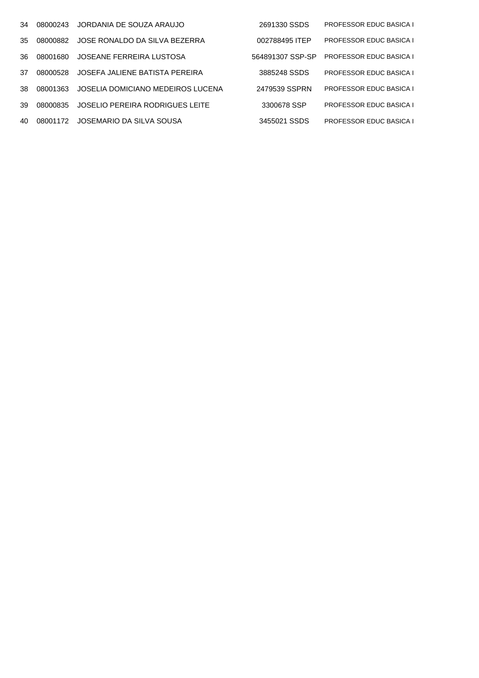| 34  | 08000243 | JORDANIA DE SOUZA ARAUJO          | 2691330 SSDS     | <b>PROFESSOR EDUC BASICA I</b> |
|-----|----------|-----------------------------------|------------------|--------------------------------|
| 35  | 08000882 | JOSE RONALDO DA SILVA BEZERRA     | 002788495 ITEP   | <b>PROFESSOR EDUC BASICA I</b> |
| 36. | 08001680 | JOSEANE FERREIRA LUSTOSA          | 564891307 SSP-SP | <b>PROFESSOR EDUC BASICA I</b> |
| 37  | 08000528 | JOSEFA JALIENE BATISTA PEREIRA    | 3885248 SSDS     | <b>PROFESSOR EDUC BASICA I</b> |
| -38 | 08001363 | JOSELIA DOMICIANO MEDEIROS LUCENA | 2479539 SSPRN    | <b>PROFESSOR EDUC BASICA I</b> |
| 39  | 08000835 | JOSELIO PEREIRA RODRIGUES LEITE   | 3300678 SSP      | <b>PROFESSOR EDUC BASICA I</b> |
| 40  | 08001172 | JOSEMARIO DA SILVA SOUSA          | 3455021 SSDS     | <b>PROFESSOR EDUC BASICA I</b> |
|     |          |                                   |                  |                                |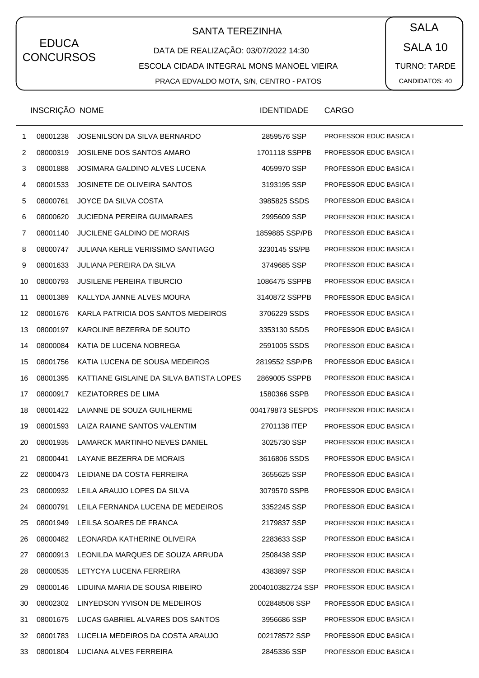# SANTA TEREZINHA  $\begin{pmatrix} \bullet & SALA \end{pmatrix}$

DATA DE REALIZAÇÃO: 03/07/2022 14:30 ESCOLA CIDADA INTEGRAL MONS MANOEL VIEIRA PRACA EDVALDO MOTA, S/N, CENTRO - PATOS

SALA 10 TURNO: TARDE CANDIDATOS: 40

|    | INSCRIÇÃO NOME |                                          | <b>IDENTIDADE</b> | <b>CARGO</b>                   |
|----|----------------|------------------------------------------|-------------------|--------------------------------|
| 1  | 08001238       | JOSENILSON DA SILVA BERNARDO             | 2859576 SSP       | <b>PROFESSOR EDUC BASICA I</b> |
| 2  | 08000319       | JOSILENE DOS SANTOS AMARO                | 1701118 SSPPB     | PROFESSOR EDUC BASICA I        |
| 3  | 08001888       | JOSIMARA GALDINO ALVES LUCENA            | 4059970 SSP       | PROFESSOR EDUC BASICA I        |
| 4  | 08001533       | JOSINETE DE OLIVEIRA SANTOS              | 3193195 SSP       | PROFESSOR EDUC BASICA I        |
| 5  | 08000761       | JOYCE DA SILVA COSTA                     | 3985825 SSDS      | <b>PROFESSOR EDUC BASICA I</b> |
| 6  | 08000620       | <b>JUCIEDNA PEREIRA GUIMARAES</b>        | 2995609 SSP       | PROFESSOR EDUC BASICA I        |
| 7  | 08001140       | <b>JUCILENE GALDINO DE MORAIS</b>        | 1859885 SSP/PB    | PROFESSOR EDUC BASICA I        |
| 8  | 08000747       | JULIANA KERLE VERISSIMO SANTIAGO         | 3230145 SS/PB     | <b>PROFESSOR EDUC BASICA I</b> |
| 9  | 08001633       | JULIANA PEREIRA DA SILVA                 | 3749685 SSP       | PROFESSOR EDUC BASICA I        |
| 10 | 08000793       | <b>JUSILENE PEREIRA TIBURCIO</b>         | 1086475 SSPPB     | PROFESSOR EDUC BASICA I        |
| 11 | 08001389       | KALLYDA JANNE ALVES MOURA                | 3140872 SSPPB     | <b>PROFESSOR EDUC BASICA I</b> |
| 12 | 08001676       | KARLA PATRICIA DOS SANTOS MEDEIROS       | 3706229 SSDS      | PROFESSOR EDUC BASICA I        |
| 13 | 08000197       | KAROLINE BEZERRA DE SOUTO                | 3353130 SSDS      | PROFESSOR EDUC BASICA I        |
| 14 | 08000084       | KATIA DE LUCENA NOBREGA                  | 2591005 SSDS      | PROFESSOR EDUC BASICA I        |
| 15 | 08001756       | KATIA LUCENA DE SOUSA MEDEIROS           | 2819552 SSP/PB    | PROFESSOR EDUC BASICA I        |
| 16 | 08001395       | KATTIANE GISLAINE DA SILVA BATISTA LOPES | 2869005 SSPPB     | PROFESSOR EDUC BASICA I        |
| 17 | 08000917       | <b>KEZIATORRES DE LIMA</b>               | 1580366 SSPB      | <b>PROFESSOR EDUC BASICA I</b> |
| 18 | 08001422       | LAIANNE DE SOUZA GUILHERME               | 004179873 SESPDS  | PROFESSOR EDUC BASICA I        |
| 19 | 08001593       | LAIZA RAIANE SANTOS VALENTIM             | 2701138 ITEP      | <b>PROFESSOR EDUC BASICA I</b> |
| 20 | 08001935       | LAMARCK MARTINHO NEVES DANIEL            | 3025730 SSP       | PROFESSOR EDUC BASICA I        |
| 21 | 08000441       | LAYANE BEZERRA DE MORAIS                 | 3616806 SSDS      | <b>PROFESSOR EDUC BASICA I</b> |
| 22 | 08000473       | LEIDIANE DA COSTA FERREIRA               | 3655625 SSP       | <b>PROFESSOR EDUC BASICA I</b> |
| 23 | 08000932       | LEILA ARAUJO LOPES DA SILVA              | 3079570 SSPB      | <b>PROFESSOR EDUC BASICA I</b> |
| 24 | 08000791       | LEILA FERNANDA LUCENA DE MEDEIROS        | 3352245 SSP       | PROFESSOR EDUC BASICA I        |
| 25 | 08001949       | LEILSA SOARES DE FRANCA                  | 2179837 SSP       | PROFESSOR EDUC BASICA I        |
| 26 | 08000482       | LEONARDA KATHERINE OLIVEIRA              | 2283633 SSP       | <b>PROFESSOR EDUC BASICA I</b> |
| 27 | 08000913       | LEONILDA MARQUES DE SOUZA ARRUDA         | 2508438 SSP       | PROFESSOR EDUC BASICA I        |
| 28 | 08000535       | LETYCYA LUCENA FERREIRA                  | 4383897 SSP       | PROFESSOR EDUC BASICA I        |
| 29 | 08000146       | LIDUINA MARIA DE SOUSA RIBEIRO           | 2004010382724 SSP | <b>PROFESSOR EDUC BASICA I</b> |
| 30 | 08002302       | LINYEDSON YVISON DE MEDEIROS             | 002848508 SSP     | <b>PROFESSOR EDUC BASICA I</b> |
| 31 | 08001675       | LUCAS GABRIEL ALVARES DOS SANTOS         | 3956686 SSP       | <b>PROFESSOR EDUC BASICA I</b> |
| 32 | 08001783       | LUCELIA MEDEIROS DA COSTA ARAUJO         | 002178572 SSP     | <b>PROFESSOR EDUC BASICA I</b> |
| 33 | 08001804       | LUCIANA ALVES FERREIRA                   | 2845336 SSP       | <b>PROFESSOR EDUC BASICA I</b> |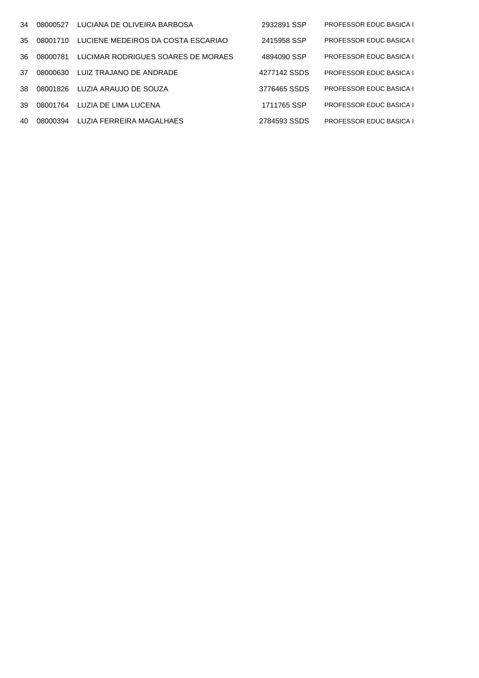| 34  | 08000527 | LUCIANA DE OLIVEIRA BARBOSA        | 2932891 SSP  | <b>PROFESSOR EDUC BASICA I</b> |
|-----|----------|------------------------------------|--------------|--------------------------------|
| 35  | 08001710 | LUCIENE MEDEIROS DA COSTA ESCARIAO | 2415958 SSP  | <b>PROFESSOR EDUC BASICA I</b> |
| 36. | 08000781 | LUCIMAR RODRIGUES SOARES DE MORAES | 4894090 SSP  | <b>PROFESSOR EDUC BASICA I</b> |
| 37  | 08000630 | LUIZ TRAJANO DE ANDRADE            | 4277142 SSDS | <b>PROFESSOR EDUC BASICA I</b> |
| 38. | 08001826 | LUZIA ARAUJO DE SOUZA              | 3776465 SSDS | <b>PROFESSOR EDUC BASICA I</b> |
| 39  | 08001764 | LUZIA DE LIMA LUCENA               | 1711765 SSP  | <b>PROFESSOR EDUC BASICA I</b> |
| 40  | 08000394 | LUZIA FERREIRA MAGALHAES           | 2784593 SSDS | <b>PROFESSOR EDUC BASICA I</b> |
|     |          |                                    |              |                                |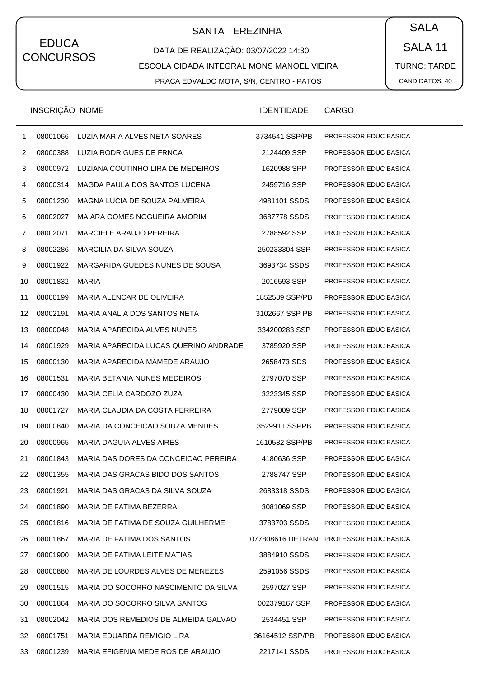# SANTA TEREZINHA  $\begin{pmatrix} \bullet & SALA \end{pmatrix}$

DATA DE REALIZAÇÃO: 03/07/2022 14:30 ESCOLA CIDADA INTEGRAL MONS MANOEL VIEIRA PRACA EDVALDO MOTA, S/N, CENTRO - PATOS

SALA 11 TURNO: TARDE CANDIDATOS: 40

|    | INSCRIÇÃO NOME |                                       | <b>IDENTIDADE</b> | <b>CARGO</b>                   |
|----|----------------|---------------------------------------|-------------------|--------------------------------|
| 1  | 08001066       | LUZIA MARIA ALVES NETA SOARES         | 3734541 SSP/PB    | PROFESSOR EDUC BASICA I        |
| 2  | 08000388       | LUZIA RODRIGUES DE FRNCA              | 2124409 SSP       | <b>PROFESSOR EDUC BASICA I</b> |
| 3  | 08000972       | LUZIANA COUTINHO LIRA DE MEDEIROS     | 1620988 SPP       | PROFESSOR EDUC BASICA I        |
| 4  | 08000314       | MAGDA PAULA DOS SANTOS LUCENA         | 2459716 SSP       | PROFESSOR EDUC BASICA I        |
| 5  | 08001230       | MAGNA LUCIA DE SOUZA PALMEIRA         | 4981101 SSDS      | <b>PROFESSOR EDUC BASICA I</b> |
| 6  | 08002027       | MAIARA GOMES NOGUEIRA AMORIM          | 3687778 SSDS      | PROFESSOR EDUC BASICA I        |
| 7  | 08002071       | MARCIELE ARAUJO PEREIRA               | 2788592 SSP       | <b>PROFESSOR EDUC BASICA I</b> |
| 8  | 08002286       | MARCILIA DA SILVA SOUZA               | 250233304 SSP     | <b>PROFESSOR EDUC BASICA I</b> |
| 9  | 08001922       | MARGARIDA GUEDES NUNES DE SOUSA       | 3693734 SSDS      | PROFESSOR EDUC BASICA I        |
| 10 | 08001832       | <b>MARIA</b>                          | 2016593 SSP       | <b>PROFESSOR EDUC BASICA I</b> |
| 11 | 08000199       | MARIA ALENCAR DE OLIVEIRA             | 1852589 SSP/PB    | <b>PROFESSOR EDUC BASICA I</b> |
| 12 | 08002191       | MARIA ANALIA DOS SANTOS NETA          | 3102667 SSP PB    | PROFESSOR EDUC BASICA I        |
| 13 | 08000048       | MARIA APARECIDA ALVES NUNES           | 334200283 SSP     | <b>PROFESSOR EDUC BASICA I</b> |
| 14 | 08001929       | MARIA APARECIDA LUCAS QUERINO ANDRADE | 3785920 SSP       | <b>PROFESSOR EDUC BASICA I</b> |
| 15 | 08000130       | MARIA APARECIDA MAMEDE ARAUJO         | 2658473 SDS       | <b>PROFESSOR EDUC BASICA I</b> |
| 16 | 08001531       | <b>MARIA BETANIA NUNES MEDEIROS</b>   | 2797070 SSP       | <b>PROFESSOR EDUC BASICA I</b> |
| 17 | 08000430       | MARIA CELIA CARDOZO ZUZA              | 3223345 SSP       | <b>PROFESSOR EDUC BASICA I</b> |
| 18 | 08001727       | MARIA CLAUDIA DA COSTA FERREIRA       | 2779009 SSP       | <b>PROFESSOR EDUC BASICA I</b> |
| 19 | 08000840       | MARIA DA CONCEICAO SOUZA MENDES       | 3529911 SSPPB     | <b>PROFESSOR EDUC BASICA I</b> |
| 20 | 08000965       | MARIA DAGUIA ALVES AIRES              | 1610582 SSP/PB    | <b>PROFESSOR EDUC BASICA I</b> |
| 21 | 08001843       | MARIA DAS DORES DA CONCEICAO PEREIRA  | 4180636 SSP       | <b>PROFESSOR EDUC BASICA I</b> |
| 22 | 08001355       | MARIA DAS GRACAS BIDO DOS SANTOS      | 2788747 SSP       | <b>PROFESSOR EDUC BASICA I</b> |
| 23 | 08001921       | MARIA DAS GRACAS DA SILVA SOUZA       | 2683318 SSDS      | <b>PROFESSOR EDUC BASICA I</b> |
| 24 | 08001890       | MARIA DE FATIMA BEZERRA               | 3081069 SSP       | <b>PROFESSOR EDUC BASICA I</b> |
| 25 | 08001816       | MARIA DE FATIMA DE SOUZA GUILHERME    | 3783703 SSDS      | <b>PROFESSOR EDUC BASICA I</b> |
| 26 | 08001867       | MARIA DE FATIMA DOS SANTOS            | 077808616 DETRAN  | <b>PROFESSOR EDUC BASICA I</b> |
| 27 | 08001900       | MARIA DE FATIMA LEITE MATIAS          | 3884910 SSDS      | <b>PROFESSOR EDUC BASICA I</b> |
| 28 | 08000880       | MARIA DE LOURDES ALVES DE MENEZES     | 2591056 SSDS      | <b>PROFESSOR EDUC BASICA I</b> |
| 29 | 08001515       | MARIA DO SOCORRO NASCIMENTO DA SILVA  | 2597027 SSP       | <b>PROFESSOR EDUC BASICA I</b> |
| 30 | 08001864       | MARIA DO SOCORRO SILVA SANTOS         | 002379167 SSP     | <b>PROFESSOR EDUC BASICA I</b> |
| 31 | 08002042       | MARIA DOS REMEDIOS DE ALMEIDA GALVAO  | 2534451 SSP       | <b>PROFESSOR EDUC BASICA I</b> |
| 32 | 08001751       | MARIA EDUARDA REMIGIO LIRA            | 36164512 SSP/PB   | <b>PROFESSOR EDUC BASICA I</b> |
| 33 | 08001239       | MARIA EFIGENIA MEDEIROS DE ARAUJO     | 2217141 SSDS      | PROFESSOR EDUC BASICA I        |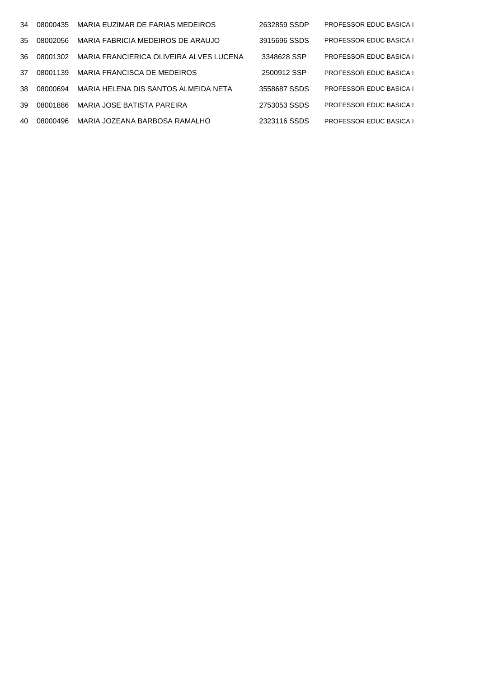| 34  | 08000435 | MARIA EUZIMAR DE FARIAS MEDEIROS        | 2632859 SSDP | <b>PROFESSOR EDUC BASICA I</b> |
|-----|----------|-----------------------------------------|--------------|--------------------------------|
| 35  | 08002056 | MARIA FABRICIA MEDEIROS DE ARAUJO       | 3915696 SSDS | <b>PROFESSOR EDUC BASICA I</b> |
| 36. | 08001302 | MARIA FRANCIERICA OLIVEIRA ALVES LUCENA | 3348628 SSP  | <b>PROFESSOR EDUC BASICA I</b> |
| 37  | 08001139 | MARIA FRANCISCA DE MEDEIROS             | 2500912 SSP  | <b>PROFESSOR EDUC BASICA I</b> |
| 38. | 08000694 | MARIA HELENA DIS SANTOS ALMEIDA NETA    | 3558687 SSDS | <b>PROFESSOR EDUC BASICA I</b> |
| 39  | 08001886 | MARIA JOSE BATISTA PAREIRA              | 2753053 SSDS | <b>PROFESSOR EDUC BASICA I</b> |
| 40  | 08000496 | MARIA JOZEANA BARBOSA RAMALHO           | 2323116 SSDS | <b>PROFESSOR EDUC BASICA I</b> |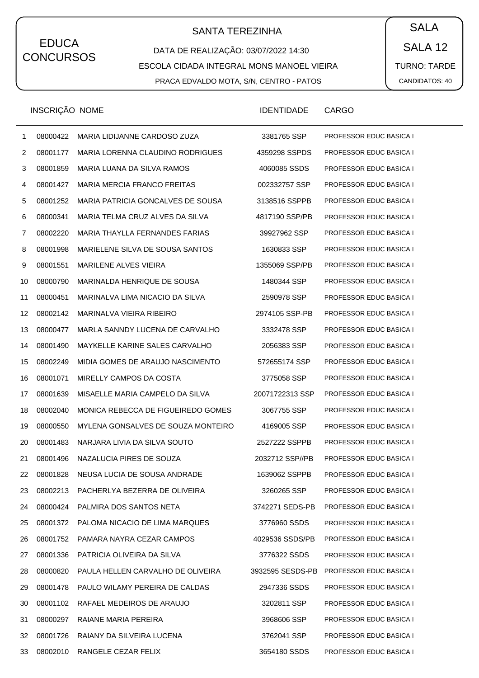# SANTA TEREZINHA  $\begin{pmatrix} \bullet & SALA \end{pmatrix}$

DATA DE REALIZAÇÃO: 03/07/2022 14:30 ESCOLA CIDADA INTEGRAL MONS MANOEL VIEIRA PRACA EDVALDO MOTA, S/N, CENTRO - PATOS

SALA 12 TURNO: TARDE CANDIDATOS: 40

|    | INSCRIÇÃO NOME |                                         | <b>IDENTIDADE</b> | <b>CARGO</b>                   |
|----|----------------|-----------------------------------------|-------------------|--------------------------------|
| 1  | 08000422       | MARIA LIDIJANNE CARDOSO ZUZA            | 3381765 SSP       | PROFESSOR EDUC BASICA I        |
| 2  | 08001177       | MARIA LORENNA CLAUDINO RODRIGUES        | 4359298 SSPDS     | PROFESSOR EDUC BASICA I        |
| 3  | 08001859       | MARIA LUANA DA SILVA RAMOS              | 4060085 SSDS      | PROFESSOR EDUC BASICA I        |
| 4  | 08001427       | <b>MARIA MERCIA FRANCO FREITAS</b>      | 002332757 SSP     | PROFESSOR EDUC BASICA I        |
| 5  | 08001252       | MARIA PATRICIA GONCALVES DE SOUSA       | 3138516 SSPPB     | PROFESSOR EDUC BASICA I        |
| 6  | 08000341       | MARIA TELMA CRUZ ALVES DA SILVA         | 4817190 SSP/PB    | PROFESSOR EDUC BASICA I        |
| 7  | 08002220       | MARIA THAYLLA FERNANDES FARIAS          | 39927962 SSP      | PROFESSOR EDUC BASICA I        |
| 8  | 08001998       | MARIELENE SILVA DE SOUSA SANTOS         | 1630833 SSP       | PROFESSOR EDUC BASICA I        |
| 9  | 08001551       | <b>MARILENE ALVES VIEIRA</b>            | 1355069 SSP/PB    | PROFESSOR EDUC BASICA I        |
| 10 | 08000790       | MARINALDA HENRIQUE DE SOUSA             | 1480344 SSP       | PROFESSOR EDUC BASICA I        |
| 11 | 08000451       | MARINALVA LIMA NICACIO DA SILVA         | 2590978 SSP       | PROFESSOR EDUC BASICA I        |
| 12 | 08002142       | MARINALVA VIEIRA RIBEIRO                | 2974105 SSP-PB    | PROFESSOR EDUC BASICA I        |
| 13 | 08000477       | MARLA SANNDY LUCENA DE CARVALHO         | 3332478 SSP       | PROFESSOR EDUC BASICA I        |
| 14 | 08001490       | MAYKELLE KARINE SALES CARVALHO          | 2056383 SSP       | PROFESSOR EDUC BASICA I        |
| 15 | 08002249       | MIDIA GOMES DE ARAUJO NASCIMENTO        | 572655174 SSP     | PROFESSOR EDUC BASICA I        |
| 16 | 08001071       | MIRELLY CAMPOS DA COSTA                 | 3775058 SSP       | PROFESSOR EDUC BASICA I        |
| 17 | 08001639       | MISAELLE MARIA CAMPELO DA SILVA         | 20071722313 SSP   | PROFESSOR EDUC BASICA I        |
| 18 | 08002040       | MONICA REBECCA DE FIGUEIREDO GOMES      | 3067755 SSP       | PROFESSOR EDUC BASICA I        |
| 19 | 08000550       | MYLENA GONSALVES DE SOUZA MONTEIRO      | 4169005 SSP       | PROFESSOR EDUC BASICA I        |
| 20 | 08001483       | NARJARA LIVIA DA SILVA SOUTO            | 2527222 SSPPB     | PROFESSOR EDUC BASICA I        |
| 21 | 08001496       | NAZALUCIA PIRES DE SOUZA                | 2032712 SSP//PB   | PROFESSOR EDUC BASICA I        |
| 22 |                | 08001828 NEUSA LUCIA DE SOUSA ANDRADE   | 1639062 SSPPB     | <b>PROFESSOR EDUC BASICA I</b> |
| 23 |                | 08002213 PACHERLYA BEZERRA DE OLIVEIRA  | 3260265 SSP       | PROFESSOR EDUC BASICA I        |
| 24 | 08000424       | PALMIRA DOS SANTOS NETA                 | 3742271 SEDS-PB   | <b>PROFESSOR EDUC BASICA I</b> |
| 25 |                | 08001372 PALOMA NICACIO DE LIMA MARQUES | 3776960 SSDS      | PROFESSOR EDUC BASICA I        |
| 26 | 08001752       | PAMARA NAYRA CEZAR CAMPOS               | 4029536 SSDS/PB   | PROFESSOR EDUC BASICA I        |
| 27 | 08001336       | PATRICIA OLIVEIRA DA SILVA              | 3776322 SSDS      | PROFESSOR EDUC BASICA I        |
| 28 | 08000820       | PAULA HELLEN CARVALHO DE OLIVEIRA       | 3932595 SESDS-PB  | <b>PROFESSOR EDUC BASICA I</b> |
| 29 | 08001478       | PAULO WILAMY PEREIRA DE CALDAS          | 2947336 SSDS      | PROFESSOR EDUC BASICA I        |
| 30 | 08001102       | RAFAEL MEDEIROS DE ARAUJO               | 3202811 SSP       | PROFESSOR EDUC BASICA I        |
| 31 | 08000297       | RAIANE MARIA PEREIRA                    | 3968606 SSP       | PROFESSOR EDUC BASICA I        |
| 32 | 08001726       | RAIANY DA SILVEIRA LUCENA               | 3762041 SSP       | PROFESSOR EDUC BASICA I        |
| 33 |                | 08002010 RANGELE CEZAR FELIX            | 3654180 SSDS      | PROFESSOR EDUC BASICA I        |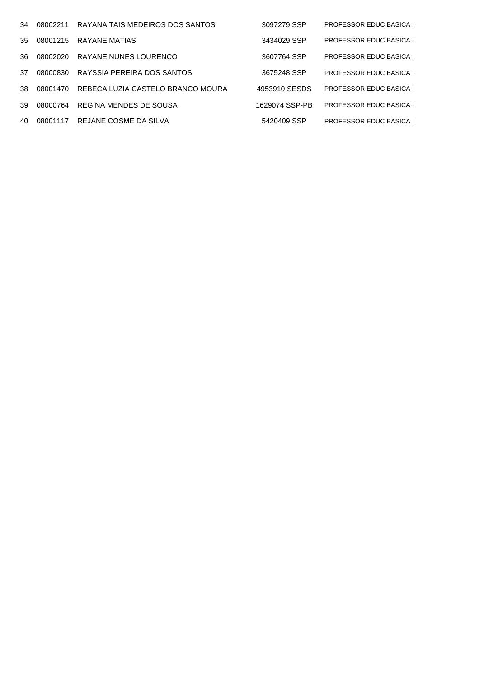| 34  | 08002211 | RAYANA TAIS MEDEIROS DOS SANTOS   | 3097279 SSP    | <b>PROFESSOR EDUC BASICA I</b> |
|-----|----------|-----------------------------------|----------------|--------------------------------|
| 35  | 08001215 | RAYANE MATIAS                     | 3434029 SSP    | <b>PROFESSOR EDUC BASICA I</b> |
| 36. | 08002020 | RAYANE NUNES LOURENCO             | 3607764 SSP    | <b>PROFESSOR EDUC BASICA I</b> |
| 37  | 08000830 | RAYSSIA PEREIRA DOS SANTOS        | 3675248 SSP    | <b>PROFESSOR EDUC BASICA I</b> |
| 38. | 08001470 | REBECA LUZIA CASTELO BRANCO MOURA | 4953910 SESDS  | <b>PROFESSOR EDUC BASICA I</b> |
| 39  | 08000764 | REGINA MENDES DE SOUSA            | 1629074 SSP-PB | <b>PROFESSOR EDUC BASICA I</b> |
| 40  | 08001117 | REJANE COSME DA SILVA             | 5420409 SSP    | <b>PROFESSOR EDUC BASICA I</b> |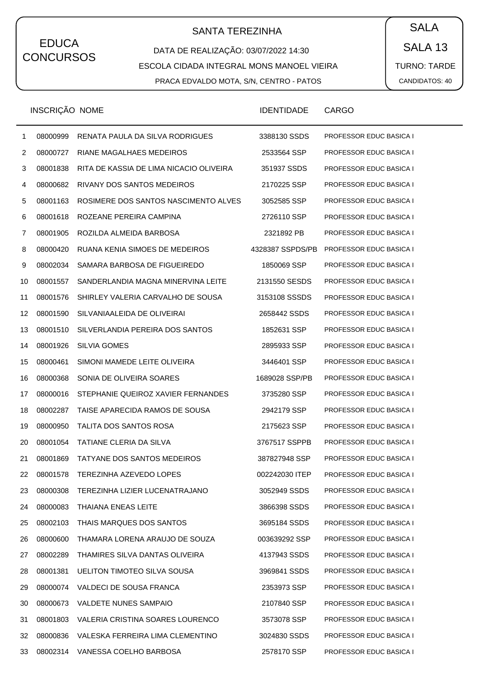# SANTA TEREZINHA  $\begin{pmatrix} \bullet & SALA \end{pmatrix}$

DATA DE REALIZAÇÃO: 03/07/2022 14:30 ESCOLA CIDADA INTEGRAL MONS MANOEL VIEIRA PRACA EDVALDO MOTA, S/N, CENTRO - PATOS

SALA 13 TURNO: TARDE CANDIDATOS: 40

|                | INSCRIÇÃO NOME |                                         | <b>IDENTIDADE</b> | CARGO                          |
|----------------|----------------|-----------------------------------------|-------------------|--------------------------------|
| $\mathbf{1}$   | 08000999       | RENATA PAULA DA SILVA RODRIGUES         | 3388130 SSDS      | PROFESSOR EDUC BASICA I        |
| $\overline{2}$ | 08000727       | RIANE MAGALHAES MEDEIROS                | 2533564 SSP       | PROFESSOR EDUC BASICA I        |
| 3              | 08001838       | RITA DE KASSIA DE LIMA NICACIO OLIVEIRA | 351937 SSDS       | PROFESSOR EDUC BASICA I        |
| 4              | 08000682       | RIVANY DOS SANTOS MEDEIROS              | 2170225 SSP       | PROFESSOR EDUC BASICA I        |
| 5              | 08001163       | ROSIMERE DOS SANTOS NASCIMENTO ALVES    | 3052585 SSP       | PROFESSOR EDUC BASICA I        |
| 6              | 08001618       | ROZEANE PEREIRA CAMPINA                 | 2726110 SSP       | PROFESSOR EDUC BASICA I        |
| 7              | 08001905       | ROZILDA ALMEIDA BARBOSA                 | 2321892 PB        | PROFESSOR EDUC BASICA I        |
| 8              | 08000420       | RUANA KENIA SIMOES DE MEDEIROS          | 4328387 SSPDS/PB  | PROFESSOR EDUC BASICA I        |
| 9              | 08002034       | SAMARA BARBOSA DE FIGUEIREDO            | 1850069 SSP       | PROFESSOR EDUC BASICA I        |
| 10             | 08001557       | SANDERLANDIA MAGNA MINERVINA LEITE      | 2131550 SESDS     | PROFESSOR EDUC BASICA I        |
| 11             | 08001576       | SHIRLEY VALERIA CARVALHO DE SOUSA       | 3153108 SSSDS     | PROFESSOR EDUC BASICA I        |
| 12             | 08001590       | SILVANIAALEIDA DE OLIVEIRAI             | 2658442 SSDS      | PROFESSOR EDUC BASICA I        |
| 13             | 08001510       | SILVERLANDIA PEREIRA DOS SANTOS         | 1852631 SSP       | PROFESSOR EDUC BASICA I        |
| 14             | 08001926       | <b>SILVIA GOMES</b>                     | 2895933 SSP       | PROFESSOR EDUC BASICA I        |
| 15             | 08000461       | SIMONI MAMEDE LEITE OLIVEIRA            | 3446401 SSP       | PROFESSOR EDUC BASICA I        |
| 16             | 08000368       | SONIA DE OLIVEIRA SOARES                | 1689028 SSP/PB    | PROFESSOR EDUC BASICA I        |
| 17             | 08000016       | STEPHANIE QUEIROZ XAVIER FERNANDES      | 3735280 SSP       | <b>PROFESSOR EDUC BASICA I</b> |
| 18             | 08002287       | TAISE APARECIDA RAMOS DE SOUSA          | 2942179 SSP       | <b>PROFESSOR EDUC BASICA I</b> |
| 19             | 08000950       | TALITA DOS SANTOS ROSA                  | 2175623 SSP       | PROFESSOR EDUC BASICA I        |
| 20             | 08001054       | TATIANE CLERIA DA SILVA                 | 3767517 SSPPB     | <b>PROFESSOR EDUC BASICA I</b> |
| 21             | 08001869       | TATYANE DOS SANTOS MEDEIROS             | 387827948 SSP     | <b>PROFESSOR EDUC BASICA I</b> |
| 22             | 08001578       | TEREZINHA AZEVEDO LOPES                 | 002242030 ITEP    | <b>PROFESSOR EDUC BASICA I</b> |
| 23             | 08000308       | TEREZINHA LIZIER LUCENATRAJANO          | 3052949 SSDS      | PROFESSOR EDUC BASICA I        |
| 24             | 08000083       | <b>THAIANA ENEAS LEITE</b>              | 3866398 SSDS      | PROFESSOR EDUC BASICA I        |
| 25             | 08002103       | THAIS MARQUES DOS SANTOS                | 3695184 SSDS      | PROFESSOR EDUC BASICA I        |
| 26             | 08000600       | THAMARA LORENA ARAUJO DE SOUZA          | 003639292 SSP     | PROFESSOR EDUC BASICA I        |
| 27             | 08002289       | THAMIRES SILVA DANTAS OLIVEIRA          | 4137943 SSDS      | <b>PROFESSOR EDUC BASICA I</b> |
| 28             | 08001381       | UELITON TIMOTEO SILVA SOUSA             | 3969841 SSDS      | PROFESSOR EDUC BASICA I        |
| 29             | 08000074       | VALDECI DE SOUSA FRANCA                 | 2353973 SSP       | PROFESSOR EDUC BASICA I        |
| 30             | 08000673       | <b>VALDETE NUNES SAMPAIO</b>            | 2107840 SSP       | PROFESSOR EDUC BASICA I        |
| 31             | 08001803       | VALERIA CRISTINA SOARES LOURENCO        | 3573078 SSP       | PROFESSOR EDUC BASICA I        |
| 32             | 08000836       | VALESKA FERREIRA LIMA CLEMENTINO        | 3024830 SSDS      | PROFESSOR EDUC BASICA I        |
| 33             |                | 08002314 VANESSA COELHO BARBOSA         | 2578170 SSP       | PROFESSOR EDUC BASICA I        |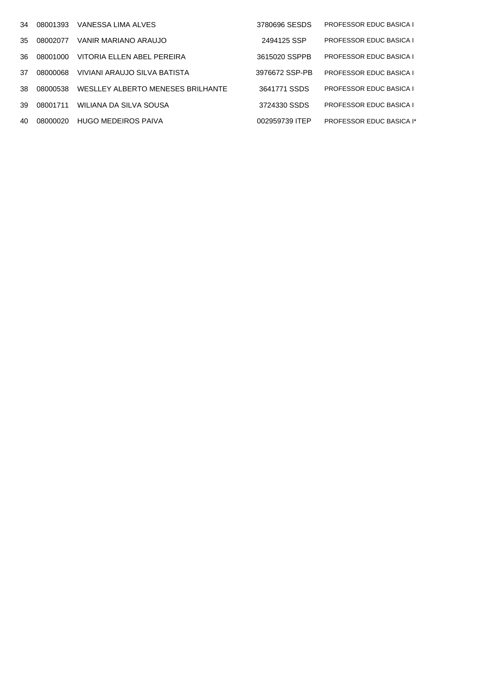| 34  | 08001393  | VANESSA LIMA ALVES                | 3780696 SESDS  | <b>PROFESSOR EDUC BASICA I</b>  |
|-----|-----------|-----------------------------------|----------------|---------------------------------|
| 35  | 08002077  | VANIR MARIANO ARAUJO              | 2494125 SSP    | <b>PROFESSOR EDUC BASICA I</b>  |
| 36. | .08001000 | VITORIA ELLEN ABEL PEREIRA        | 3615020 SSPPB  | <b>PROFESSOR EDUC BASICA I</b>  |
| 37  | 08000068  | VIVIANI ARAUJO SILVA BATISTA      | 3976672 SSP-PB | <b>PROFESSOR EDUC BASICA I</b>  |
| 38. | 08000538  | WESLLEY ALBERTO MENESES BRILHANTE | 3641771 SSDS   | <b>PROFESSOR EDUC BASICA I</b>  |
| 39  | 08001711  | WILIANA DA SILVA SOUSA            | 3724330 SSDS   | <b>PROFESSOR EDUC BASICA I</b>  |
| 40  | 08000020  | HUGO MEDEIROS PAIVA               | 002959739 ITEP | <b>PROFESSOR EDUC BASICA I*</b> |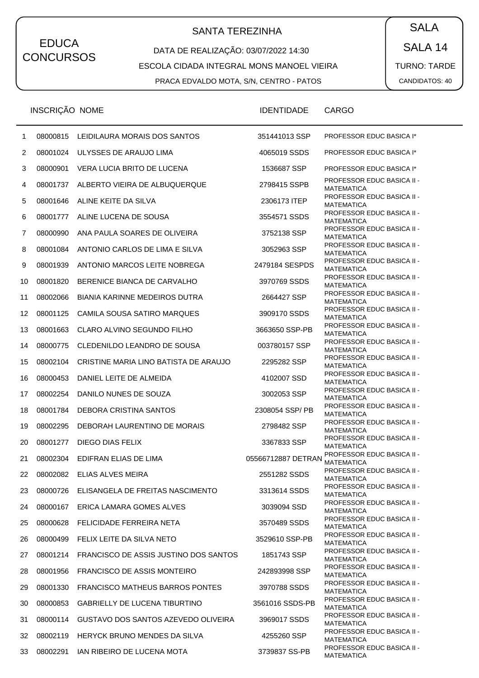# SANTA TEREZINHA  $\begin{pmatrix} \bullet & SALA \end{pmatrix}$

### DATA DE REALIZAÇÃO: 03/07/2022 14:30 ESCOLA CIDADA INTEGRAL MONS MANOEL VIEIRA PRACA EDVALDO MOTA, S/N, CENTRO - PATOS

SALA 14 TURNO: TARDE CANDIDATOS: 40

|                | INSCRIÇÃO NOME |                                                | <b>IDENTIDADE</b>  | <b>CARGO</b>                                           |
|----------------|----------------|------------------------------------------------|--------------------|--------------------------------------------------------|
| 1              | 08000815       | LEIDILAURA MORAIS DOS SANTOS                   | 351441013 SSP      | <b>PROFESSOR EDUC BASICA I*</b>                        |
| $\overline{2}$ | 08001024       | ULYSSES DE ARAUJO LIMA                         | 4065019 SSDS       | <b>PROFESSOR EDUC BASICA I*</b>                        |
| 3              | 08000901       | VERA LUCIA BRITO DE LUCENA                     | 1536687 SSP        | <b>PROFESSOR EDUC BASICA I*</b>                        |
| 4              | 08001737       | ALBERTO VIEIRA DE ALBUQUERQUE                  | 2798415 SSPB       | <b>PROFESSOR EDUC BASICA II -</b><br><b>MATEMATICA</b> |
| 5              | 08001646       | ALINE KEITE DA SILVA                           | 2306173 ITEP       | <b>PROFESSOR EDUC BASICA II -</b><br><b>MATEMATICA</b> |
| 6              | 08001777       | ALINE LUCENA DE SOUSA                          | 3554571 SSDS       | PROFESSOR EDUC BASICA II -<br><b>MATEMATICA</b>        |
| 7              | 08000990       | ANA PAULA SOARES DE OLIVEIRA                   | 3752138 SSP        | <b>PROFESSOR EDUC BASICA II -</b><br><b>MATEMATICA</b> |
| 8              | 08001084       | ANTONIO CARLOS DE LIMA E SILVA                 | 3052963 SSP        | <b>PROFESSOR EDUC BASICA II -</b><br><b>MATEMATICA</b> |
| 9              | 08001939       | ANTONIO MARCOS LEITE NOBREGA                   | 2479184 SESPDS     | PROFESSOR EDUC BASICA II -<br><b>MATEMATICA</b>        |
| 10             | 08001820       | BERENICE BIANCA DE CARVALHO                    | 3970769 SSDS       | <b>PROFESSOR EDUC BASICA II -</b><br><b>MATEMATICA</b> |
| 11             | 08002066       | <b>BIANIA KARINNE MEDEIROS DUTRA</b>           | 2664427 SSP        | <b>PROFESSOR EDUC BASICA II -</b><br><b>MATEMATICA</b> |
| 12             | 08001125       | CAMILA SOUSA SATIRO MARQUES                    | 3909170 SSDS       | PROFESSOR EDUC BASICA II -<br><b>MATEMATICA</b>        |
| 13             | 08001663       | CLARO ALVINO SEGUNDO FILHO                     | 3663650 SSP-PB     | <b>PROFESSOR EDUC BASICA II -</b><br><b>MATEMATICA</b> |
| 14             | 08000775       | CLEDENILDO LEANDRO DE SOUSA                    | 003780157 SSP      | <b>PROFESSOR EDUC BASICA II -</b><br><b>MATEMATICA</b> |
| 15             | 08002104       | CRISTINE MARIA LINO BATISTA DE ARAUJO          | 2295282 SSP        | <b>PROFESSOR EDUC BASICA II -</b><br><b>MATEMATICA</b> |
| 16             | 08000453       | DANIEL LEITE DE ALMEIDA                        | 4102007 SSD        | PROFESSOR EDUC BASICA II -<br><b>MATEMATICA</b>        |
| 17             | 08002254       | DANILO NUNES DE SOUZA                          | 3002053 SSP        | <b>PROFESSOR EDUC BASICA II -</b><br><b>MATEMATICA</b> |
| 18             | 08001784       | DEBORA CRISTINA SANTOS                         | 2308054 SSP/ PB    | <b>PROFESSOR EDUC BASICA II -</b><br><b>MATEMATICA</b> |
| 19             | 08002295       | DEBORAH LAURENTINO DE MORAIS                   | 2798482 SSP        | <b>PROFESSOR EDUC BASICA II -</b><br><b>MATEMATICA</b> |
| 20             | 08001277       | DIEGO DIAS FELIX                               | 3367833 SSP        | PROFESSOR EDUC BASICA II -<br><b>MATEMATICA</b>        |
| 21             | 08002304       | EDIFRAN ELIAS DE LIMA                          | 05566712887 DETRAN | PROFESSOR EDUC BASICA II -<br><b>MATEMATICA</b>        |
| 22             |                | 08002082 ELIAS ALVES MEIRA                     | 2551282 SSDS       | <b>PROFESSOR EDUC BASICA II -</b><br>MATEMATICA        |
| 23             | 08000726       | ELISANGELA DE FREITAS NASCIMENTO               | 3313614 SSDS       | <b>PROFESSOR EDUC BASICA II -</b><br><b>MATEMATICA</b> |
| 24             | 08000167       | ERICA LAMARA GOMES ALVES                       | 3039094 SSD        | PROFESSOR EDUC BASICA II -<br><b>MATEMATICA</b>        |
| 25             | 08000628       | FELICIDADE FERREIRA NETA                       | 3570489 SSDS       | <b>PROFESSOR EDUC BASICA II -</b><br>MATEMATICA        |
| 26             | 08000499       | FELIX LEITE DA SILVA NETO                      | 3529610 SSP-PB     | <b>PROFESSOR EDUC BASICA II -</b><br><b>MATEMATICA</b> |
| 27             |                | 08001214 FRANCISCO DE ASSIS JUSTINO DOS SANTOS | 1851743 SSP        | PROFESSOR EDUC BASICA II -<br><b>MATEMATICA</b>        |
| 28             | 08001956       | <b>FRANCISCO DE ASSIS MONTEIRO</b>             | 242893998 SSP      | <b>PROFESSOR EDUC BASICA II -</b><br>MATEMATICA        |
| 29             | 08001330       | <b>FRANCISCO MATHEUS BARROS PONTES</b>         | 3970788 SSDS       | <b>PROFESSOR EDUC BASICA II -</b><br><b>MATEMATICA</b> |
| 30             | 08000853       | GABRIELLY DE LUCENA TIBURTINO                  | 3561016 SSDS-PB    | PROFESSOR EDUC BASICA II -<br><b>MATEMATICA</b>        |
| 31             |                | 08000114 GUSTAVO DOS SANTOS AZEVEDO OLIVEIRA   | 3969017 SSDS       | <b>PROFESSOR EDUC BASICA II -</b><br>MATEMATICA        |
| 32             |                | 08002119 HERYCK BRUNO MENDES DA SILVA          | 4255260 SSP        | PROFESSOR EDUC BASICA II -<br><b>MATEMATICA</b>        |
| 33             | 08002291       | IAN RIBEIRO DE LUCENA MOTA                     | 3739837 SS-PB      | PROFESSOR EDUC BASICA II -<br>MATEMATICA               |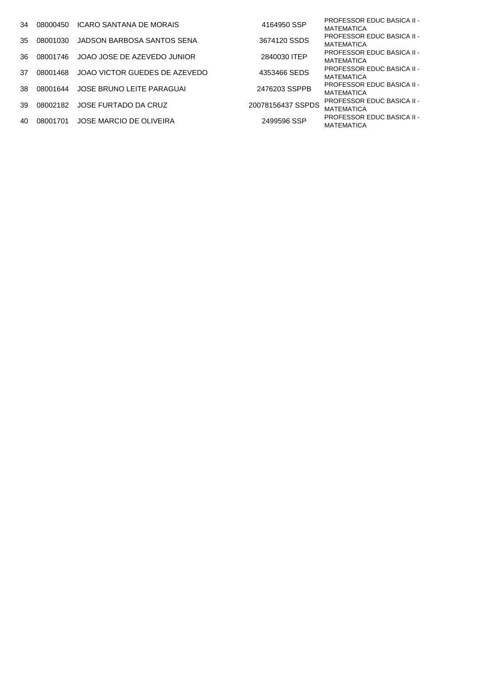| 34 | 08000450    | ICARO SANTANA DE MORAIS       | 4164950 SSP       | <b>PROFESSOR EDUC BASICA II -</b><br>MATEMATICA        |
|----|-------------|-------------------------------|-------------------|--------------------------------------------------------|
| 35 | 08001030    | JADSON BARBOSA SANTOS SENA    | 3674120 SSDS      | <b>PROFESSOR EDUC BASICA II -</b><br><b>MATEMATICA</b> |
| 36 | 08001746    | JOAO JOSE DE AZEVEDO JUNIOR   | 2840030 ITEP      | <b>PROFESSOR EDUC BASICA II -</b><br>MATEMATICA        |
| 37 | 08001468    | JOAO VICTOR GUEDES DE AZEVEDO | 4353466 SEDS      | <b>PROFESSOR EDUC BASICA II -</b><br><b>MATEMATICA</b> |
|    | 38 08001644 | JOSE BRUNO LEITE PARAGUAI     | 2476203 SSPPB     | <b>PROFESSOR EDUC BASICA II -</b><br><b>MATEMATICA</b> |
|    | 39 08002182 | JOSE FURTADO DA CRUZ          | 20078156437 SSPDS | <b>PROFESSOR EDUC BASICA II -</b><br><b>MATEMATICA</b> |
| 40 | 08001701    | JOSE MARCIO DE OLIVEIRA       | 2499596 SSP       | <b>PROFESSOR EDUC BASICA II -</b><br><b>MATEMATICA</b> |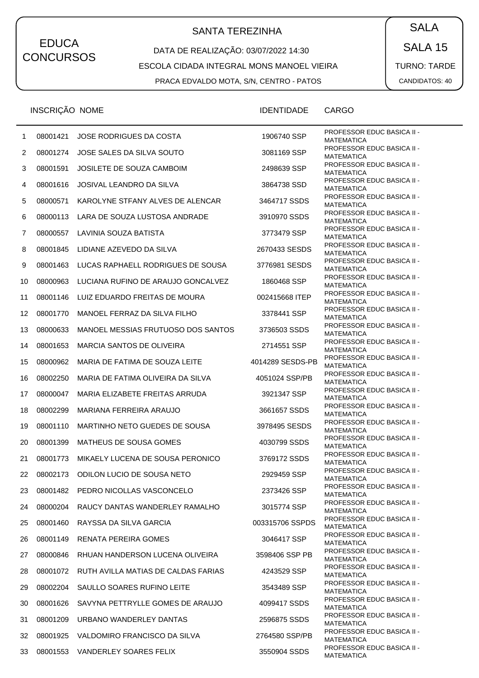## SANTA TEREZINHA  $\begin{pmatrix} \bullet & SALA \end{pmatrix}$

DATA DE REALIZAÇÃO: 03/07/2022 14:30 ESCOLA CIDADA INTEGRAL MONS MANOEL VIEIRA

PRACA EDVALDO MOTA, S/N, CENTRO - PATOS

SALA 15 TURNO: TARDE CANDIDATOS: 40

|    | <b>INSCRIÇAO NOME</b> |                                              | <b>IDENTIDADE</b> | CARGO                                                  |
|----|-----------------------|----------------------------------------------|-------------------|--------------------------------------------------------|
| 1  | 08001421              | JOSE RODRIGUES DA COSTA                      | 1906740 SSP       | <b>PROFESSOR EDUC BASICA II -</b><br><b>MATEMATICA</b> |
| 2  | 08001274              | JOSE SALES DA SILVA SOUTO                    | 3081169 SSP       | <b>PROFESSOR EDUC BASICA II -</b><br>MATEMATICA        |
| 3  | 08001591              | <b>JOSILETE DE SOUZA CAMBOIM</b>             | 2498639 SSP       | <b>PROFESSOR EDUC BASICA II -</b><br><b>MATEMATICA</b> |
| 4  | 08001616              | JOSIVAL LEANDRO DA SILVA                     | 3864738 SSD       | <b>PROFESSOR EDUC BASICA II -</b><br><b>MATEMATICA</b> |
| 5  | 08000571              | KAROLYNE STFANY ALVES DE ALENCAR             | 3464717 SSDS      | PROFESSOR EDUC BASICA II -<br>MATEMATICA               |
| 6  | 08000113              | LARA DE SOUZA LUSTOSA ANDRADE                | 3910970 SSDS      | <b>PROFESSOR EDUC BASICA II -</b><br><b>MATEMATICA</b> |
| 7  | 08000557              | LAVINIA SOUZA BATISTA                        | 3773479 SSP       | <b>PROFESSOR EDUC BASICA II -</b><br><b>MATEMATICA</b> |
| 8  | 08001845              | LIDIANE AZEVEDO DA SILVA                     | 2670433 SESDS     | <b>PROFESSOR EDUC BASICA II -</b><br>MATEMATICA        |
| 9  | 08001463              | LUCAS RAPHAELL RODRIGUES DE SOUSA            | 3776981 SESDS     | <b>PROFESSOR EDUC BASICA II -</b><br><b>MATEMATICA</b> |
| 10 | 08000963              | LUCIANA RUFINO DE ARAUJO GONCALVEZ           | 1860468 SSP       | <b>PROFESSOR EDUC BASICA II -</b><br><b>MATEMATICA</b> |
| 11 | 08001146              | LUIZ EDUARDO FREITAS DE MOURA                | 002415668 ITEP    | PROFESSOR EDUC BASICA II -<br>MATEMATICA               |
| 12 | 08001770              | MANOEL FERRAZ DA SILVA FILHO                 | 3378441 SSP       | <b>PROFESSOR EDUC BASICA II -</b><br><b>MATEMATICA</b> |
| 13 | 08000633              | MANOEL MESSIAS FRUTUOSO DOS SANTOS           | 3736503 SSDS      | <b>PROFESSOR EDUC BASICA II -</b><br><b>MATEMATICA</b> |
| 14 | 08001653              | MARCIA SANTOS DE OLIVEIRA                    | 2714551 SSP       | <b>PROFESSOR EDUC BASICA II -</b><br>MATEMATICA        |
| 15 | 08000962              | MARIA DE FATIMA DE SOUZA LEITE               | 4014289 SESDS-PB  | <b>PROFESSOR EDUC BASICA II -</b><br><b>MATEMATICA</b> |
| 16 | 08002250              | MARIA DE FATIMA OLIVEIRA DA SILVA            | 4051024 SSP/PB    | <b>PROFESSOR EDUC BASICA II -</b><br><b>MATEMATICA</b> |
| 17 | 08000047              | MARIA ELIZABETE FREITAS ARRUDA               | 3921347 SSP       | <b>PROFESSOR EDUC BASICA II -</b><br><b>MATEMATICA</b> |
| 18 | 08002299              | MARIANA FERREIRA ARAUJO                      | 3661657 SSDS      | <b>PROFESSOR EDUC BASICA II -</b><br><b>MATEMATICA</b> |
| 19 | 08001110              | MARTINHO NETO GUEDES DE SOUSA                | 3978495 SESDS     | <b>PROFESSOR EDUC BASICA II -</b><br><b>MATEMATICA</b> |
| 20 | 08001399              | MATHEUS DE SOUSA GOMES                       | 4030799 SSDS      | <b>PROFESSOR EDUC BASICA II -</b><br>MATEMATICA        |
| 21 | 08001773              | MIKAELY LUCENA DE SOUSA PERONICO             | 3769172 SSDS      | <b>PROFESSOR EDUC BASICA II -</b><br><b>MATEMATICA</b> |
| 22 | 08002173              | ODILON LUCIO DE SOUSA NETO                   | 2929459 SSP       | PROFESSOR EDUC BASICA II -<br><b>MATEMATICA</b>        |
| 23 | 08001482              | PEDRO NICOLLAS VASCONCELO                    | 2373426 SSP       | <b>PROFESSOR EDUC BASICA II -</b><br><b>MATEMATICA</b> |
| 24 | 08000204              | RAUCY DANTAS WANDERLEY RAMALHO               | 3015774 SSP       | <b>PROFESSOR EDUC BASICA II -</b><br><b>MATEMATICA</b> |
| 25 | 08001460              | RAYSSA DA SILVA GARCIA                       | 003315706 SSPDS   | <b>PROFESSOR EDUC BASICA II -</b><br><b>MATEMATICA</b> |
| 26 | 08001149              | RENATA PEREIRA GOMES                         | 3046417 SSP       | <b>PROFESSOR EDUC BASICA II -</b><br><b>MATEMATICA</b> |
| 27 | 08000846              | RHUAN HANDERSON LUCENA OLIVEIRA              | 3598406 SSP PB    | <b>PROFESSOR EDUC BASICA II -</b><br><b>MATEMATICA</b> |
| 28 |                       | 08001072 RUTH AVILLA MATIAS DE CALDAS FARIAS | 4243529 SSP       | <b>PROFESSOR EDUC BASICA II -</b><br>MATEMATICA        |
| 29 | 08002204              | SAULLO SOARES RUFINO LEITE                   | 3543489 SSP       | <b>PROFESSOR EDUC BASICA II -</b><br><b>MATEMATICA</b> |
| 30 | 08001626              | SAVYNA PETTRYLLE GOMES DE ARAUJO             | 4099417 SSDS      | PROFESSOR EDUC BASICA II -<br><b>MATEMATICA</b>        |
| 31 | 08001209              | URBANO WANDERLEY DANTAS                      | 2596875 SSDS      | <b>PROFESSOR EDUC BASICA II -</b><br>MATEMATICA        |
| 32 | 08001925              | VALDOMIRO FRANCISCO DA SILVA                 | 2764580 SSP/PB    | <b>PROFESSOR EDUC BASICA II -</b><br><b>MATEMATICA</b> |
| 33 | 08001553              | VANDERLEY SOARES FELIX                       | 3550904 SSDS      | <b>PROFESSOR EDUC BASICA II -</b><br><b>MATEMATICA</b> |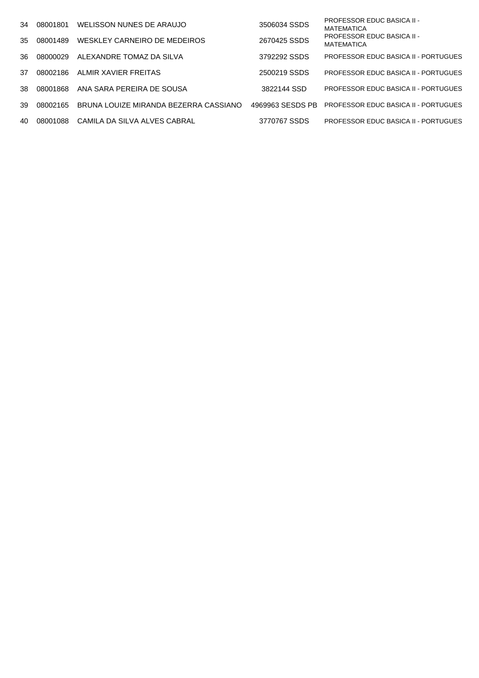| 34  | 08001801 | WELISSON NUNES DE ARAUJO              | 3506034 SSDS     | <b>PROFESSOR EDUC BASICA II -</b><br><b>MATEMATICA</b> |
|-----|----------|---------------------------------------|------------------|--------------------------------------------------------|
| 35  | 08001489 | WESKLEY CARNEIRO DE MEDEIROS          | 2670425 SSDS     | <b>PROFESSOR EDUC BASICA II -</b><br>MATEMATICA        |
| 36. | 08000029 | ALEXANDRE TOMAZ DA SILVA              | 3792292 SSDS     | <b>PROFESSOR EDUC BASICA II - PORTUGUES</b>            |
| 37  | 08002186 | ALMIR XAVIER FREITAS                  | 2500219 SSDS     | <b>PROFESSOR EDUC BASICA II - PORTUGUES</b>            |
| 38. | 08001868 | ANA SARA PEREIRA DE SOUSA             | 3822144 SSD      | <b>PROFESSOR EDUC BASICA II - PORTUGUES</b>            |
| 39  | 08002165 | BRUNA LOUIZE MIRANDA BEZERRA CASSIANO | 4969963 SESDS PB | <b>PROFESSOR EDUC BASICA II - PORTUGUES</b>            |
| 40  | 08001088 | CAMILA DA SILVA ALVES CABRAL          | 3770767 SSDS     | <b>PROFESSOR EDUC BASICA II - PORTUGUES</b>            |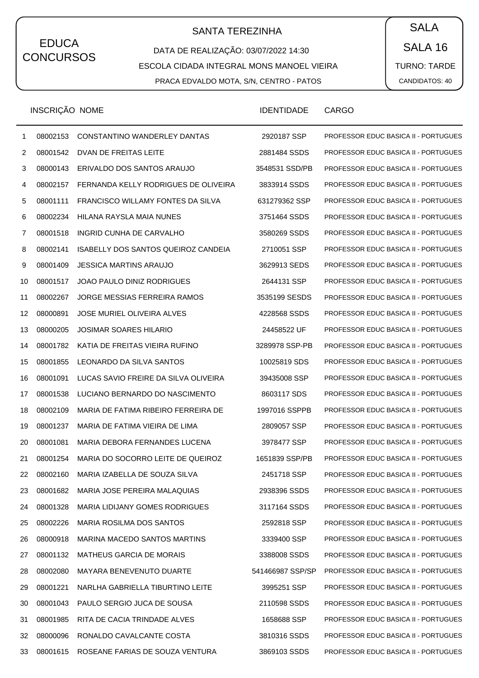# SANTA TEREZINHA  $\begin{pmatrix} SALA \end{pmatrix}$

DATA DE REALIZAÇÃO: 03/07/2022 14:30 ESCOLA CIDADA INTEGRAL MONS MANOEL VIEIRA PRACA EDVALDO MOTA, S/N, CENTRO - PATOS

SALA 16 TURNO: TARDE CANDIDATOS: 40

|                 | INSCRIÇÃO NOME |                                          | <b>IDENTIDADE</b> | <b>CARGO</b>                                |
|-----------------|----------------|------------------------------------------|-------------------|---------------------------------------------|
| $\mathbf 1$     | 08002153       | CONSTANTINO WANDERLEY DANTAS             | 2920187 SSP       | <b>PROFESSOR EDUC BASICA II - PORTUGUES</b> |
| $\overline{2}$  | 08001542       | DVAN DE FREITAS LEITE                    | 2881484 SSDS      | PROFESSOR EDUC BASICA II - PORTUGUES        |
| 3               | 08000143       | ERIVALDO DOS SANTOS ARAUJO               | 3548531 SSD/PB    | PROFESSOR EDUC BASICA II - PORTUGUES        |
| 4               | 08002157       | FERNANDA KELLY RODRIGUES DE OLIVEIRA     | 3833914 SSDS      | PROFESSOR EDUC BASICA II - PORTUGUES        |
| 5               | 08001111       | FRANCISCO WILLAMY FONTES DA SILVA        | 631279362 SSP     | PROFESSOR EDUC BASICA II - PORTUGUES        |
| 6               | 08002234       | HILANA RAYSLA MAIA NUNES                 | 3751464 SSDS      | PROFESSOR EDUC BASICA II - PORTUGUES        |
| 7               | 08001518       | INGRID CUNHA DE CARVALHO                 | 3580269 SSDS      | PROFESSOR EDUC BASICA II - PORTUGUES        |
| 8               | 08002141       | ISABELLY DOS SANTOS QUEIROZ CANDEIA      | 2710051 SSP       | PROFESSOR EDUC BASICA II - PORTUGUES        |
| 9               | 08001409       | <b>JESSICA MARTINS ARAUJO</b>            | 3629913 SEDS      | PROFESSOR EDUC BASICA II - PORTUGUES        |
| 10              | 08001517       | JOAO PAULO DINIZ RODRIGUES               | 2644131 SSP       | PROFESSOR EDUC BASICA II - PORTUGUES        |
| 11              | 08002267       | JORGE MESSIAS FERREIRA RAMOS             | 3535199 SESDS     | PROFESSOR EDUC BASICA II - PORTUGUES        |
| 12 <sub>2</sub> | 08000891       | JOSE MURIEL OLIVEIRA ALVES               | 4228568 SSDS      | PROFESSOR EDUC BASICA II - PORTUGUES        |
| 13              | 08000205       | <b>JOSIMAR SOARES HILARIO</b>            | 24458522 UF       | PROFESSOR EDUC BASICA II - PORTUGUES        |
| 14              | 08001782       | KATIA DE FREITAS VIEIRA RUFINO           | 3289978 SSP-PB    | PROFESSOR EDUC BASICA II - PORTUGUES        |
| 15              | 08001855       | LEONARDO DA SILVA SANTOS                 | 10025819 SDS      | PROFESSOR EDUC BASICA II - PORTUGUES        |
| 16              | 08001091       | LUCAS SAVIO FREIRE DA SILVA OLIVEIRA     | 39435008 SSP      | PROFESSOR EDUC BASICA II - PORTUGUES        |
| 17              | 08001538       | LUCIANO BERNARDO DO NASCIMENTO           | 8603117 SDS       | PROFESSOR EDUC BASICA II - PORTUGUES        |
| 18              | 08002109       | MARIA DE FATIMA RIBEIRO FERREIRA DE      | 1997016 SSPPB     | PROFESSOR EDUC BASICA II - PORTUGUES        |
| 19              | 08001237       | MARIA DE FATIMA VIEIRA DE LIMA           | 2809057 SSP       | PROFESSOR EDUC BASICA II - PORTUGUES        |
| 20              | 08001081       | MARIA DEBORA FERNANDES LUCENA            | 3978477 SSP       | PROFESSOR EDUC BASICA II - PORTUGUES        |
| 21              | 08001254       | MARIA DO SOCORRO LEITE DE QUEIROZ        | 1651839 SSP/PB    | PROFESSOR EDUC BASICA II - PORTUGUES        |
| 22              |                | 08002160 MARIA IZABELLA DE SOUZA SILVA   | 2451718 SSP       | <b>PROFESSOR EDUC BASICA II - PORTUGUES</b> |
| 23              | 08001682       | MARIA JOSE PEREIRA MALAQUIAS             | 2938396 SSDS      | PROFESSOR EDUC BASICA II - PORTUGUES        |
| 24              | 08001328       | MARIA LIDIJANY GOMES RODRIGUES           | 3117164 SSDS      | <b>PROFESSOR EDUC BASICA II - PORTUGUES</b> |
| 25              | 08002226       | MARIA ROSILMA DOS SANTOS                 | 2592818 SSP       | PROFESSOR EDUC BASICA II - PORTUGUES        |
| 26              | 08000918       | MARINA MACEDO SANTOS MARTINS             | 3339400 SSP       | PROFESSOR EDUC BASICA II - PORTUGUES        |
| 27              | 08001132       | <b>MATHEUS GARCIA DE MORAIS</b>          | 3388008 SSDS      | <b>PROFESSOR EDUC BASICA II - PORTUGUES</b> |
| 28              | 08002080       | MAYARA BENEVENUTO DUARTE                 | 541466987 SSP/SP  | PROFESSOR EDUC BASICA II - PORTUGUES        |
| 29              | 08001221       | NARLHA GABRIELLA TIBURTINO LEITE         | 3995251 SSP       | PROFESSOR EDUC BASICA II - PORTUGUES        |
| 30              | 08001043       | PAULO SERGIO JUCA DE SOUSA               | 2110598 SSDS      | <b>PROFESSOR EDUC BASICA II - PORTUGUES</b> |
| 31              | 08001985       | RITA DE CACIA TRINDADE ALVES             | 1658688 SSP       | PROFESSOR EDUC BASICA II - PORTUGUES        |
| 32              | 08000096       | RONALDO CAVALCANTE COSTA                 | 3810316 SSDS      | PROFESSOR EDUC BASICA II - PORTUGUES        |
| 33              |                | 08001615 ROSEANE FARIAS DE SOUZA VENTURA | 3869103 SSDS      | PROFESSOR EDUC BASICA II - PORTUGUES        |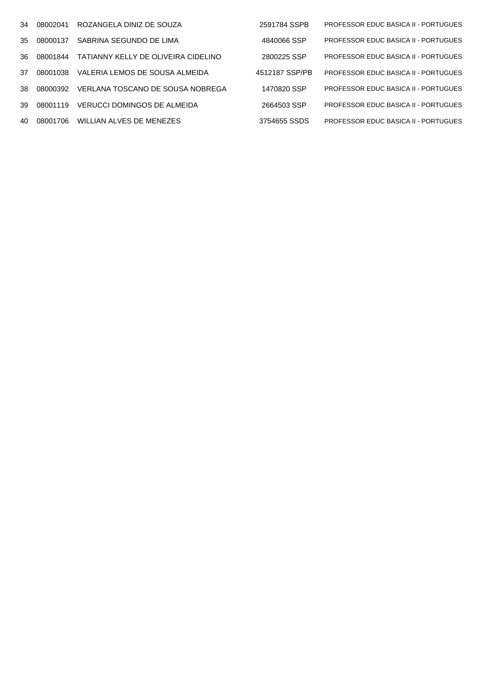| 34  | 08002041 | ROZANGELA DINIZ DE SOUZA            | 2591784 SSPB   | <b>PROFESSOR EDUC BASICA II - PORTUGUES</b> |
|-----|----------|-------------------------------------|----------------|---------------------------------------------|
| 35  | 08000137 | SABRINA SEGUNDO DE LIMA             | 4840066 SSP    | <b>PROFESSOR EDUC BASICA II - PORTUGUES</b> |
| 36. | 08001844 | TATIANNY KELLY DE OLIVEIRA CIDELINO | 2800225 SSP    | <b>PROFESSOR EDUC BASICA II - PORTUGUES</b> |
| 37  | 08001038 | VALERIA LEMOS DE SOUSA ALMEIDA      | 4512187 SSP/PB | <b>PROFESSOR EDUC BASICA II - PORTUGUES</b> |
| .38 | 08000392 | VERLANA TOSCANO DE SOUSA NOBREGA    | 1470820 SSP    | <b>PROFESSOR EDUC BASICA II - PORTUGUES</b> |
| 39  | 08001119 | VERUCCI DOMINGOS DE ALMEIDA         | 2664503 SSP    | <b>PROFESSOR EDUC BASICA II - PORTUGUES</b> |
| 40  | 08001706 | WILLIAN ALVES DE MENEZES            | 3754655 SSDS   | <b>PROFESSOR EDUC BASICA II - PORTUGUES</b> |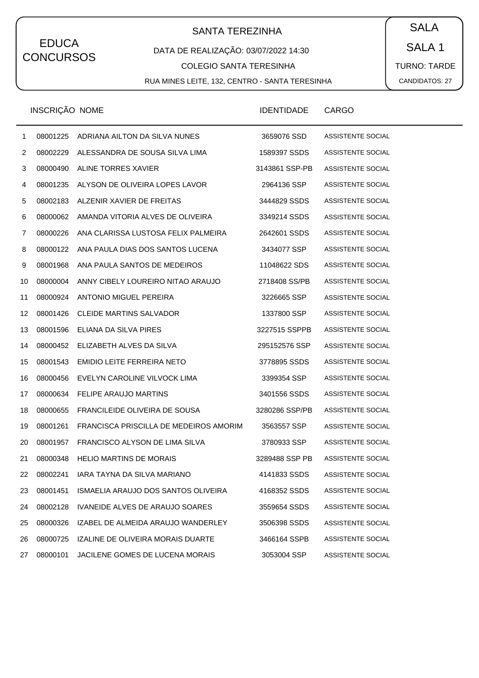# SANTA TEREZINHA  $\begin{pmatrix} SALA \end{pmatrix}$

### DATA DE REALIZAÇÃO: 03/07/2022 14:30

#### COLEGIO SANTA TERESINHA

RUA MINES LEITE, 132, CENTRO - SANTA TERESINHA

SALA 1 TURNO: TARDE CANDIDATOS: 27

|                   | INSCRIÇÃO NOME |                                        | <b>IDENTIDADE</b> | <b>CARGO</b>             |
|-------------------|----------------|----------------------------------------|-------------------|--------------------------|
| $\mathbf{1}$      | 08001225       | ADRIANA AILTON DA SILVA NUNES          | 3659076 SSD       | ASSISTENTE SOCIAL        |
| $\overline{2}$    | 08002229       | ALESSANDRA DE SOUSA SILVA LIMA         | 1589397 SSDS      | ASSISTENTE SOCIAL        |
| 3                 | 08000490       | ALINE TORRES XAVIER                    | 3143861 SSP-PB    | ASSISTENTE SOCIAL        |
| 4                 | 08001235       | ALYSON DE OLIVEIRA LOPES LAVOR         | 2964136 SSP       | ASSISTENTE SOCIAL        |
| 5                 | 08002183       | ALZENIR XAVIER DE FREITAS              | 3444829 SSDS      | ASSISTENTE SOCIAL        |
| 6                 | 08000062       | AMANDA VITORIA ALVES DE OLIVEIRA       | 3349214 SSDS      | ASSISTENTE SOCIAL        |
| 7                 | 08000226       | ANA CLARISSA LUSTOSA FELIX PALMEIRA    | 2642601 SSDS      | ASSISTENTE SOCIAL        |
| 8                 | 08000122       | ANA PAULA DIAS DOS SANTOS LUCENA       | 3434077 SSP       | ASSISTENTE SOCIAL        |
| 9                 | 08001968       | ANA PAULA SANTOS DE MEDEIROS           | 11048622 SDS      | ASSISTENTE SOCIAL        |
| 10                | 08000004       | ANNY CIBELY LOUREIRO NITAO ARAUJO      | 2718408 SS/PB     | ASSISTENTE SOCIAL        |
| 11                | 08000924       | ANTONIO MIGUEL PEREIRA                 | 3226665 SSP       | ASSISTENTE SOCIAL        |
| $12 \overline{ }$ | 08001426       | <b>CLEIDE MARTINS SALVADOR</b>         | 1337800 SSP       | ASSISTENTE SOCIAL        |
| 13                | 08001596       | ELIANA DA SILVA PIRES                  | 3227515 SSPPB     | ASSISTENTE SOCIAL        |
| 14                | 08000452       | ELIZABETH ALVES DA SILVA               | 295152576 SSP     | ASSISTENTE SOCIAL        |
| 15                | 08001543       | EMIDIO LEITE FERREIRA NETO             | 3778895 SSDS      | ASSISTENTE SOCIAL        |
| 16                | 08000456       | EVELYN CAROLINE VILVOCK LIMA           | 3399354 SSP       | ASSISTENTE SOCIAL        |
| 17                | 08000634       | <b>FELIPE ARAUJO MARTINS</b>           | 3401556 SSDS      | ASSISTENTE SOCIAL        |
| 18                | 08000655       | FRANCILEIDE OLIVEIRA DE SOUSA          | 3280286 SSP/PB    | ASSISTENTE SOCIAL        |
| 19                | 08001261       | FRANCISCA PRISCILLA DE MEDEIROS AMORIM | 3563557 SSP       | ASSISTENTE SOCIAL        |
| 20                | 08001957       | FRANCISCO ALYSON DE LIMA SILVA         | 3780933 SSP       | ASSISTENTE SOCIAL        |
| 21                | 08000348       | <b>HELIO MARTINS DE MORAIS</b>         | 3289488 SSP PB    | ASSISTENTE SOCIAL        |
| 22                | 08002241       | IARA TAYNA DA SILVA MARIANO            | 4141833 SSDS      | ASSISTENTE SOCIAL        |
| 23                | 08001451       | ISMAELIA ARAUJO DOS SANTOS OLIVEIRA    | 4168352 SSDS      | ASSISTENTE SOCIAL        |
| 24                | 08002128       | IVANEIDE ALVES DE ARAUJO SOARES        | 3559654 SSDS      | ASSISTENTE SOCIAL        |
| 25                | 08000326       | IZABEL DE ALMEIDA ARAUJO WANDERLEY     | 3506398 SSDS      | ASSISTENTE SOCIAL        |
| 26                | 08000725       | IZALINE DE OLIVEIRA MORAIS DUARTE      | 3466164 SSPB      | ASSISTENTE SOCIAL        |
| 27                | 08000101       | JACILENE GOMES DE LUCENA MORAIS        | 3053004 SSP       | <b>ASSISTENTE SOCIAL</b> |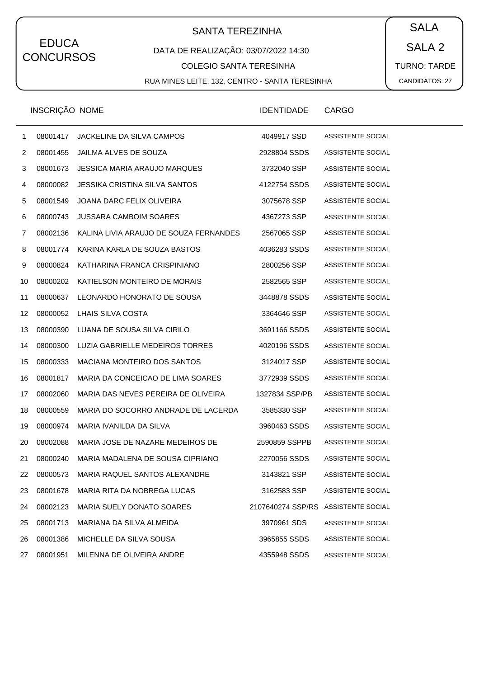# SANTA TEREZINHA  $\begin{pmatrix} SALA \end{pmatrix}$

### DATA DE REALIZAÇÃO: 03/07/2022 14:30

#### COLEGIO SANTA TERESINHA

RUA MINES LEITE, 132, CENTRO - SANTA TERESINHA

SALA 2 TURNO: TARDE CANDIDATOS: 27

|              | <b>INSCRIÇAO NOME</b> |                                        | <b>IDENTIDADE</b>                   | <b>CARGO</b>      |
|--------------|-----------------------|----------------------------------------|-------------------------------------|-------------------|
| $\mathbf{1}$ | 08001417              | JACKELINE DA SILVA CAMPOS              | 4049917 SSD                         | ASSISTENTE SOCIAL |
| 2            | 08001455              | <b>JAILMA ALVES DE SOUZA</b>           | 2928804 SSDS                        | ASSISTENTE SOCIAL |
| 3            | 08001673              | JESSICA MARIA ARAUJO MARQUES           | 3732040 SSP                         | ASSISTENTE SOCIAL |
| 4            | 08000082              | JESSIKA CRISTINA SILVA SANTOS          | 4122754 SSDS                        | ASSISTENTE SOCIAL |
| 5            | 08001549              | JOANA DARC FELIX OLIVEIRA              | 3075678 SSP                         | ASSISTENTE SOCIAL |
| 6            | 08000743              | <b>JUSSARA CAMBOIM SOARES</b>          | 4367273 SSP                         | ASSISTENTE SOCIAL |
| 7            | 08002136              | KALINA LIVIA ARAUJO DE SOUZA FERNANDES | 2567065 SSP                         | ASSISTENTE SOCIAL |
| 8            | 08001774              | KARINA KARLA DE SOUZA BASTOS           | 4036283 SSDS                        | ASSISTENTE SOCIAL |
| 9            | 08000824              | KATHARINA FRANCA CRISPINIANO           | 2800256 SSP                         | ASSISTENTE SOCIAL |
| 10           | 08000202              | KATIELSON MONTEIRO DE MORAIS           | 2582565 SSP                         | ASSISTENTE SOCIAL |
| 11           | 08000637              | LEONARDO HONORATO DE SOUSA             | 3448878 SSDS                        | ASSISTENTE SOCIAL |
| 12           | 08000052              | LHAIS SILVA COSTA                      | 3364646 SSP                         | ASSISTENTE SOCIAL |
| 13           | 08000390              | LUANA DE SOUSA SILVA CIRILO            | 3691166 SSDS                        | ASSISTENTE SOCIAL |
| 14           | 08000300              | LUZIA GABRIELLE MEDEIROS TORRES        | 4020196 SSDS                        | ASSISTENTE SOCIAL |
| 15           | 08000333              | MACIANA MONTEIRO DOS SANTOS            | 3124017 SSP                         | ASSISTENTE SOCIAL |
| 16           | 08001817              | MARIA DA CONCEICAO DE LIMA SOARES      | 3772939 SSDS                        | ASSISTENTE SOCIAL |
| 17           | 08002060              | MARIA DAS NEVES PEREIRA DE OLIVEIRA    | 1327834 SSP/PB                      | ASSISTENTE SOCIAL |
| 18           | 08000559              | MARIA DO SOCORRO ANDRADE DE LACERDA    | 3585330 SSP                         | ASSISTENTE SOCIAL |
| 19           | 08000974              | MARIA IVANILDA DA SILVA                | 3960463 SSDS                        | ASSISTENTE SOCIAL |
| 20           | 08002088              | MARIA JOSE DE NAZARE MEDEIROS DE       | 2590859 SSPPB                       | ASSISTENTE SOCIAL |
| 21           | 08000240              | MARIA MADALENA DE SOUSA CIPRIANO       | 2270056 SSDS                        | ASSISTENTE SOCIAL |
| 22           | 08000573              | MARIA RAQUEL SANTOS ALEXANDRE          | 3143821 SSP                         | ASSISTENTE SOCIAL |
| 23           | 08001678              | MARIA RITA DA NOBREGA LUCAS            | 3162583 SSP                         | ASSISTENTE SOCIAL |
| 24           | 08002123              | MARIA SUELY DONATO SOARES              | 2107640274 SSP/RS ASSISTENTE SOCIAL |                   |
| 25           | 08001713              | MARIANA DA SILVA ALMEIDA               | 3970961 SDS                         | ASSISTENTE SOCIAL |
| 26           | 08001386              | MICHELLE DA SILVA SOUSA                | 3965855 SSDS                        | ASSISTENTE SOCIAL |
| 27           | 08001951              | MILENNA DE OLIVEIRA ANDRE              | 4355948 SSDS                        | ASSISTENTE SOCIAL |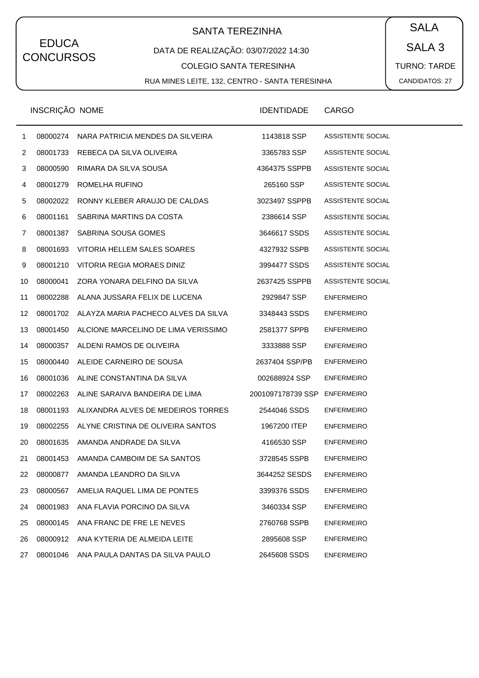# SANTA TEREZINHA  $\begin{pmatrix} SALA \end{pmatrix}$

### DATA DE REALIZAÇÃO: 03/07/2022 14:30

#### COLEGIO SANTA TERESINHA

RUA MINES LEITE, 132, CENTRO - SANTA TERESINHA

SALA 3 TURNO: TARDE CANDIDATOS: 27

|                | <b>INSCRIÇAO NOME</b> |                                          | <b>IDENTIDADE</b> | <b>CARGO</b>      |
|----------------|-----------------------|------------------------------------------|-------------------|-------------------|
| 1              | 08000274              | NARA PATRICIA MENDES DA SILVEIRA         | 1143818 SSP       | ASSISTENTE SOCIAL |
| $\overline{c}$ | 08001733              | REBECA DA SILVA OLIVEIRA                 | 3365783 SSP       | ASSISTENTE SOCIAL |
| 3              | 08000590              | RIMARA DA SILVA SOUSA                    | 4364375 SSPPB     | ASSISTENTE SOCIAL |
| 4              | 08001279              | ROMELHA RUFINO                           | 265160 SSP        | ASSISTENTE SOCIAL |
| 5              | 08002022              | RONNY KLEBER ARAUJO DE CALDAS            | 3023497 SSPPB     | ASSISTENTE SOCIAL |
| 6              | 08001161              | SABRINA MARTINS DA COSTA                 | 2386614 SSP       | ASSISTENTE SOCIAL |
| 7              | 08001387              | SABRINA SOUSA GOMES                      | 3646617 SSDS      | ASSISTENTE SOCIAL |
| 8              | 08001693              | VITORIA HELLEM SALES SOARES              | 4327932 SSPB      | ASSISTENTE SOCIAL |
| 9              | 08001210              | VITORIA REGIA MORAES DINIZ               | 3994477 SSDS      | ASSISTENTE SOCIAL |
| 10             | 08000041              | ZORA YONARA DELFINO DA SILVA             | 2637425 SSPPB     | ASSISTENTE SOCIAL |
| 11             | 08002288              | ALANA JUSSARA FELIX DE LUCENA            | 2929847 SSP       | <b>ENFERMEIRO</b> |
| 12             | 08001702              | ALAYZA MARIA PACHECO ALVES DA SILVA      | 3348443 SSDS      | <b>ENFERMEIRO</b> |
| 13             | 08001450              | ALCIONE MARCELINO DE LIMA VERISSIMO      | 2581377 SPPB      | <b>ENFERMEIRO</b> |
| 14             | 08000357              | ALDENI RAMOS DE OLIVEIRA                 | 3333888 SSP       | <b>ENFERMEIRO</b> |
| 15             | 08000440              | ALEIDE CARNEIRO DE SOUSA                 | 2637404 SSP/PB    | <b>ENFERMEIRO</b> |
| 16             | 08001036              | ALINE CONSTANTINA DA SILVA               | 002688924 SSP     | <b>ENFERMEIRO</b> |
| 17             | 08002263              | ALINE SARAIVA BANDEIRA DE LIMA           | 2001097178739 SSP | <b>ENFERMEIRO</b> |
| 18             | 08001193              | ALIXANDRA ALVES DE MEDEIROS TORRES       | 2544046 SSDS      | <b>ENFERMEIRO</b> |
| 19             | 08002255              | ALYNE CRISTINA DE OLIVEIRA SANTOS        | 1967200 ITEP      | <b>ENFERMEIRO</b> |
| 20             | 08001635              | AMANDA ANDRADE DA SILVA                  | 4166530 SSP       | <b>ENFERMEIRO</b> |
| 21             | 08001453              | AMANDA CAMBOIM DE SA SANTOS              | 3728545 SSPB      | <b>ENFERMEIRO</b> |
| 22             | 08000877              | AMANDA LEANDRO DA SILVA                  | 3644252 SESDS     | <b>ENFERMEIRO</b> |
| 23             | 08000567              | AMELIA RAQUEL LIMA DE PONTES             | 3399376 SSDS      | <b>ENFERMEIRO</b> |
| 24             | 08001983              | ANA FLAVIA PORCINO DA SILVA              | 3460334 SSP       | <b>ENFERMEIRO</b> |
| 25             | 08000145              | ANA FRANC DE FRE LE NEVES                | 2760768 SSPB      | <b>ENFERMEIRO</b> |
| 26             | 08000912              | ANA KYTERIA DE ALMEIDA LEITE             | 2895608 SSP       | <b>ENFERMEIRO</b> |
| 27             |                       | 08001046 ANA PAULA DANTAS DA SILVA PAULO | 2645608 SSDS      | <b>ENFERMEIRO</b> |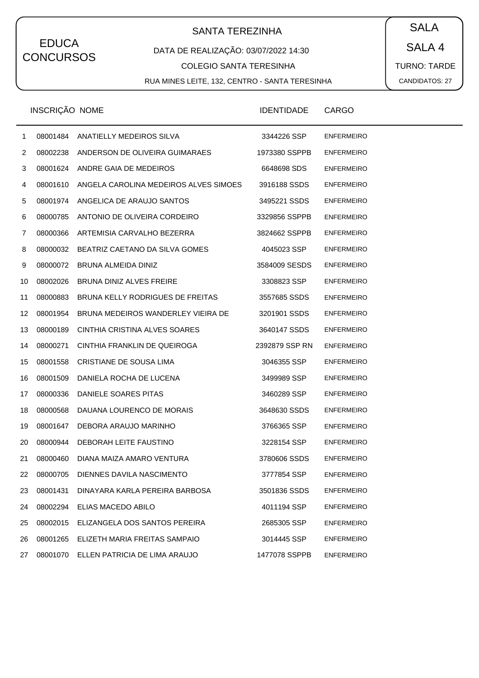# SANTA TEREZINHA  $\begin{pmatrix} \bullet & SALA \end{pmatrix}$

### DATA DE REALIZAÇÃO: 03/07/2022 14:30

#### COLEGIO SANTA TERESINHA

RUA MINES LEITE, 132, CENTRO - SANTA TERESINHA

SALA 4 TURNO: TARDE CANDIDATOS: 27

|                 | INSCRIÇÃO NOME |                                         | <b>IDENTIDADE</b> | CARGO             |
|-----------------|----------------|-----------------------------------------|-------------------|-------------------|
| $\mathbf{1}$    | 08001484       | ANATIELLY MEDEIROS SILVA                | 3344226 SSP       | <b>ENFERMEIRO</b> |
| $\overline{2}$  |                | 08002238 ANDERSON DE OLIVEIRA GUIMARAES | 1973380 SSPPB     | <b>ENFERMEIRO</b> |
| 3               | 08001624       | ANDRE GAIA DE MEDEIROS                  | 6648698 SDS       | <b>ENFERMEIRO</b> |
| 4               | 08001610       | ANGELA CAROLINA MEDEIROS ALVES SIMOES   | 3916188 SSDS      | <b>ENFERMEIRO</b> |
| 5               |                | 08001974 ANGELICA DE ARAUJO SANTOS      | 3495221 SSDS      | <b>ENFERMEIRO</b> |
| 6               | 08000785       | ANTONIO DE OLIVEIRA CORDEIRO            | 3329856 SSPPB     | <b>ENFERMEIRO</b> |
| 7               | 08000366       | ARTEMISIA CARVALHO BEZERRA              | 3824662 SSPPB     | <b>ENFERMEIRO</b> |
| 8               | 08000032       | BEATRIZ CAETANO DA SILVA GOMES          | 4045023 SSP       | <b>ENFERMEIRO</b> |
| 9               |                | 08000072 BRUNA ALMEIDA DINIZ            | 3584009 SESDS     | <b>ENFERMEIRO</b> |
| 10              | 08002026       | BRUNA DINIZ ALVES FREIRE                | 3308823 SSP       | <b>ENFERMEIRO</b> |
| 11              | 08000883       | BRUNA KELLY RODRIGUES DE FREITAS        | 3557685 SSDS      | <b>ENFERMEIRO</b> |
| 12 <sup>°</sup> | 08001954       | BRUNA MEDEIROS WANDERLEY VIEIRA DE      | 3201901 SSDS      | <b>ENFERMEIRO</b> |
| 13              | 08000189       | CINTHIA CRISTINA ALVES SOARES           | 3640147 SSDS      | <b>ENFERMEIRO</b> |
| 14              | 08000271       | CINTHIA FRANKLIN DE QUEIROGA            | 2392879 SSP RN    | <b>ENFERMEIRO</b> |
| 15              | 08001558       | CRISTIANE DE SOUSA LIMA                 | 3046355 SSP       | <b>ENFERMEIRO</b> |
| 16              | 08001509       | DANIELA ROCHA DE LUCENA                 | 3499989 SSP       | <b>ENFERMEIRO</b> |
| 17              | 08000336       | DANIELE SOARES PITAS                    | 3460289 SSP       | <b>ENFERMEIRO</b> |
| 18              | 08000568       | DAUANA LOURENCO DE MORAIS               | 3648630 SSDS      | <b>ENFERMEIRO</b> |
| 19              | 08001647       | DEBORA ARAUJO MARINHO                   | 3766365 SSP       | <b>ENFERMEIRO</b> |
| 20              | 08000944       | DEBORAH LEITE FAUSTINO                  | 3228154 SSP       | <b>ENFERMEIRO</b> |
| 21              | 08000460       | DIANA MAIZA AMARO VENTURA               | 3780606 SSDS      | <b>ENFERMEIRO</b> |
| 22              | 08000705       | DIENNES DAVILA NASCIMENTO               | 3777854 SSP       | <b>ENFERMEIRO</b> |
| 23              | 08001431       | DINAYARA KARLA PEREIRA BARBOSA          | 3501836 SSDS      | <b>ENFERMEIRO</b> |
| 24              | 08002294       | ELIAS MACEDO ABILO                      | 4011194 SSP       | <b>ENFERMEIRO</b> |
| 25              | 08002015       | ELIZANGELA DOS SANTOS PEREIRA           | 2685305 SSP       | <b>ENFERMEIRO</b> |
| 26              | 08001265       | ELIZETH MARIA FREITAS SAMPAIO           | 3014445 SSP       | <b>ENFERMEIRO</b> |
| 27              |                | 08001070 ELLEN PATRICIA DE LIMA ARAUJO  | 1477078 SSPPB     | <b>ENFERMEIRO</b> |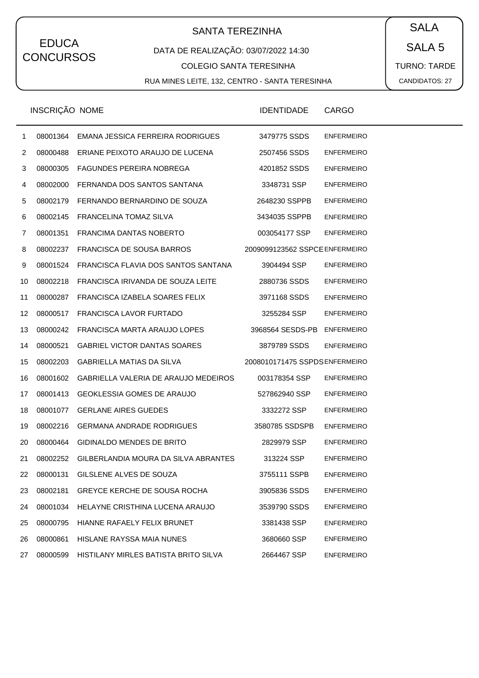# SANTA TEREZINHA  $\begin{pmatrix} SALA \end{pmatrix}$

### DATA DE REALIZAÇÃO: 03/07/2022 14:30

COLEGIO SANTA TERESINHA

RUA MINES LEITE, 132, CENTRO - SANTA TERESINHA

SALA 5 TURNO: TARDE CANDIDATOS: 27

|                | INSCRIÇÃO NOME |                                               | <b>IDENTIDADE</b>              | <b>CARGO</b>      |
|----------------|----------------|-----------------------------------------------|--------------------------------|-------------------|
| $\mathbf{1}$   | 08001364       | EMANA JESSICA FERREIRA RODRIGUES              | 3479775 SSDS                   | <b>ENFERMEIRO</b> |
| $\overline{2}$ | 08000488       | ERIANE PEIXOTO ARAUJO DE LUCENA               | 2507456 SSDS                   | <b>ENFERMEIRO</b> |
| 3              | 08000305       | FAGUNDES PEREIRA NOBREGA                      | 4201852 SSDS                   | <b>ENFERMEIRO</b> |
| 4              | 08002000       | FERNANDA DOS SANTOS SANTANA                   | 3348731 SSP                    | <b>ENFERMEIRO</b> |
| 5              | 08002179       | FERNANDO BERNARDINO DE SOUZA                  | 2648230 SSPPB                  | <b>ENFERMEIRO</b> |
| 6              | 08002145       | <b>FRANCELINA TOMAZ SILVA</b>                 | 3434035 SSPPB                  | <b>ENFERMEIRO</b> |
| 7              | 08001351       | FRANCIMA DANTAS NOBERTO                       | 003054177 SSP                  | <b>ENFERMEIRO</b> |
| 8              | 08002237       | FRANCISCA DE SOUSA BARROS                     | 2009099123562 SSPCE ENFERMEIRO |                   |
| 9              | 08001524       | FRANCISCA FLAVIA DOS SANTOS SANTANA           | 3904494 SSP                    | <b>ENFERMEIRO</b> |
| 10             | 08002218       | FRANCISCA IRIVANDA DE SOUZA LEITE             | 2880736 SSDS                   | <b>ENFERMEIRO</b> |
| 11             | 08000287       | FRANCISCA IZABELA SOARES FELIX                | 3971168 SSDS                   | <b>ENFERMEIRO</b> |
| 12             | 08000517       | FRANCISCA LAVOR FURTADO                       | 3255284 SSP                    | <b>ENFERMEIRO</b> |
| 13             | 08000242       | FRANCISCA MARTA ARAUJO LOPES                  | 3968564 SESDS-PB               | <b>ENFERMEIRO</b> |
| 14             | 08000521       | <b>GABRIEL VICTOR DANTAS SOARES</b>           | 3879789 SSDS                   | <b>ENFERMEIRO</b> |
| 15             | 08002203       | <b>GABRIELLA MATIAS DA SILVA</b>              | 2008010171475 SSPDS ENFERMEIRO |                   |
| 16             | 08001602       | GABRIELLA VALERIA DE ARAUJO MEDEIROS          | 003178354 SSP                  | <b>ENFERMEIRO</b> |
| 17             | 08001413       | <b>GEOKLESSIA GOMES DE ARAUJO</b>             | 527862940 SSP                  | <b>ENFERMEIRO</b> |
| 18             | 08001077       | <b>GERLANE AIRES GUEDES</b>                   | 3332272 SSP                    | <b>ENFERMEIRO</b> |
| 19             | 08002216       | <b>GERMANA ANDRADE RODRIGUES</b>              | 3580785 SSDSPB                 | <b>ENFERMEIRO</b> |
| 20             | 08000464       | <b>GIDINALDO MENDES DE BRITO</b>              | 2829979 SSP                    | <b>ENFERMEIRO</b> |
| 21             |                | 08002252 GILBERLANDIA MOURA DA SILVA ABRANTES | 313224 SSP                     | <b>ENFERMEIRO</b> |
| 22             | 08000131       | GILSLENE ALVES DE SOUZA                       | 3755111 SSPB                   | <b>ENFERMEIRO</b> |
| 23             | 08002181       | <b>GREYCE KERCHE DE SOUSA ROCHA</b>           | 3905836 SSDS                   | <b>ENFERMEIRO</b> |
| 24             | 08001034       | HELAYNE CRISTHINA LUCENA ARAUJO               | 3539790 SSDS                   | <b>ENFERMEIRO</b> |
| 25             | 08000795       | HIANNE RAFAELY FELIX BRUNET                   | 3381438 SSP                    | <b>ENFERMEIRO</b> |
| 26             | 08000861       | HISLANE RAYSSA MAIA NUNES                     | 3680660 SSP                    | <b>ENFERMEIRO</b> |
| 27             | 08000599       | HISTILANY MIRLES BATISTA BRITO SILVA          | 2664467 SSP                    | <b>ENFERMEIRO</b> |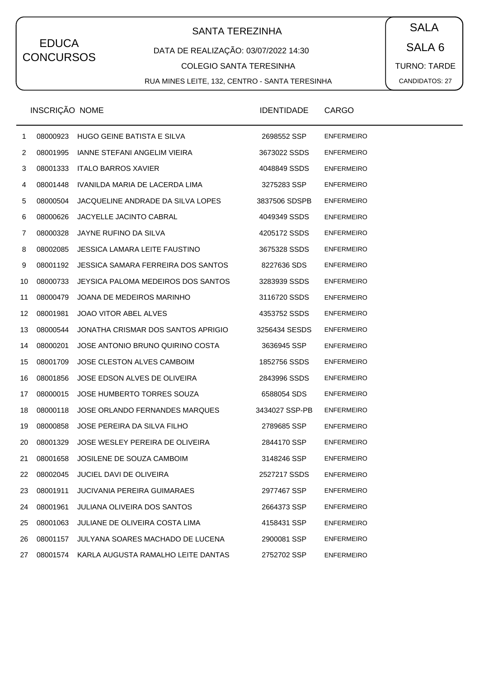# SANTA TEREZINHA  $\begin{pmatrix} SALA \end{pmatrix}$

### DATA DE REALIZAÇÃO: 03/07/2022 14:30

#### COLEGIO SANTA TERESINHA

RUA MINES LEITE, 132, CENTRO - SANTA TERESINHA

SALA 6 TURNO: TARDE CANDIDATOS: 27

|                | INSCRIÇÃO NOME |                                     | <b>IDENTIDADE</b> | CARGO             |
|----------------|----------------|-------------------------------------|-------------------|-------------------|
| $\mathbf{1}$   | 08000923       | HUGO GEINE BATISTA E SILVA          | 2698552 SSP       | <b>ENFERMEIRO</b> |
| $\overline{2}$ | 08001995       | <b>IANNE STEFANI ANGELIM VIEIRA</b> | 3673022 SSDS      | <b>ENFERMEIRO</b> |
| 3              | 08001333       | <b>ITALO BARROS XAVIER</b>          | 4048849 SSDS      | <b>ENFERMEIRO</b> |
| 4              | 08001448       | IVANILDA MARIA DE LACERDA LIMA      | 3275283 SSP       | <b>ENFERMEIRO</b> |
| 5              | 08000504       | JACQUELINE ANDRADE DA SILVA LOPES   | 3837506 SDSPB     | <b>ENFERMEIRO</b> |
| 6              | 08000626       | JACYELLE JACINTO CABRAL             | 4049349 SSDS      | <b>ENFERMEIRO</b> |
| 7              | 08000328       | JAYNE RUFINO DA SILVA               | 4205172 SSDS      | <b>ENFERMEIRO</b> |
| 8              | 08002085       | JESSICA LAMARA LEITE FAUSTINO       | 3675328 SSDS      | <b>ENFERMEIRO</b> |
| 9              | 08001192       | JESSICA SAMARA FERREIRA DOS SANTOS  | 8227636 SDS       | <b>ENFERMEIRO</b> |
| 10             | 08000733       | JEYSICA PALOMA MEDEIROS DOS SANTOS  | 3283939 SSDS      | <b>ENFERMEIRO</b> |
| 11             | 08000479       | JOANA DE MEDEIROS MARINHO           | 3116720 SSDS      | <b>ENFERMEIRO</b> |
| 12             | 08001981       | <b>JOAO VITOR ABEL ALVES</b>        | 4353752 SSDS      | <b>ENFERMEIRO</b> |
| 13             | 08000544       | JONATHA CRISMAR DOS SANTOS APRIGIO  | 3256434 SESDS     | <b>ENFERMEIRO</b> |
| 14             | 08000201       | JOSE ANTONIO BRUNO QUIRINO COSTA    | 3636945 SSP       | <b>ENFERMEIRO</b> |
| 15             | 08001709       | JOSE CLESTON ALVES CAMBOIM          | 1852756 SSDS      | <b>ENFERMEIRO</b> |
| 16             | 08001856       | JOSE EDSON ALVES DE OLIVEIRA        | 2843996 SSDS      | <b>ENFERMEIRO</b> |
| 17             | 08000015       | JOSE HUMBERTO TORRES SOUZA          | 6588054 SDS       | <b>ENFERMEIRO</b> |
| 18             | 08000118       | JOSE ORLANDO FERNANDES MARQUES      | 3434027 SSP-PB    | <b>ENFERMEIRO</b> |
| 19             | 08000858       | JOSE PEREIRA DA SILVA FILHO         | 2789685 SSP       | <b>ENFERMEIRO</b> |
| 20             | 08001329       | JOSE WESLEY PEREIRA DE OLIVEIRA     | 2844170 SSP       | <b>ENFERMEIRO</b> |
| 21             | 08001658       | JOSILENE DE SOUZA CAMBOIM           | 3148246 SSP       | <b>ENFERMEIRO</b> |
| 22             | 08002045       | <b>JUCIEL DAVI DE OLIVEIRA</b>      | 2527217 SSDS      | <b>ENFERMEIRO</b> |
| 23             | 08001911       | <b>JUCIVANIA PEREIRA GUIMARAES</b>  | 2977467 SSP       | <b>ENFERMEIRO</b> |
| 24             | 08001961       | <b>JULIANA OLIVEIRA DOS SANTOS</b>  | 2664373 SSP       | <b>ENFERMEIRO</b> |
| 25             | 08001063       | JULIANE DE OLIVEIRA COSTA LIMA      | 4158431 SSP       | <b>ENFERMEIRO</b> |
| 26             | 08001157       | JULYANA SOARES MACHADO DE LUCENA    | 2900081 SSP       | <b>ENFERMEIRO</b> |
| 27             | 08001574       | KARLA AUGUSTA RAMALHO LEITE DANTAS  | 2752702 SSP       | <b>ENFERMEIRO</b> |